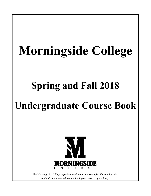# **Morningside College**

## **Spring and Fall 2018**

## **Undergraduate Course Book**



*The Morningside College experience cultivates a passion for life-long learning and a dedication to ethical leadership and civic responsibility.*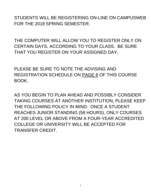STUDENTS WILL BE REGISTERING ON-LINE ON CAMPUSWEB FOR THE 2018 SPRING SEMESTER.

THE COMPUTER WILL ALLOW YOU TO REGISTER ONLY ON CERTAIN DAYS, ACCORDING TO YOUR CLASS. BE SURE THAT YOU REGISTER ON YOUR ASSIGNED DAY.

PLEASE BE SURE TO NOTE THE ADVISING AND REGISTRATION SCHEDULE ON PAGE 6 OF THIS COURSE BOOK.

AS YOU BEGIN TO PLAN AHEAD AND POSSIBLY CONSIDER TAKING COURSES AT ANOTHER INSTITUTION, PLEASE KEEP THE FOLLOWING POLICY IN MIND: ONCE A STUDENT REACHES JUNIOR STANDING (58 HOURS), ONLY COURSES AT 200 LEVEL OR ABOVE FROM A FOUR-YEAR ACCREDITED COLLEGE OR UNIVERSITY WILL BE ACCEPTED FOR TRANSFER CREDIT.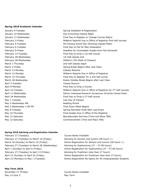#### **Spring 2018 Academic Calendar**

January 9-Tuesday November 2012 Spring Validation & Registration February 28-Wednesday 1st half classes end March 1-Thursday 2nd half classes begin March 12-Monday **Classes Resume** April 3-Tuesday Classes Resume April 9-Monday **Final Day to Drop a Course** May 1-Tuesday Last Day of Classes May 2-Wednesday AM. The manufacturer of the Reading Period May 2-Wednesday 1:00 PM Final Exam Week Begins May 12-Saturday **Comment (Time and Place TBA)** 

January 10-Wednesday **Day & Evening Classes Begin** January 17-Wednesday **Final Day to Register or Change Course Status** Final Day to Register or Change Course Status February 2-Friday **Midterm Reports Due in Office of Registrar-first half courses** February 6-Tuesday **All-Campus Event Day (Evening Classes Meet)** All-Campus Event Day (Evening Classes Meet) February 6-Tuesday **Final Day to File for May Graduation** February 9-Friday **Deadline for Incomplete Grades from Fall Semester** February 13-Tuesday **Final Day to Drop a 1st half course** February 28-Wednesday Midterm (7th Week of Classes) March 2-Friday Spring Break Begins after Last Class March 12-Monday **Midterm Reports Due in Office of Registrar** March 15-Thursday **Final Day to Register for a 2nd half course** March 28-Wednesday **Easter Holiday Break Begins after Last Class** Easter Holiday Break Begins after Last Class April 10-Tuesday **Midterm Reports Due in Office of Registrar for 2<sup>nd</sup> half courses** April 11-Wednesday **Palmer Undergrad Research Symposium (Evening Classes Meet)** Palmer Undergrad Research Symposium (Evening Classes Meet) April 18-Wednesday **Final Day to Drop a 2<sup>nd</sup> half course** May 8-Tuesday Spring Semester Ends after Last Exam May 10-Thursday Final Grades Due in Office of the Registrar May 12-Saturday Baccalaureate Services (Time and Place TBA)

#### **Spring 2018 Advising and Registration Calendar**

February 27 (Tuesday) Course Books Available February 27 (Tuesday) to March 16 (Friday) Advising for Seniors and Juniors (58 hours +) February 27 (Tuesday) to March 28 (Wednesday) Advising for Sophomores (27 - 57.99 hours) February 27 (Tuesday) to April 13 (Friday) Advising for Freshmen (less than 27 hours)

#### **May Term 2018**

May 13-June 3 May Term

March 18 (Sunday) to March 23 (Friday) **Committed Contact Contact Conduct** Control on March 18 (58 hours +) April 1 (Sunday) to April 6 (Friday) Online Registration for Sophomores (27 – 57.99 hours) April 15 (Sunday) to April 20 (Friday) **Chilic Registration for Freshmen** (less than 27 hours) April 23 (Monday) to May 1 (Tuesday) Online Registration Re-Opens for All Undergraduate Students

November 17 (Friday) Course Books Available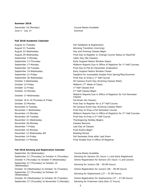#### **Summer 2018**

December 18 (Monday) Course Books Available June 4 - July 27 Summer

#### **Fall 2018 Academic Calendar**

August 21-Tuesday **Fall Validation & Registration** August 21-Tuesday **August 21-Tuesday** Advising Transition (morning) August 22-Wednesday Day and Evening Classes Begin September 3-Monday Labor Day (No Classes) October 12-Friday **Midterm (7th Week of Class)** October 12-Friday October 15-Monday October 18 & 19-Thursday & Friday Fall Break (No Classes) November 21-Wednesday Thanksgiving Holiday Begins November 26-Monday Classes Resume December 7-Friday Last Day of Classes December 10-Monday **Exams** Begin December 12-Wednesday AM Reading Period

August 29-Wednesday Final Day to Register or Change Course Status to Pass/Fail September 13-Thursday Early Support Notice Window Opens September 17-Monday **Midterm Reports Due in Office of Registrar for 1st Half Courses** September 18-Tuesday Final Day to File for December Graduation September 19-Wednesday Early Support Notice Window Closes September 21-Friday Deadline for incomplete Grades from Spring/May/Summer September 26-Wednesday **Final Day to Drop a 1st Half Course** October 3-Wednesday All Campus Event Day (Evening Classes Meet) 1st Half Classes End 2<sup>nd</sup> Half Classes Begin October 17-Wednesday Midterm Reports Due in Office of Registrar for Full Semester Classes October 22-Monday **Final Day to Register for a 2<sup>nd</sup> Half Course** November 6-Tuesday **All Campus Event Day (Evening Classes Meet)** All Campus Event Day (Evening Classes Meet) November 7-Wednesday Final Day to Drop a Full Semester Course November 12-Monday Midterm Reports Due in Office of Registrar for 2<sup>nd</sup> Half Courses November 20-Tuesday  $\qquad \qquad$  Final Day to Drop a  $2^{nd}$  Half Course December 14-Friday Fall Semester Ends after Last Exam December 17-Monday Final Grades Due in Office Of Registrar

#### **Fall 2018 Advising and Registration Calendar**

September 26 (Wednesday) Course Books Available September 27 (Thursday) to October 4 (Thursday) Advising for Seniors (91 hours +) and Early Registrants October 4 (Thursday) to October 9 (Wednesday) Online Registration for Seniors (91 hours +) and Juniors September 27 (Thursday) to October 10 September 27 (marsuay) to October 10<br>(Wednesday) (Wednesday) October 10 (Wednesday) to October 16 (Tuesday) Online Registration for Juniors (58 – 90.99 hours) September 27 (Thursday) to October 24 September 27 (Thursday) to October 24 Advising for Sophomores (27 – 57.99 hours)<br>(Wednesday) October 24 (Wednesday) to October 30 (Tuesday) Online Registration for Sophomores (27 – 57.99 hours) September 27 (Thursday) to November 5 (Monday) Advising for Freshmen (less than 27 hours)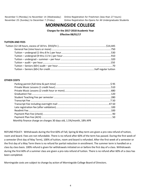November 5 (Monday) to November 14 (Wednesday) Online Registration for Freshmen (less than 27 hours)

November 25 (Sunday) to December 7 (Friday) Online Registration Re-Opens for All Undergraduate Students

## **MORNINGSIDE COLLEGE**

**Charges for the 2017-2018 Academic Year Effective 08/01/17**

#### **TUITION AND FEES**

#### **OTHER COSTS**

| Monthly finance charge on charges 30 days old, 1.5%/month, 18% APR |  |
|--------------------------------------------------------------------|--|

REFUND POLICY: Withdrawals during the first 60% of Fall, Spring & May term are given a pro-rata refund of tuition, room and board. Fees are not refundable. There is no refund after 60% of the term has passed. During the first week of a semester (first day of May Term), 100% of tuition, room and board is refunded. After the first week of a semester or the first day of a May Term there is no refund for partial reduction in enrollment. The summer term is handled on a class by class basis. 100% refund is given for withdrawals initiated on or before the first day of a class. Withdrawals during the first 60% of a summer class are given a pro-rata refund of tuition. There is no refund after 60% of a class has been completed.

Morningside costs are subject to change by action of Morningside College Board of Directors.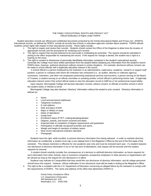#### THE FAMILY EDUCATIONAL RIGHTS AND PRIVACY ACT Official Notification of Rights Under FERPA

 Student education records are official and confidential documents protected by the Family Educational Rights and Privacy Act (FERPA). Educational records, as defined by FERPA, include all records that schools or education agencies maintain about students. FERPA affords students certain rights with respect to their educational records. These rights include:

- 1. The right to inspect and review their records. Students should contact the Office of the Registrar to determine the location of appropriate records and the procedures for reviewing such records.
- 2. The right to request that records believed to be inaccurate or misleading be amended. The request should be submitted in writing to the office responsible for maintaining the record. If the request for change is denied, the student has a right to a hearing on the issue.
- 3. The right to consent to disclosures of personally identifiable information contained in the student's educational records. Generally the College must have written permission from the student before releasing any information from the student's record. FERPA does, however, authorize disclosure without consent in certain situations. For example, disclosure without consent can be made to school officials with a legitimate education interest in the record.

 A school official is a person employed by the institution in an administrative, supervisory, academic, research or support staff position; a person or company with whom the institution has contracted (i.e., an auditor, attorney or collection agency); contractors, volunteers, and other non-employees performing institutional services and functions; a person serving on the Board of Trustees; a student serving on an official committee or assisting another school official in performing his/her task. A legitimate education interest exists if the school official needs to view the education record to fulfill his or her professional responsibility.

 Upon request, Morningside College will disclose education records, without consent, to officials of another school in which the student seeks or intends to enroll.

Morningside College may also disclose "directory" information without the student's prior consent. Directory information is defined as:

- Name
- Local and permanent addresses
- Telephone number(s)
- E-mail address
- Date and place of birth
- Major or field(s) of study
- Dates of attendance
- Grade level
- Enrollment status (FT/PT; undergraduate/graduate)
- Degrees, awards, and honors received and dates
- Expected date of completion of degree requirements and graduation
- Participation in officially recognized activities and sports
- Weight and height of members of athletic teams
- Most recent educational institution attended
- Photograph

Students have the right, while enrolled, to prevent directory information from being released. In order to maintain directory information as confidential, a student must sign a non-release form in the Registrar's Office by the end of the first week of the semester. This release restriction is effective for one academic year only and must be renewed each year. If a student requests non-disclosure of directory information in his or her last term of attendance, that request will be honored until the student requests its removal.

 A student should carefully consider the consequences of a decision to withhold directory information, as future requests for such information from other schools, loan or insurance companies, prospective employers or other persons or organizations will be refused as long as the request for non-disclosure is in effect.

 Students may indicate on CampusWeb that they would like non-disclosure of directory information, and all college personnel should honor this request. However, official notification of non-disclosure must still be made in writing at the Registrar's Office.

4. The right to file a complaint with the U.S. Department of Education concerning an alleged failure by the institution to comply with the requirements of FERPA. The name and address of the office that administers FERPA is:

> Family Policy Compliance Office U.S. Department of Education 400 Maryland Ave. S.W. Washington, D.C. 20202-605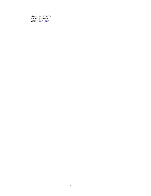Phone: (202) 260-3887 Fax: (202) 260-9001 Email: [ferpa@ed.gov](mailto:ferpa@ed.gov)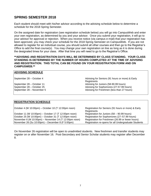## **SPRING SEMESTER 2018**

Each student should meet with his/her advisor according to the advising schedule below to determine a schedule for the 2018 Spring Semester.

On the assigned date for registration (see registration schedule below) you will go into CampusWeb and enter your own registration, as determined by you and your advisor. Once you submit your registration, it will go to your advisor for approval or rejection. When you receive notice (via campus e-mail) that your registration has been approved, you may check your schedule for the 2018 Spring Semester on CampusWeb. If you are not allowed to register for an individual course, you should submit all other courses and then go to the Registrar's Office to add the final course(s). You may change your own registration on line as long as it is done during the designated times for your class. After that time you will need to go to the Registrar's Office.

#### **\*\*ADVISING AND REGISTRATION DAYS WILL BE DETERMINED BY CLASS STANDING. YOUR CLASS STANDING IS DETERMINED BY THE NUMBER OF HOURS COMPLETED AT THE TIME OF ADVISING AND REGISTRATION. THIS TOTAL CAN BE FOUND ON YOUR REGISTRATION FORM AND ON CAMPUSWEB.\*\***

#### **ADVISING SCHEDULE**

September 28 – October 4 **Advising for Seniors (91 hours or more) & Early** Advising for Seniors (91 hours or more) & Early **Registrants** September 28 – October 11 Advising for Juniors (58-90.99 hours) September 28 – October 25 **Advising for Sophomores (27-57.99 hours)**<br>September 28 – November 5 **Advising for Freshmen** (less than 27 hours) Advising for Freshmen (less than 27 hours)

#### **REGISTRATION SCHEDULE**

October 4 (W 10:00pm) – October 10 (T 12:00pm noon) Registration for Seniors (91 hours or more) & Early **Registrants** October 11 (W 10:00pm) – October 17 (T 12:00pm noon) Registration for Juniors (58 – 90.99 hours) October 25 (W 10:00pm) – October 31 (T 12:00pm noon) Registration for Sophomores (27–57.99 hours) November 6 (M 10:00pm) – November 14 (T 12:00pm noon) Registration for Freshmen (26.99 or fewer hours) November 26 (Su 10:00pm) – December 8 (F 5:00pm)

On November 26 registration will be open to unadmitted students. New freshmen and transfer students may register on or after November 16. Post-Secondary and Senior Scholar students may register after December 8.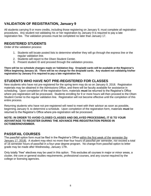## **VALIDATION OF REGISTRATION, January 9**

All students carrying 9 or more credits, including those registering on January 9, must complete all registration procedures. Any student not validating his or her registration by January 9 is required to pay a late registration fee. The validation process must be completed no later than January 17.

## **REGISTERED STUDENTS**

Order of the validation process:

- 1. Students will locate posted lists to determine whether they will go through the express line or the regular validation line.
- 2. Students will report to the Olsen Student Center.
- 3. Present student ID and proceed through the validation process.

**There will be no schedule changes made on Validation Day. Drop/add cards will be available at the Registrar's Office beginning January 10. There will be no charge for the drop/add cards. Any student not validating his/her registration by January 9 is required to pay a late registration fee.**

## **STUDENTS WHO HAVE NOT PRE-REGISTERED FOR CLASSES**

New students who have not pre-registered for the spring term may do so on January 9, 2018. Registration materials may be obtained in the Admissions Office, and there will be faculty available for assistance in scheduling. Upon completion of the registration form, materials **must** be returned to the Registrar's Office where pre-registration will be processed. Students enrolling for 9 or more hours will then proceed to the Olsen Student Center to the regular validation line. Registration will not become effective until the completion of this entire process.

Returning students who have not pre-registered will need to meet with their advisor as soon as possible, beginning January 9, to determine a schedule. Upon completion of the registration form, materials **must** be returned to the Registrar's Office where pre-registration will be processed.

#### **NOTE: IN ORDER TO AVOID CLOSED CLASSES AND DELAYED PROCESSING, IT IS TO YOUR ADVANTAGE TO REGISTER DURING THE ADVANCE PRE-REGISTRATION PERIOD IN OCTOBER/NOVEMBER.**

## **PASS/FAIL COURSES**

The pass/fail option form must be filed in the Registrar's Office within the first week of the semester (by January 17, 2018). A student may elect no more than four hours of pass/fail per semester, nor exceed a total of 16 semester hours of pass/fail in a four-year degree program. No change from pass/fail option to letter grade may be made after Wednesday, January 17th.

Only totally "free" electives may be used in this option. This excludes all courses in major or minor areas, a cluster, the core or general studies requirements, professional courses, and any course required by the college or licensing agencies.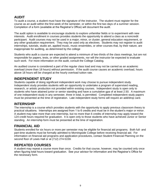## **AUDIT**

To audit a course, a student must have the signature of the instructor. The student must register for the course as an audit within the first week of the semester, or within the first two days of a summer session. Completion of a form (available at the Registrar's Office) will document the audit.

The audit option is available to encourage students to explore unfamiliar fields or to experiment with new interests. Audit enrollment in courses provides students the opportunity to attend a class as a noncredit participant. Audit courses may not be used in a major, minor, or cluster, general education requirement, or any other graduation requirement. They may be used only as electives. Students may not register to audit internships, tutorials, studio art, applied music, music ensembles, or other courses that, by their nature, are inappropriate for auditing, as determined by the college

Students who audit a course are expected to attend a minimum of two-thirds of the class meetings, but are not responsible for papers, tests, or other graded assignments, nor will the instructor be expected to evaluate such work. For more information on the audit, consult the College Catalog.

An audited course is considered a part of the regular class load and may not be carried as an academic overload (more than 18 hours) without permission. If the audit course causes an academic overload, hours above 18 hours will be charged at the hourly overload tuition rate.

## **INDEPENDENT STUDY**

Students capable of doing significant independent work may choose to pursue independent study. Independent study provides students with an opportunity to undertake a program of supervised reading, research, or artistic production not provided within existing courses. Independent study is open only to students who have attained junior or senior standing and have a cumulative gpa of at least 2.50. A maximum of one independent study in any semester, three in total, is permitted. Completed independent study papers must be presented at the time of registration. Late independent study forms will require an add/drop card.

## **INTERNSHIP**

The internship is a course which provides students with the opportunity to apply previous classroom theory to practical situations. Internships are assigned from 1 to 6 credits and must be in the student's major or minor. A student may take more than one internship, but no more than 6 credits of internship may apply toward the 124 credit hours required for graduation. It is open only to those students who have achieved Junior or Senior standing. An internship form must be presented at the time of registration.

## **FINANCIAL AID**

Students enrolled for six hours or more per semester may be eligible for financial aid programs. Both full- and part-time students must be formally admitted to Morningside College before receiving financial aid. For information on financial aid programs and application procedures, contact Student Financial Planning on the second floor of Lewis Hall or at (712) 274-5159.

## **REPEATED COURSES**

A student may repeat a course more than once. Credits for that course, however, may be counted only once when figuring total hours toward graduation. See your advisor for information and the Registrar's Office for the necessary form.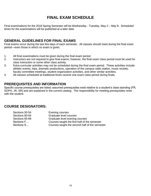## **FINAL EXAM SCHEDULE**

Final examinations for the 2018 Spring Semester will be Wednesday - Tuesday, May 2 – May 8. Scheduled times for the examinations will be published at a later date.

## **GENERAL GUIDELINES FOR FINAL EXAMS**

Final exams occur during the last few days of each semester. All classes should meet during the final exam period—even those in which no exam is given.

- 1. All final examinations must be given during the final exam period.
- 2. Instructors are not required to give final exams; however, the final exam class period must be used for class instruction or some other class activity.
- 3. Extra-curricular activities may not be scheduled during the final exam period. These activities include: athletic events, trips, dramatic productions, operation of the campus radio station, music recitals, faculty committee meetings, student organization activities, and other similar activities.
- 4. All classes scheduled at traditional times receive one exam class period during finals.

## **PREREQUISITES AND INFORMATION**

Specific course prerequisites are listed; assumed prerequisites exist relative to a student's class standing (FR, SOPH, JR, SR) and are explained in the current catalog. The responsibility for meeting prerequisites rests with the student.

## **COURSE DESIGNATORS:**

Sections 50-54 **Evening courses** Sections 60-64 Graduate level courses Sections 65-69 Graduate level evening courses<br>
Sections F... Courses taught the first half of the Courses taught the first half of the semester Sections S… Courses taught the second half of the semester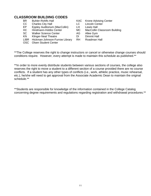## **CLASSROOM BUILDING CODES**

- 
- CC Charles City Hall LC Lincoln Center
- EP Eppley Auditorium (MacCollin) LH Lewis Hall
- 
- SC Walker Science Center AG Allee Gym
- 
- KN Klinger-Neal Theatre DI Dimmit Hall<br>LIBR Hickman-Johnson-Furrow Library RH Roadman Hall LIBR Hickman-Johnson-Furrow Library RH
- OSC Olsen Student Center
- BR Buhler-Rohlfs Hall KAC Krone Advising Center
	-
	-
- HC Hindmann-Hobbs Center MC MacCollin Classroom Building
	-
	-
	-

\*\*The College reserves the right to change instructors or cancel or otherwise change courses should conditions require. However, every attempt is made to maintain this schedule as published.\*\*

\*\*In order to more evenly distribute students between various sections of courses, the college also reserves the right to move a student to a different section of a course provided there are no course conflicts. If a student has any other types of conflicts (i.e., work, athletic practice, music rehearsal, etc.), he/she will need to get approval from the Associate Academic Dean to maintain the original schedule.\*\*

\*\*Students are responsible for knowledge of the information contained in the College Catalog concerning degree requirements and regulations regarding registration and withdrawal procedures.\*\*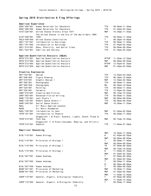### **Spring 2018 Distribution & Flag Offerings**

| American Experience                |                                                                   |                   |                         |
|------------------------------------|-------------------------------------------------------------------|-------------------|-------------------------|
| EDUC*290*001                       | Human Relations for Educators                                     | TTH               | $09:50$ am-11:30am      |
| EDUC*290*002                       | Human Relations for Educators                                     | TTH               | $01:45$ pm-03:25pm      |
| HIST*226*001                       | United States History Since 1877                                  | <b>MWF</b>        | 10:30am-11:35am         |
|                                    | The United States in the Era of the World Wars 1900-              |                   |                         |
| HIST*358*001                       | 1945                                                              | TTH               | $09:50$ am-11:30am      |
| POLS*448*050                       | United States Constitution                                        | T.                | $06:30$ pm-10:00pm      |
| SOCI * 101 * 001                   | Introduction to Sociology                                         | <b>TTH</b>        | $09:50$ am-11:30am      |
| SOCI *101*002                      | Introduction to Sociology                                         | TTH               | $01:45$ pm-03:25pm      |
| SOCI * 214*001                     | Race, Ethnicity, and Social Class                                 | <b>TTH</b>        | $08:00$ am- $09:40$ am  |
| SOCI *323*001                      | Families and Society                                              | TTH               | $01:45$ pm - $03:25$ pm |
|                                    |                                                                   |                   |                         |
|                                    | Applied Quantitative Analysis (AQuA)                              |                   |                         |
| MATH * 212 * 001                   | Applied Quantitative Analysis                                     | MTTHF             | $11:45am - 12:35pm$     |
| MATH*212*002                       | Applied Quantitative Analysis                                     | <b>MWF</b>        | $08:00$ am-09:05am      |
| MATH*212*003                       | Applied Quantitative Analysis                                     | MTTHF             | $12:45$ pm-01:35pm      |
| MATH*212*004                       | Applied Quantitative Analysis                                     | <b>MWF</b>        | $01:45$ pm-02:50pm      |
|                                    |                                                                   |                   |                         |
| Creative Expression<br>ART*103*001 |                                                                   |                   |                         |
|                                    | Design                                                            | TTH<br><b>TTH</b> | $12:45$ pm-03:25pm      |
| ART*206*050                        | Figure Drawing                                                    |                   | $06:30$ pm-10:00pm      |
| ART*210*001                        | Graphic Design I                                                  | <b>MWF</b>        | $12:45$ pm-02:50pm      |
| ART*265*001                        | Photography                                                       | TTH               | $08:00$ am-11:30am      |
| ART*265*050                        | Photography                                                       | MW                | $06:30$ pm-10:00pm      |
| ART*325*001                        | Painting                                                          | TTH               | $08:00$ am-11:30am      |
| ART*335*001                        | Ceramics                                                          | TTH               | $12:45$ pm - 03:25pm    |
| CWRT*210*001                       | Creative Non-Fiction                                              | <b>MWF</b>        | $09:15$ am-10:20am      |
| CWRT*383*001                       | Advanced Fiction Writing                                          | <b>TTH</b>        | $09:50$ am-11:30am      |
| DANC*110*001                       | Jazz Studio I                                                     | <b>MWF</b>        | $08:00$ am-09:05am      |
| DANC*130*001                       | Modern Dance Studio I                                             | <b>TTH</b>        | $08:00$ am-08:45am      |
| DANC*240*001                       | Social Dance Studio                                               | <b>MWF</b>        | 10:30am-11:35am         |
| MUAL                               | All Music Applied Lessons                                         |                   |                         |
| MUEN                               | All Music Ensembles                                               |                   |                         |
| MUHL*105*001                       | Introduction to Jazz                                              | <b>MWF</b>        | $01:45$ pm - $02:50$ pm |
| THTR*101*001                       | Introduction to Theatre                                           | TTH               | $09:50$ am-11:30am      |
|                                    | Stagecraft I & Pract: Scenery, Lights, Sound, Props &             |                   |                         |
| THTR*215*001                       | Tech Asp                                                          | <b>MWF</b>        | $09:15$ am-10:20am      |
| THTR*315*001                       | Stagecraft II & Pract: Costumes, Make-up, and Artistic<br>Aspects | TTH               | $11:50am - 01:30pm$     |
|                                    |                                                                   |                   |                         |
| Empirical Reasoning                |                                                                   |                   |                         |
|                                    |                                                                   | MWF,              | $10:30$ am-11:20am,     |
| BIOL*110*001                       | Human Biology                                                     | W                 | $01:45$ pm-03:35pm      |
|                                    |                                                                   | MWF,              | $08:00$ am- $08:50$ am, |
| B10L*116*001                       | Principles of Biology I                                           | Τ                 | $09:50$ am-11:40am      |
|                                    |                                                                   | MWF.              | $08:00$ am- $08:50$ am, |
| BIOL*116*002                       | Principles of Biology I                                           | TH                | $07:50$ am-09:40am      |
|                                    |                                                                   | MWF,              | $09:15$ am-10:05am,     |
| BIOL*116*004                       | Principles of Biology I                                           | W                 | $11:45am-01:35pm$       |
|                                    |                                                                   | MWF,              | $01:45$ pm- $02:35$ pm, |
| BIOL*207*001                       | Human Anatomy                                                     | Τ                 | $07:50$ am-09:40am      |
|                                    |                                                                   | MWF,              | $01:45$ pm-02:35pm,     |
| BIOL*207*002                       | Human Anatomy                                                     | т                 | $09:50$ am-11:40am      |
|                                    |                                                                   | М,                | $06:30$ pm- $09:00$ pm, |
| BIOL*207*050                       | Human Anatomy                                                     | Τ                 | $06:30$ pm-08:20pm      |
| BUSN*341*001                       | Principles of Marketing                                           | MWF               | $10:30$ am-11:35am      |
| BUSN*341*002                       | Principles of Marketing                                           | MWF               | $01:45$ pm-02:50pm      |
|                                    |                                                                   | MWF,              | $11:45am - 12:35pm,$    |
| CHEM*110*001                       | General, Organic, & Biological Chemistry                          | Τ                 | $07:50$ am-09:40am      |
|                                    |                                                                   | MWF,              | $11:45am-12:35pm,$      |
| CHEM*110*002                       | General, Organic, & Biological Chemistry                          | Τ                 | $09:50$ am-11:40am      |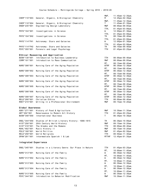| $11:45am - 12:35pm,$<br>$12:45$ pm-02:35pm<br>$11:45am - 12:35pm,$ |
|--------------------------------------------------------------------|
|                                                                    |
|                                                                    |
| $11:45am-01:35pm$<br>$08:00$ am-09:05am                            |
|                                                                    |
| $01:45$ pm-03:00pm,<br>12:00pm-01:30pm                             |
| $01:45$ pm-03:00pm,<br>$08:10$ am-09:40am                          |
| $01:45$ pm-03:00pm,                                                |
| $12:00 \text{pm} - 01:30 \text{pm}$                                |
| $01:45$ pm-03:00pm,                                                |
| $08:10$ am-09:40am                                                 |
| $01:45$ pm - $03:25$ pm                                            |
|                                                                    |
|                                                                    |
| $08:00$ am-09:40am                                                 |
| $08:00$ am-09:05am                                                 |
| $08:15$ am- $09:45$ am,                                            |
| $06:30$ am-12:30pm                                                 |
| $08:15$ am - $09:45$ am.                                           |
| $06:30$ am-12:30pm                                                 |
| $08:15$ am- $09:45$ am,                                            |
| $06:30$ am-12:30pm                                                 |
| $08:15$ am - $09:45$ am,                                           |
| $06:30$ am-12:30pm                                                 |
| $08:15$ am- $09:45$ am,                                            |
| $06:30$ am-12:30pm                                                 |
| $08:15$ am - $09:45$ am,                                           |
| $06:30$ am-12:30pm                                                 |
| $08:15$ am - $09:45$ am,                                           |
| $06:30$ am-12:30pm                                                 |
| $08:00$ am-09:40am                                                 |
| $09:15$ am-10:20am                                                 |
|                                                                    |
|                                                                    |
| 10:30am-11:35am                                                    |
| $01:45$ pm - $03:25$ pm                                            |
| $06:30$ pm-10:30pm                                                 |
|                                                                    |
| $06:30$ pm-10:00pm<br>$09:15$ am-10:20am                           |
|                                                                    |
|                                                                    |
| 08:00am-09:40am                                                    |
| $09:15$ am-10:20am                                                 |
| $01:45$ pm-02:50pm                                                 |
| $09:50$ am-11:30am                                                 |
| $12:45$ pm-01:35pm                                                 |
|                                                                    |
|                                                                    |
|                                                                    |
| $01:45$ pm-03:25pm                                                 |
| $10:00$ am-11:45am,                                                |
| $06:30$ am-12:30pm                                                 |
| $10:00$ am-11:45am,                                                |
| $06:30$ am-12:30pm                                                 |
| 10:00am-11:45am,                                                   |
| $06:30$ am-12:30pm                                                 |
| $10:00$ am-11:45am,                                                |
| $06:30$ am-12:30pm                                                 |
| $10:00$ am-11:45am,<br>$06:30$ am-12:30pm                          |
|                                                                    |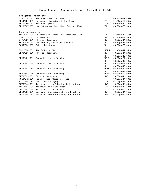| Religious Traditions |                                           |              |                         |
|----------------------|-------------------------------------------|--------------|-------------------------|
| HIST*318*001         | The Greeks and the Romans                 | <b>TTH</b>   | $08:00$ am-09:40am      |
| RELG*206*001         | Holocaust: Genocides in Our Time          | <b>TTH</b>   | $01:45$ pm - $03:25$ pm |
| RELG*250*001         | World Religions                           | <b>TTH</b>   | $09:50$ am-11:30am      |
| RELG*307*050         | Meditation and Mysticism, East and West   | <b>TH</b>    | $06:30$ pm- $08:30$ pm  |
|                      |                                           |              |                         |
| Service Learning     |                                           |              |                         |
| ACCT*218*001         | Volunteer in Income Tax Assistance - VITA | TH.          | $11:45am - 12:35pm$     |
| B10L*319*001         | Epidemiology                              | <b>MWF</b>   | $01:45$ pm-02:50pm      |
| B10L*323*001         | Physical Geography                        | <b>MWF</b>   | $10:30$ am-11:20am      |
| BUSN*430*050         | Contemporary Leadership and Ethics        | M            | $06:30$ pm-10:00pm      |
| COMM*330*050         | Public Relations                          | W            | 06:30pm-09:30pm         |
| CSCI *320 * 001      | The Technical Web                         | <b>MTTHF</b> | $11:45$ am-12:35pm      |
| GE0G*323*001         | Physical Geography                        | <b>MWF</b>   | $10:30$ am-11:20am      |
|                      |                                           | М.           | $08:00$ am-10:00am,     |
| NURS*402*001         | Community Health Nursing                  | <b>WTHF</b>  | $08:00$ am- $02:00$ pm  |
|                      |                                           | М.           | $08:00$ am-10:00am.     |
| NURS*402*002         | Community Health Nursing                  | <b>WTHF</b>  | $08:00$ am-02:00pm      |
|                      |                                           | М.           | $08:00$ am-10:00am,     |
| NURS*402*003         | Community Health Nursing                  | <b>WTHF</b>  | $08:00$ am-02:00pm      |
|                      |                                           | М.           | $08:00$ am-10:00am,     |
| NURS*402*004         | Community Health Nursing                  | <b>WTHF</b>  | $08:00$ am-02:00pm      |
| PHYS*323*001         | Physical Geography                        | <b>MWF</b>   | $10:30$ am-11:20am      |
| P0LS*342*001         | Human Rights, Women's Rights              | <b>TTH</b>   | $09:50$ am-11:30am      |
| PSYC*305*001         | Adulthood and Aging                       | <b>TTH</b>   | $01:45$ pm - $03:25$ pm |
| PSYC*344*001         | Introduction to Behavior Modification     | <b>MWF</b>   | $10:30$ am-11:35am      |
| SOCI *101*001        | Introduction to Sociology                 | <b>TTH</b>   | $09:50$ am-11:30am      |
| SOCI *101*002        | Introduction to Sociology                 | <b>TTH</b>   | $01:45$ pm - $03:25$ pm |
| SPED*208*001         | Survey of Exceptionalities & Practicum    | <b>MWF</b>   | $10:30$ am-11:35am      |
| SPED*208*002         | Survey of Exceptionalities & Practicum    | <b>MWF</b>   | $01:45$ pm-02:50pm      |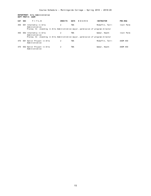#### **DEPARTMENT: Arts Administration DEPT PREFIX: AADM**

| CAT | <b>SEC</b> | TITLE                                                                             | <b>CREDITS</b> | <b>DAYS</b> | HOURS | <b>INSTRUCTOR</b> | PRE-REQ    |
|-----|------------|-----------------------------------------------------------------------------------|----------------|-------------|-------|-------------------|------------|
| 450 | 001        | Internship in Arts<br>Administration                                              | 2              | TBA         |       | McGaffin, Terri   | Instr Perm |
|     |            | Prereq: Sr. standing in Arts Administration major, permission of program director |                |             |       |                   |            |
| 450 |            | 002 Internship in Arts<br>Administration                                          | 2              | <b>TBA</b>  |       | Weber, Heath      | Instr Perm |
|     |            | Prereq: Sr. standing in Arts Administration major, permission of program director |                |             |       |                   |            |
| 470 |            | 001 Senior Project in Arts<br>Administration                                      | 2              | <b>TBA</b>  |       | McGaffin, Terri   | AADM 450   |
| 470 |            | 002 Senior Project in Arts<br>Administration                                      | 2              | <b>TBA</b>  |       | Weber, Heath      | AADM 450   |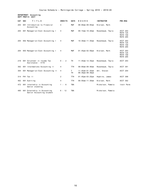**DEPARTMENT: Accounting DEPT PREFIX: ACCT**

| <b>CAT</b> | <b>SEC</b> | TITLE                                                     | <b>CREDITS</b> | <b>DAYS</b> | HOURS                                       | <b>INSTRUCTOR</b> | PRE-REQ                                                           |
|------------|------------|-----------------------------------------------------------|----------------|-------------|---------------------------------------------|-------------------|-------------------------------------------------------------------|
| 203        | 001        | Introduction to Financial<br>Accounting                   | 4              | <b>MWF</b>  | $08:00$ am-09:05am                          | Nielsen, Mark     |                                                                   |
| 204        |            | 001 Managerial/Cost Accounting I                          | 4              | <b>MWF</b>  | $09:15$ am-10:20am                          | Rosenbaum, Twyla  | ACCT 203<br><b>MATH 125</b><br><b>MATH 150</b><br><b>MATH 205</b> |
| 204        |            | 002 Managerial/Cost Accounting I                          | 4              | <b>MWF</b>  | $10:30$ am-11:35am                          | Rosenbaum, Twyla  | ACCT 203<br><b>MATH 125</b><br><b>MATH 150</b><br><b>MATH 205</b> |
| 204        |            | 003 Managerial/Cost Accounting I                          | 4              | MWF         | $01:45$ pm-02:50pm                          | Nielsen, Mark     | ACCT 203<br><b>MATH 125</b><br><b>MATH 150</b><br><b>MATH 205</b> |
| 218        |            | 001 Volunteer in Income Tax<br>Assistance - VITA          | $0 - 2$        | <b>TH</b>   | $11:45am-12:35pm$                           | Rosenbaum, Twyla  | ACCT 203                                                          |
| 302        |            | 001 Intermediate Accounting II                            | 4              | <b>TTH</b>  | $08:00$ am-09:40am                          | Rosenbaum, Twyla  | ACCT 301                                                          |
| 304        |            | 001 Managerial/Cost Accounting II                         | 4              | Τ<br>TН     | $11:45am-01:35am$<br>$06:30$ pm- $08:30$ pm | Uhl, Steven       | ACCT 204                                                          |
| 314        |            | FH1 Tax II                                                | $\overline{2}$ | <b>TTH</b>  | $01:45$ pm - $03:25$ pm                     | Hopkins, James    | ACCT 308                                                          |
| 402        |            | 001 Auditing                                              | 4              | <b>TTH</b>  | $09:50$ am-11:30am                          | Nielsen, Mark     | ACCT 302                                                          |
| 472        |            | 001 Internship in Accounting<br>Senior standing           | $1 -$<br>- 6   | <b>TBA</b>  |                                             | Mickelson, Pamela | Instr Perm                                                        |
| 495        |            | 001 Externship in Accounting<br>Senior Accounting student | $6 - 12$       | <b>TBA</b>  |                                             | Mickelson, Pamela |                                                                   |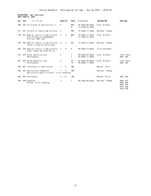**DEPARTMENT: Agri-Business DEPT PREFIX: AGRI**

| CAT | <b>SEC</b><br>TITLE                                                                   | <b>CREDITS</b>          | <b>DAYS</b>     | HOURS                                      | <b>INSTRUCTOR</b> | PRE-REQ                                                         |
|-----|---------------------------------------------------------------------------------------|-------------------------|-----------------|--------------------------------------------|-------------------|-----------------------------------------------------------------|
| 208 | 001 Principles of Agriculture II                                                      | $\overline{4}$          | MWF<br>м        | $08:00$ am-08:50am<br>$12:45$ pm - 03:35pm | Crow, Richard     |                                                                 |
| 271 | 001 History of Food & Agriculture                                                     | $\overline{4}$          | <b>MWF</b>      | $10:30$ am-11:35am                         | Paulsen, Thomas   |                                                                 |
| 345 | 001 Special Topics in Agriculture:<br>Crop Production Management<br>Pre-reg: AGRI 208 | 4 -<br>$\overline{4}$   | MWF<br>т        | $10:30$ am-11:35am<br>$12:45$ pm-03:35pm   | Crow, Richard     |                                                                 |
| 345 | 002 Special Topics in Agriculture:<br>Found. of Agricultural Educ                     | $2 - 4$                 | MW              | $11:45am-12:35pm$                          | Paulsen, Thomas   |                                                                 |
| 345 | 050 Special Topics in Agriculture:<br>Local Foods and Food Policy                     | $4 - 4$                 | M               | $06:30$ pm-10:00pm                         | To be assigned    |                                                                 |
| 351 | 001 Drone Operation and<br>Maintenance                                                | 2                       | т<br>T          | $08:00$ am-09:00am<br>$09:00$ am-11:00am   | Crow, Richard     | Instr Perm<br>AGRI 350                                          |
| 351 | 002 Drone Operation and<br>Maintenance                                                | 2                       | TН<br><b>TH</b> | $08:00$ am-09:00am<br>$09:00$ am-11:00am   | Crow, Richard     | Instr Perm<br>AGRI 350                                          |
| 400 | 001 Internship in Agriculture                                                         | $1 - 4$                 | <b>TBA</b>      |                                            | Benson, Chris     |                                                                 |
| 440 | 001 Agricultural Research<br>Agriculture major or minor; jr/sr standing               | $\overline{4}$<br>$1 -$ | <b>TBA</b>      |                                            | Paulsen, Thomas   |                                                                 |
| 460 | 001 Externship                                                                        | $4 - 16$                | <b>TBA</b>      |                                            | Benson, Chris     | AGRI 380                                                        |
| 480 | 050 Capstone<br>Prereg: Jr/Sr standing                                                | 2                       | T               | $06:35$ pm - $08:35$ pm                    | Paulsen, Thomas   | AGRI 207<br>AGRI 208<br>AGRI 320<br>PHIL 308<br><b>POLS 320</b> |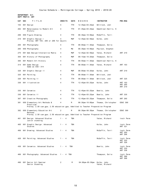#### **DEPARTMENT: Art DEPT PREFIX: ART**

| CAT | <b>SEC</b> | TITLE                                                                                          | <b>CREDITS</b> | DAYS       | HOURS                   | <b>INSTRUCTOR</b>             | <b>PRE-REQ</b>                   |
|-----|------------|------------------------------------------------------------------------------------------------|----------------|------------|-------------------------|-------------------------------|----------------------------------|
| 103 |            | 001 Design                                                                                     | 4              | TTH        | $12:45$ pm - 03:25pm    | Whitlock, Jodi                |                                  |
| 202 |            | 001 Renaissance to Modern Art<br>History                                                       | 4              | TTH        | $01:45$ pm-03:25pm      | Emenhiser-Harris, K           |                                  |
| 206 |            | 050 Figure Drawing                                                                             | 4              | TTH        | $06:30$ pm-10:00pm      | McGaffin, Terri               |                                  |
| 210 |            | 001 Graphic Design I<br>Prereq: ART 103, 205 or 206 for majors                                 |                | MWF        | $12:45$ pm-02:50pm      | Kolbo, John                   |                                  |
| 265 |            | 001 Photography                                                                                | 4              | TTH        | $08:00$ am-11:30am      | Thompson, Dolie               |                                  |
| 265 |            | 050 Photography                                                                                | 4              | MW         | $06:30$ pm-10:00pm      | Paulson, Stephen              |                                  |
| 275 |            | 001 Web Design/Interactive Media                                                               | 4              | MWF        | $12:45$ pm-02:50pm      | Yates, Richard                | ART 210                          |
| 304 |            | 001 History of Photography                                                                     | 4              | MWF        | $09:15$ am-10:20am      | Thompson, Dolie               |                                  |
| 305 |            | 001 Modern Art History                                                                         | 4              | TTH        | $09:50$ am-11:30am      | Emenhiser-Harris, K           |                                  |
| 314 |            | 001 Game Design<br>Same as CSCI 314                                                            | 4              | TTH        | $08:00$ am-11:30am      | Yates, Richard                | ART 103                          |
| 320 |            | 001 Graphic Design II                                                                          | 4              | MWF        | $08:00$ am-10:20am      | Kolbo, John                   | ART 210                          |
| 325 |            | 001 Painting                                                                                   | 4              | TTH        | $08:00$ am-11:30am      | Whitlock, Jodi                |                                  |
| 326 |            | 001 Painting II                                                                                | 4              | TTH        | $08:00$ am-11:30am      | Whitlock, Jodi                | ART 325                          |
| 330 |            | 001 Illustration                                                                               | 4              | TTH        | $12:45$ pm-03:25pm      | Kolbo, John                   | ART 103<br>ART 205<br>ART 210    |
| 335 |            | 001 Ceramics                                                                                   | 4              | TTH        | $12:45$ pm-03:25pm      | Bowitz, John                  |                                  |
| 336 |            | 001 Ceramics II                                                                                | 4              | TTH        | $12:45$ pm - 03:25pm    | Bowitz, John                  | ART 335                          |
| 367 |            | 001 Creative Photography                                                                       | 4              | TTH        | $12:45$ pm-03:25pm      | Thompson, Dolie               | ART 265                          |
| 381 |            | 050 Elementary Art Methods &                                                                   | 4              | M          | $06:30$ pm - 10:00pm    | Thomas, Christopher           | EDUC 300                         |
|     |            | Practicum<br>Prereq: 2.50 cum gpa; 2.50 education gpa; Admitted to Teacher Preparation Program |                |            |                         |                               |                                  |
| 382 |            | 050 Elementary Education Art                                                                   | 2              | M          | $06:30$ pm - $08:30$ pm | Thomas, Christopher           | <b>EDUC 300</b>                  |
|     |            | Methods<br>Prereq: 2.50 cum gpa; 2.50 education gpa; Admitted to Teacher Preparation Program   |                |            |                         |                               |                                  |
| 401 |            | 001 Design: Advanced Studies<br>Junior standing                                                | -4             | TBA        |                         | Yates, Richard                | Instr Perm                       |
| 405 |            | 001 Graphic Design: Advanced<br>Studies                                                        | $1 -$<br>- 4   | <b>TBA</b> |                         | Kolbo, John                   | Instr Perm<br>ART 321            |
|     |            | 406 001 Drawing: Advanced Studies                                                              | $1 - 4$        | TBA        |                         | McGaffin, Terri               | Instr Perm<br>ART 205<br>ART 206 |
| 426 |            | 001 Painting: Advanced Studies                                                                 | $1 - 4$        | TBA        |                         | McGaffin, Terri               | Instr Perm<br>ART 325<br>ART 326 |
| 436 |            | 001 Ceramics: Advanced Studies                                                                 | 1 -<br>- 4     | TBA        |                         | Bowitz, John                  | Instr Perm<br>ART 335<br>ART 336 |
| 466 |            | 001 Photography: Advanced Studies                                                              | 4 TBA<br>$1 -$ |            |                         | Thompson, Dolie               | Instr Perm<br>ART 366<br>ART 368 |
| 490 |            | 001 Senior Art Seminar<br>Senior Standing                                                      | 2              | M          | 04:00pm-05:50pm         | Kolbo, John<br>Yates, Richard |                                  |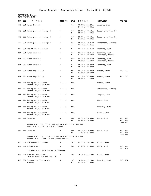#### **DEPARTMENT: Biology DEPT PREFIX: BIOL**

| CAT | <b>SEC</b> | TITLE                                                                                               | <b>CREDITS</b> | <b>DAYS</b> | HOURS                                         | <b>INSTRUCTOR</b>                   | <b>PRE-REQ</b>              |
|-----|------------|-----------------------------------------------------------------------------------------------------|----------------|-------------|-----------------------------------------------|-------------------------------------|-----------------------------|
| 110 |            | 001 Human Biology                                                                                   | 4              | MWF<br>W    | 10:30am-11:20am<br>$01:45$ pm - 03:35pm       | Leugers, Chad                       |                             |
| 116 |            | 001 Principles of Biology I                                                                         | 4              | MWF<br>T    | $08:00$ am-08:50am<br>$09:50$ am-11:40am      | Sesterhenn, Timothy                 |                             |
| 116 |            | 002 Principles of Biology I                                                                         | 4              | MWF<br>TH   | $08:00$ am-08:50am<br>$07:50$ am-09:40am      | Sesterhenn, Timothy                 |                             |
| 116 |            | 004 Principles of Biology I                                                                         | 4              | MWF<br>W    | $09:15$ am-10:05am<br>$11:45$ am-01:35pm      | Sesterhenn, Timothy                 |                             |
| 205 |            | 001 Health and Nutrition                                                                            | 2              | т           | $11:45$ am-01:35pm                            | Spearing, Kurt                      |                             |
| 207 |            | 001 Human Anatomy                                                                                   | 4              | MWF<br>T.   | $01:45$ pm - $02:35$ pm<br>$07:50$ am-09:40am | Spearing, Kurt<br>Ensminger, Amanda |                             |
| 207 |            | 002 Human Anatomy                                                                                   | 4              | MWF<br>T    | $01:45$ pm-02:35pm<br>$09:50$ am-11:40am      | Spearing, Kurt<br>Ensminger, Amanda |                             |
| 207 |            | 050 Human Anatomy                                                                                   | 4              | M<br>T      | 06:30pm-09:00pm<br>$06:30$ pm- $08:20$ pm     | Spearing, Kurt                      |                             |
| 208 |            | 001 Human Physiology                                                                                | 4              | TTH<br>TH   | $01:45$ pm-03:00pm<br>$07:50$ am-09:40am      | Bunker, Aaron                       | BIOL 207                    |
| 208 |            | 002 Human Physiology                                                                                | 4              | TTH<br>TH.  | $01:45$ pm - $03:00$ pm<br>$09:50$ am-11:40am | Bunker, Aaron                       | BIOL 207                    |
| 222 |            | 001 Biological Research<br>Prereq: Major or minor                                                   | 4<br>$1 -$     | TBA         |                                               | Bunker, Aaron                       |                             |
| 222 |            | 002 Biological Research<br>Prereq: Major or minor                                                   | 4<br>1 -       | TBA         |                                               | Sesterhenn, Timothy                 |                             |
| 222 |            | 004 Biological Research<br>Prereq: Major or minor                                                   | 4<br>1 -       | TBA         |                                               | Leugers, Chad                       |                             |
| 222 |            | 005 Biological Research<br>Prereq: Major or minor                                                   | 1 -<br>4       | <b>TBA</b>  |                                               | Moore, Anni                         |                             |
| 222 |            | 006 Biological Research<br>Prereq: Major or minor                                                   | 1 -<br>4       | TBA         |                                               | Spearing, Kurt                      |                             |
| 222 |            | 007 Biological Research<br>Prereq: Major or minor                                                   | 1 -<br>4       | TBA         |                                               | Stroh, James                        |                             |
| 251 |            | 001 Genetics                                                                                        | 4              | MWF<br>TH   | $09:15$ am-10:05am<br>$08:00$ am-10:50am      | Moore, Anni                         | <b>BIOL 116</b><br>BIOL 117 |
|     |            | Prereq: BIOL 116, 117 & CHEM 122 or BIOL 252 & CHEM 122<br>Preq: C or higher in prereg courses      |                |             |                                               |                                     | <b>CHEM 122</b>             |
| 251 |            | 002 Genetics                                                                                        | 4              | MWF<br>TН   | $09:15$ am-10:05am<br>$11:45am-02:35pm$       | Moore, Anni                         | BIOL 116<br>BIOL 117        |
|     |            | Prereq:BIOL 116, 117 & CHEM 122 or BIOL 252 & CHEM 122<br>Prereq: C or higher in all prereq courses |                |             |                                               |                                     | <b>CHEM 122</b>             |
| 317 |            | 001 Environmental Issues                                                                            | 4              | MWF         | $09:15$ am-10:20am                            | Stroh, James                        |                             |
| 319 |            | 001 Epidemiology                                                                                    | 4              | MWF         | $01:45$ pm - $02:50$ pm                       | Moore, Anni                         | BIOL 110                    |
|     |            | College-level math course recommended                                                               |                |             |                                               |                                     | BIOL 252                    |
| 323 |            | 001 Physical Geography<br>Same as GEOG 323 and PHYS 323                                             | 4              | MWF         | $10:30$ am-11:20am                            | Stroh, James                        |                             |
| 415 |            | 001 Comparative Vertebrate<br>Anatomy                                                               | 4              | MWF<br>TH   | $10:30$ am-11:20am<br>$09:50$ am-11:30am      | Spearing, Kurt                      | BIOL 207                    |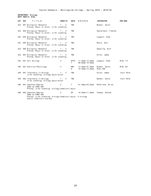**DEPARTMENT: Biology DEPT PREFIX: BIOL**

| CAT SEC | TITLE                                                                                                                              | <b>CREDITS</b> | <b>DAYS</b>      | HOURS                                     | <b>INSTRUCTOR</b>                | PRE-REQ         |
|---------|------------------------------------------------------------------------------------------------------------------------------------|----------------|------------------|-------------------------------------------|----------------------------------|-----------------|
|         | 422 001 Biological Research<br>Prereq: Major or minor; Jr/Sr standing                                                              | $1 - 4$        | <b>TBA</b>       |                                           | Bunker, Aaron                    |                 |
|         | 422 002 Biological Research 1 - 4<br>Prereq: Major or minor; Jr/Sr standing                                                        |                | <b>TBA</b>       |                                           | Sesterhenn, Timothy              |                 |
|         | 422 004 Biological Research<br>Prereq: Major or minor; Jr/Sr standing                                                              | $1 - 4$        | <b>TBA</b>       |                                           | Leugers, Chad                    |                 |
|         | 422 005 Biological Research<br>Prereq: Major or minor; Jr/Sr standing                                                              | $1 - 4$        | <b>TBA</b>       |                                           | Moore, Anni                      |                 |
|         | 422 006 Biological Research<br>Prereq: Major or minor; Jr/Sr standing                                                              | $1 - 4$        | <b>TBA</b>       |                                           | Spearing, Kurt                   |                 |
|         | 422 007 Biological Research<br>Prereq: Major or minor; Jr/Sr standing                                                              | $1 - 4$        | <b>TBA</b>       |                                           | Stroh, James                     |                 |
|         | 432 001 Cell Biology                                                                                                               | 4              | <b>MTTH</b><br>T | $11:45$ am-12:45pm<br>$08:00$ am-10:50am  | Leugers, Chad                    | <b>BIOL 117</b> |
| 440     | 001 Exercise Physiology                                                                                                            | 4              | MWF<br>W         | 12:45pm-01:35pm<br>$10:30$ am- $12:20$ pm | Bunker, Aaron<br><b>BIOL 208</b> | BIOL 321        |
| 450     | 001 Internship in Biology<br>Jr/Sr standing; biology major/minor                                                                   | $1 - 4$        | <b>TBA</b>       |                                           | Stroh, James                     | Instr Perm      |
| 450     | 002 Internship in Biology<br>Jr/Sr standing; biology major/minor                                                                   | $1 - 4$        | <b>TBA</b>       |                                           | Bunker, Aaron                    | Instr Perm      |
| 460     | 001 Capstone Seminar<br>Same as CHEM 460<br>Prereq: Jr/Sr standing; biology/chemistry major                                        | 2              | T                | 01:45pm-03:25pm McFarland, Brian          |                                  |                 |
| 460     | 002 Capstone Seminar<br>Same as CHEM 460<br>Prereq: Jr/Sr standing; biology/chemistry major; 5 biology<br>and/or chemistry courses | $\overline{2}$ | MF               | $10:30$ am-11:20am                        | Thomas, Andrew                   |                 |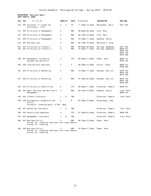#### **DEPARTMENT: Business Admin DEPT PREFIX: BUSN**

| CAT        | <b>SEC</b>             | TITLE                                                                      | <b>CREDITS</b> | <b>DAYS</b>       | HOURS                                    | <b>INSTRUCTOR</b>                      | <b>PRE-REQ</b>                                                                |
|------------|------------------------|----------------------------------------------------------------------------|----------------|-------------------|------------------------------------------|----------------------------------------|-------------------------------------------------------------------------------|
| 218        |                        | 001 Volunteer in Income Tax<br>Assistance - VITA                           | $0 - 2$        | TН                | $11:45$ am-12:35pm                       | Rosenbaum, Twyla                       | ACCT 203                                                                      |
| 231        |                        | 001 Principles of Management                                               | 4              | MWF               | $08:00$ am-09:05am                       | Zink, Mary                             |                                                                               |
| 231        |                        | 002 Principles of Management                                               | 4              | <b>MWF</b>        | $09:15$ am-10:20am                       | Zink, Mary                             |                                                                               |
| 231        |                        | 003 Principles of Management                                               | 4              | <b>MWF</b>        | $10:30$ am-11:35am                       | Wubbena, Daniel                        |                                                                               |
| 314        | 001 Business Law       |                                                                            | 4              | <b>MWF</b>        | $09:15$ am-10:20am                       | Berenstein, Greg                       |                                                                               |
| 321<br>323 |                        | 001 Principles of Finance I<br>001 Principles of Finance II                | 4<br>4         | <b>MWF</b><br>MWF | $08:00$ am-09:05am<br>$10:30$ am-11:35am | Muzinga, Ngamboko<br>Muzinga, Ngamboko | ACCT 204<br><b>BUSN 321</b><br><b>MATH 150</b><br>MATH 125<br><b>MATH 205</b> |
| 330        |                        | 001 Management Information<br>Systems and Analytics                        | 4              | <b>TTH</b>        | $09:50$ am-11:20am                       | Power, Anne                            | <b>BUSN 231</b><br>MATH 150                                                   |
| 340        |                        | 050 International Business                                                 | 4              | T.                | $06:30$ pm-10:30pm                       | Glover, Jason                          | <b>BUSN 231</b><br><b>ECON 200</b>                                            |
| 341        |                        | 001 Principles of Marketing                                                | 4              | <b>MWF</b>        | $10:30$ am-11:35am                       | Eastman, Marilyn                       | <b>MATH 125</b><br><b>MATH 150</b><br><b>MATH 205</b>                         |
| 341        |                        | 002 Principles of Marketing                                                | 4              | MWF               | $01:45$ pm - $02:50$ pm                  | Eastman, Marilyn                       | <b>MATH 125</b><br>MATH 150<br><b>MATH 205</b>                                |
| 342        |                        | 001 Principles of Advertising                                              | 4              | <b>TTH</b>        | $09:50$ am-11:30am                       | Mickelson, Pamela                      | <b>BUSN 341</b>                                                               |
| 349        | Management             | 001 Small Business and Non Profit                                          | 4              | <b>MWF</b>        | $09:15$ am-10:20am                       | Wubbena, Daniel                        | Instr Perm<br><b>BUSN 231</b>                                                 |
| 422        | 001 Finance Internship |                                                                            | - 6<br>$1 -$   | <b>TBA</b>        |                                          | Mickelson, Pamela                      | Instr Perm                                                                    |
| 430        | Ethics                 | 050 Contemporary Leadership and<br>Prereq:Sr. standing;major in Bus. Dept. | 4              | M                 | $06:30$ pm - 10:00pm                     | Delperdang, Cody                       |                                                                               |
| 442        |                        | 001 Marketing Internship                                                   | $1 - 6$        | <b>TBA</b>        |                                          | Mickelson, Pamela                      | Instr Perm                                                                    |
| 448        |                        | 001 Advertising Campaigns                                                  | 4              | TTH               | $01:45$ pm-03:25pm                       | Mickelson, Pamela                      | <b>BUSN 446</b>                                                               |
| 472        |                        | 001 Management Internship                                                  | $1 - 6$        | TBA               |                                          | Mickelson, Pamela                      | Instr Perm                                                                    |
| 484        | 001 Business Policy    | Prereq: Sr. standing; Business core requirements<br>Prereq: Sr. standing   |                | <b>MWF</b>        | $09:15$ am-10:20am                       | Power, Anne                            |                                                                               |
| 484        | 002 Business Policy    | Prereq: Sr. standing; Business core requirements<br>Prereq: Sr. standing   |                | <b>MWF</b>        | $10:30$ am-11:35am                       | Power, Anne                            |                                                                               |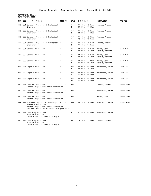**DEPARTMENT: Chemistry DEPT PREFIX: CHEM**

| CAT | <b>SEC</b> | TITLE                                                                                                                                        | <b>CREDITS</b> | <b>DAYS</b>      | HOURS                                                         | <b>INSTRUCTOR</b>              | <b>PRE-REQ</b>  |
|-----|------------|----------------------------------------------------------------------------------------------------------------------------------------------|----------------|------------------|---------------------------------------------------------------|--------------------------------|-----------------|
| 110 |            | 001 General, Organic, & Biological<br>Chemistry                                                                                              | 4              | MWF<br>Τ         | $11:45$ am-12:35pm<br>$07:50$ am-09:40am                      | Thomas, Andrew                 |                 |
| 110 |            | 002 General, Organic, & Biological<br>Chemistry                                                                                              | $\overline{4}$ | MWF<br>Τ         | $11:45$ am-12:35pm<br>$09:50$ am-11:40am                      | Thomas, Andrew                 |                 |
| 110 |            | 003 General, Organic, & Biological<br>Chemistry                                                                                              | 4              | <b>MWF</b><br>M  | $11:45$ am-12:35pm<br>12:45pm-02:35pm                         | Thomas, Andrew                 |                 |
| 110 |            | 004 General, Organic, & Biological<br>Chemistry                                                                                              | 4              | <b>MWF</b><br>T  | $11:45$ am-12:35pm<br>$11:45am-01:35pm$                       | Thomas, Andrew                 |                 |
| 122 |            | 001 General Chemistry II                                                                                                                     | 4              | MWF<br>TH        | $09:15$ am-10:05am<br>$08:00$ am-10:50am                      | Helms, John<br>Stueve, Kenneth | <b>CHEM 121</b> |
| 122 |            | 002 General Chemistry II                                                                                                                     | 4              | MWF<br>T.        | $09:15$ am-10:05am<br>$08:00$ am-10:50am                      | Helms, John<br>Stueve, Kenneth | <b>CHEM 121</b> |
| 122 |            | 003 General Chemistry II                                                                                                                     | 4              | MWF<br>TH        | $10:30$ am-11:20am<br>12:00pm-02:50pm                         | Helms, John<br>Stueve, Kenneth | <b>CHEM 121</b> |
| 202 |            | 001 Organic Chemistry II                                                                                                                     | 4              | <b>MWF</b><br>TН | $08:00$ am-08:50am<br>$08:00$ am-10:50am                      | McFarland, Brian               | <b>CHEM 201</b> |
| 202 |            | 002 Organic Chemistry II                                                                                                                     | 4              | <b>MWF</b><br>W  | $08:00$ am- $08:50$ am<br>$12:00 \text{pm} - 02:50 \text{pm}$ | McFarland, Brian               | <b>CHEM 201</b> |
| 202 |            | 003 Organic Chemistry II                                                                                                                     | 4              | <b>MWF</b><br>TН | $08:00$ am-08:50am<br>$12:00$ pm- $12:50$ pm                  | McFarland, Brian               | <b>CHEM 201</b> |
| 420 |            | 001 Chemical Research<br>Prereq: Department chair permission                                                                                 | $\overline{4}$ | <b>TBA</b>       |                                                               | Thomas, Andrew                 | Instr Perm      |
| 420 |            | 002 Chemical Research<br>Prereq: Department chair permission                                                                                 | 4              | <b>TBA</b>       |                                                               | McFarland, Brian               | Instr Perm      |
| 420 |            | 003 Chemical Research<br>Prereq: Department chair permission                                                                                 | 4              | TBA              |                                                               | Helms, John                    | Instr Perm      |
| 444 |            | 001 Advanced Topics in Chemistry:<br>Forensic Chemistry<br>Prereq: Department chair permission<br>pre-req: CHEM 202 or instructor permission | 4-4            | <b>MWF</b>       | $09:15$ am-10:20am                                            | McFarland, Brian               | Instr Perm      |
| 460 |            | 001 Chemistry Capstone<br>Same as BIOL 460<br>Jr/Sr standing; chemistry major                                                                | 2              | T                | $01:45$ pm - $03:25$ pm                                       | McFarland, Brian               |                 |
| 460 |            | 002 Chemistry Capstone<br>Same as BIOL 460<br>Jr/Sr standing; chemistry major                                                                | 2              | MF               | $10:30$ am-11:20am                                            | Thomas, Andrew                 |                 |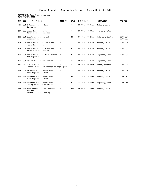#### **DEPARTMENT: Mass Communications DEPT PREFIX: COMM**

| <b>CAT</b> | <b>SEC</b> | TITLE                                                                | <b>CREDITS</b> | <b>DAYS</b> | HOURS                  | <b>INSTRUCTOR</b> | PRE-REQ              |
|------------|------------|----------------------------------------------------------------------|----------------|-------------|------------------------|-------------------|----------------------|
| 101        |            | 001 Introduction to Mass<br>Communication                            | 4              | <b>MWF</b>  | $08:00$ am-09:05am     | Madsen, David     |                      |
| 207        |            | 050 Video Production for<br>Television and the Web                   | 4              | M           | $06:30$ pm-10:00pm     | Iversen, Peter    |                      |
| 260        |            | 001 Sports Journalism and<br>Broadcasting                            | 4              | <b>TTH</b>  | $01:45$ pm-03:25pm     | Anderson, Curtis  | COMM 204<br>COMM 207 |
| 264        |            | 001 Media Practicum: Audio and<br>Radio Production                   | 2              | F           | $11:45am-12:35pm$      | Madsen, David     | COMM 204             |
| 267        |            | 001 Media Practicum: Video and<br>Television Production              | 2              | <b>TH</b>   | $11:45$ am-12:35pm     | Madsen, David     | COMM 207             |
| 268        |            | 001 Media Practicum: News Writing<br>and Reporting                   | 2              | Т           | $11:45$ am-12:35pm     | Fuglsang, Ross    | COMM 208             |
| 311        |            | 001 Law of Mass Communication                                        | 4              | <b>MWF</b>  | $10:30$ am-11:35am     | Fuglsang, Ross    |                      |
| 330        |            | 050 Public Relations<br>Prereq: Mentioned prereqs or dept. perm      |                | W           | $06:30$ pm- $09:30$ pm | Perez, Kristen    | COMM 208             |
| 404        |            | 001 Advanced Media Practicum:<br>KMSC Department Head                | 2              | F           | $11:45$ am-12:35pm     | Madsen, David     | COMM 264             |
| 407        |            | 001 Advanced Media Practicum:<br>MCTV Department Head                | 2              | <b>TH</b>   | $11:45$ am-12:35pm     | Madsen, David     | COMM 267             |
| 408        |            | 001 Advanced Media Practicum:<br>Collegian Reporter Editor           | 2              | т           | $11:45$ am-12:35pm     | Fuglsang, Ross    | COMM 268             |
| 455        |            | 001 Mass Communication Capstone<br>Seminar<br>Prereq: Jr/Sr standing | 4              | <b>TTH</b>  | $09:50$ am-11:30am     | Madsen, David     |                      |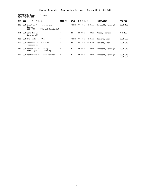#### **DEPARTMENT: Computer Science DEPT PREFIX: CSCI**

| <b>CAT</b> | <b>SEC</b> | TITLE                                                                     | <b>CREDITS</b> | <b>DAYS</b>  | HOURS                   | <b>INSTRUCTOR</b>  | PRE-REQ                        |
|------------|------------|---------------------------------------------------------------------------|----------------|--------------|-------------------------|--------------------|--------------------------------|
| 202        |            | 001 Creating Software on the<br>Server<br>CSCI 160 or HTML and JavaScript | 4              | <b>MTTHF</b> | $11:45am-12:35pm$       | Campbell, Randolph | <b>CSCI</b><br>160             |
| 314        | 001        | Game Design<br>Same as ART 314                                            | 4              | <b>TTH</b>   | $08:00$ am-11:30am      | Yates, Richard     | ART 103                        |
| 320        | 001        | The Technical Web                                                         | 4              | <b>MTTHF</b> | $11:45$ am-12:35pm      | Stevens, Dean      | CSCI 202                       |
| 410        | 001        | Embedded and Realtime<br>Programming                                      | 4              | <b>TTH</b>   | $01:45$ pm - $03:25$ pm | Stevens, Dean      | CSCI 310                       |
| 440        | 001        | Mechanical Reasoning,<br>Intelligence & Learning                          | 2              | т            | $09:50$ am-11:30am      | Campbell, Randolph | CSCI 310                       |
| 490        |            | 001 Masterwork Capstone Seminar                                           | 2              | TН           | $09:50$ am-11:30am      | Campbell, Randolph | <b>CSCI</b><br>315<br>CSCI 331 |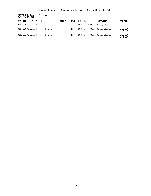**DEPARTMENT: Creative Writing DEPT PREFIX: CWRT**

| <b>CAT</b> | <b>SEC</b> | TITLE                             | <b>CREDITS</b> | <b>DAYS</b> | HOURS           | <b>INSTRUCTOR</b> | <b>PRE-REQ</b>              |
|------------|------------|-----------------------------------|----------------|-------------|-----------------|-------------------|-----------------------------|
| 210        |            | 001 Creative Non-Fiction          | 4              | MWF         | 09:15am-10:20am | Coyne, Stephen    |                             |
| 383        |            | 001 Advanced Fiction Writing      | 4              | TTH         | 09:50am-11:30am | Coyne, Stephen    | ENGL 281<br><b>CWRT 281</b> |
|            |            | 383G 060 Advanced Fiction Writing | $\overline{4}$ | TTH         | 09:50am-11:30am | Covne, Stephen    | ENGL 281<br><b>CWRT 281</b> |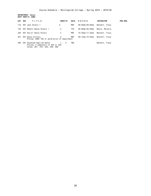**DEPARTMENT: Dance DEPT PREFIX: DANC**

| CAT SEC | TITLE                                                                                             | <b>CREDITS</b> | <b>DAYS</b> | HOURS           | <b>INSTRUCTOR</b> | <b>PRE-REQ</b> |
|---------|---------------------------------------------------------------------------------------------------|----------------|-------------|-----------------|-------------------|----------------|
| 110     | 001 Jazz Studio I                                                                                 | 4              | MWF         | 08:00am-09:05am | Bennett, Tracy    |                |
| 130     | 001 Modern Dance Studio I                                                                         | 2              | TTH         | 08:00am-08:45am | Bohle, Melanie    |                |
| 240     | 001 Social Dance Studio                                                                           | 2              | MWF         | 10:30am-11:35am | Bennett, Tracy    |                |
| 451     | 001 Dance History<br>Prereq: DANC 100 or permission of department                                 | 4              | MWF         | 09:15am-10:20am | Bennett, Tracv    |                |
| 456     | 001 Advanced Applied Dance<br>Prereg: 2 semesters of 255 or 256<br>Coreg: 301, 310, 320, 330, 408 | $1 - 4$        | TBA         |                 | Bennett, Tracy    |                |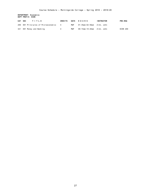**DEPARTMENT: Economics DEPT PREFIX: ECON**

| CAT SEC<br>TITLE                     | <b>CREDITS</b> |     | DAYS HOURS                 | <b>INSTRUCTOR</b> | <b>PRE-REQ</b> |
|--------------------------------------|----------------|-----|----------------------------|-------------------|----------------|
| 200 001 Principles of Microeconomics |                | MWF | 01:45pm-02:50pm Zink, John |                   |                |
| 321 001 Money and Banking            |                | MWF | 09:15am–10:20am Zink, John |                   | ECON 200       |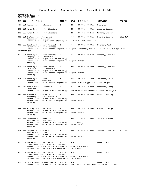#### **DEPARTMENT: Education DEPT PREFIX: EDUC**

| CAT | <b>SEC</b> | TITLE                                                                                                                                                          | <b>CREDITS</b> | <b>DAYS</b> | HOURS                   | <b>INSTRUCTOR</b>  | PRE-REQ         |
|-----|------------|----------------------------------------------------------------------------------------------------------------------------------------------------------------|----------------|-------------|-------------------------|--------------------|-----------------|
| 101 |            | 001 Foundations of Education                                                                                                                                   | 2              | <b>TTH</b>  | 08:50am-09:40am         | Olson, Jan         |                 |
| 290 |            | 001 Human Relations for Educators                                                                                                                              | 4              | <b>TTH</b>  | $09:50$ am-11:30am      | Lubbers, Susanne   |                 |
| 290 |            | 002 Human Relations for Educators                                                                                                                              | 4              | <b>TTH</b>  | $01:45$ pm – $03:25$ pm | Molland, Shelley   |                 |
| 300 |            | 001 Instructional Design and                                                                                                                                   | 4              | <b>MWF</b>  | 08:00am-09:05am         | Glackin, Carolyn   | <b>EDUC 101</b> |
|     |            | Assessment & Practicum<br>Prereq: 2.50 cum gpa; Soph. standing; Pass 2 of 3 PRAXIS Core Tests                                                                  |                |             |                         |                    |                 |
| 308 |            | 050 Teaching Elementary Physical                                                                                                                               | 2              | M           | $06:30$ pm - $08:30$ pm | Brighton, Mark     |                 |
|     |            | Education, Health & Wellness<br>Prereq: Admitted to Teacher Preparation Program; Elementary Education major; 2.50 cum gpa; 2.50<br>education gpa               |                |             |                         |                    |                 |
|     |            | 315 001 Teaching Elementary Reading/                                                                                                                           | 4              | <b>MWF</b>  | $08:00$ am-09:05am      | Kennelly, Jennifer |                 |
|     |            | Language Arts & Practicum<br>Prereq: 2.50 cum gpa; 2.50 education gpa<br>Prereq: Admitted to Teacher Preparation Program; Junior<br>standing                   |                |             |                         |                    |                 |
|     |            | 316 001 Teaching Elementary Social                                                                                                                             | 4              | TTH         | $08:00$ am-09:40am      | Kennelly, Jennifer |                 |
|     |            | Studies/Science & Practicum<br>Prereq: 2.50 cum gpa; 2.50 education gpa<br>Prereq: Admitted to Teacher Preparation Program; Junior<br>standing                 |                |             |                         |                    |                 |
| 317 |            | 001 Teaching Elementary                                                                                                                                        | 5              | MWF         | 10:30am-11:50am         | Stevenson, Celia   |                 |
|     |            | Mathematics & Practicum<br>Prereq: Admitted to Teacher Preparation Program; 2.50 cum gpa; 2.5 education gpa                                                    |                |             |                         |                    |                 |
| 320 |            | 050 Middle School Literacy &                                                                                                                                   | 4              | W           | $06:30$ pm - 10:00pm    | Mansfield, Jenny   |                 |
|     |            | Practicum<br>Prereq: 2.50 cum gpa; 2.50 education gpa; admission to the Teacher Preparation Program                                                            |                |             |                         |                    |                 |
| 321 |            | 001 Methods of Teaching in<br>Secondary Schools & Practicum<br>Prereq: 2.50 cum gpa; 2.50 education gpa                                                        | 4              | <b>TTH</b>  | 08:00am-09:40am         | Molland, Shelley   |                 |
|     |            | Prereq: Admitted to Teacher Preparation Program; Junior<br>standing                                                                                            |                |             |                         |                    |                 |
| 324 |            | 001 Reading in Content Areas                                                                                                                                   |                | MWF         | 09:15am-10:20am         | Glackin, Carolyn   |                 |
|     |            | Prereq: 2.50 cum gpa; 2.50 education gpa<br>Prereq: Admitted to Teacher Preparation Program; junior<br>standing                                                |                |             |                         |                    |                 |
| 405 |            | 001 Classroom Management for<br>Elem and Secondary Teachers                                                                                                    | 2              | TTH         | 11:45am-12:35pm         | Lubbers, Susanne   |                 |
|     |            | Prereq: 2.50 cum qpa; 2.50 education qpa; sr. standing<br>Prereq: Admitted to Teacher Preparation Program; senior<br>standing                                  |                |             |                         |                    |                 |
|     |            | 414 001 Diagnostic Teaching of                                                                                                                                 |                | MWF         | 01:45pm-02:50pm         | Kennelly, Jennifer | <b>EDUC 315</b> |
|     |            | Reading & Practicum<br>Prereg: 2.50 cum qpa; 2.50 education qpa<br>Prereq: Admitted to Teacher Preparation Program; Junior<br>standing                         |                |             |                         |                    |                 |
| 417 |            | 001 Elementary Student Teaching                                                                                                                                | 10             | TBA         |                         | Haase, LuAnn       |                 |
|     |            | Coreg: EDUC 490; Prereg: 2.50 cum qpa<br>Prereq: 2.50 education gpa; admitted to Teacher Preparation<br>Program; admitted to student teaching; Senior standing |                |             |                         |                    |                 |
|     |            | 417 002 Elementary Student Teaching                                                                                                                            | $6 - 10$       | <b>TBA</b>  |                         | Haase, LuAnn       |                 |
|     |            | Coreq: EDUC 490; Prereq: 2.50 cum gpa<br>Prereq: 2.50 education gpa; Admitted to Teacher Preparation<br>Program; admitted to student teaching; Senior standing |                |             |                         |                    |                 |
|     |            | 423 001 Middle School Student Teaching 6 - 10<br>Prereq: 2.50 cum gpa; 2.50 education gpa; Admitted to Student Teaching; coreq: EDUC 490                       |                | TBA         |                         | Haase, LuAnn       |                 |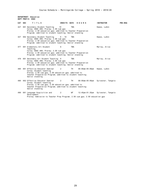#### **DEPARTMENT: Education DEPT PREFIX: EDUC**

| CAT SEC | TITLE                                                                                                                                                                                                        | CREDITS DAYS |            | HOURS              | <b>INSTRUCTOR</b>                  | PRE-REQ |
|---------|--------------------------------------------------------------------------------------------------------------------------------------------------------------------------------------------------------------|--------------|------------|--------------------|------------------------------------|---------|
| 427     | 001 Secondary Student Teaching<br>Coreg: EDUC 490; Prereg: 2.50 cum qpa<br>Prereq: 2.50 education gpa; admitted to Teacher Preparation<br>Program; admitted to student teaching; Senior standing             | 10           | <b>TBA</b> |                    | Haase, LuAnn                       |         |
| 427     | 002 Secondary Student Teaching<br>Coreg: EDUC 490; Prereg: 2.50 cum qpa<br>Prereq: 2.50 education gpa; Admitted to Teacher Preparation<br>Program; admitted to student teaching; Senior standing             | $6 - 10$     | <b>TBA</b> |                    | Haase, LuAnn                       |         |
|         | 477 001 Elementary Art Student<br>Teaching<br>Coreg: EDUC 490; Prereg: 2.50 cum qpa<br>Prereq: 2.50 education gpa; admitted to Teacher Preparation<br>Program; admitted to student teaching; Senior standing | 6            | <b>TBA</b> |                    | Marley, Alice                      |         |
| 478     | 001 Secondary Art Student Teaching 6<br>Coreq: EDUC 490; Prereq: 2.50 cum gpa<br>Prereq: 2.50 education gpa; admitted to Teacher Preparation<br>Program; admitted to student teaching; Senior standing       |              | <b>TBA</b> |                    | Marley, Alice                      |         |
| 490     | 001 Effective Educator Seminar<br>Coreq: Student teaching<br>Prereq: 2.50 cum gpa; 2.50 education gpa; admitted to<br>Teacher Preparation Program; admitted to student teaching;<br>Senior standing          | 2            | TH         | 08:00am-05:00pm    | Haase, LuAnn                       |         |
| 490     | 002 Effective Educator Seminar<br>Coreq: Student teaching<br>Prereq: 2.50 cum gpa; 2.50 education gpa; admitted to<br>Teacher Preparation Program; admitted to student teaching;<br>Senior standing          | 2            | <b>TH</b>  | $08:00$ am-05:00pm | Sylvester, Tangela                 |         |
| 498     | 001 Language Acquisition and<br>Development<br>Prereq: Admission to Teacher Prep Program; 2.50 cum gpa; 2.50 education gpa                                                                                   | 2            | WF         |                    | 12:45pm-01:35pm Sylvester, Tangela |         |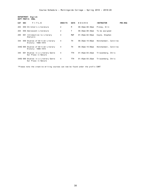|                   | DEPARTMENT: English |
|-------------------|---------------------|
| DEPT PREFIX: ENGL |                     |

| CAT | <b>SEC</b> | TITLE                                                       | <b>CREDITS</b> | <b>DAYS</b> | HOURS                   | <b>INSTRUCTOR</b>     | <b>PRE-REQ</b> |
|-----|------------|-------------------------------------------------------------|----------------|-------------|-------------------------|-----------------------|----------------|
| 203 |            | 050 Children's Literature                                   | 2              | M           | 06:30pm-08:30pm         | Pinney, Erin          |                |
| 204 |            | 050 Adolescent Literature                                   | 2              | Т           | $06:30$ pm – $08:30$ pm | To be assigned        |                |
| 295 |            | 001 Introduction to Literary<br>Analysis                    | 4              | <b>MWF</b>  | $01:45$ pm – $02:50$ pm | Coyne, Stephen        |                |
| 344 |            | 050 Studies of British Literary<br>History: 1688-1815       | 4              | TН          | 06:30pm-10:00pm         | Hotchandani, Carolina |                |
|     |            | 344G 065 Studies of British Literary<br>History: 1688-1815  | 4              | TН          | 06:30pm-10:00pm         | Hotchandani, Carolina |                |
| 345 |            | 001 Studies in a Literary Genre<br>Our Place in Nature      | 4              | TTH         | $01:45$ pm – $03:25$ pm | Triezenberg, Chris    |                |
|     |            | 345G 060 Studies in a Literary Genre<br>Our Place in Nature | 4              | TTH         | 01:45pm-03:25pm         | Triezenberg, Chris    |                |

\*Please note the creative writing courses can now be found under the prefix CWRT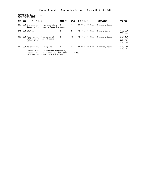**DEPARTMENT: Engineering DEPT PREFIX: ENGR**

| <b>CAT</b> | <b>SEC</b> | TITLE                                                                       | <b>CREDITS</b> | <b>DAYS</b> | HOURS                  | <b>INSTRUCTOR</b> | PRE-REQ                                                                  |  |  |  |
|------------|------------|-----------------------------------------------------------------------------|----------------|-------------|------------------------|-------------------|--------------------------------------------------------------------------|--|--|--|
| 235        |            | 001 Engineering Design Laboratory<br>Coreg: A Quantitative Reasoning course | 2              | MWF         | $08:00$ am-09:05am     | Kinnaman, Laura   |                                                                          |  |  |  |
| 274        |            | 001 Statics                                                                 | 2              | TF          | 12:45pm-01:35pm        | Slaven, David     | <b>PHYS 201</b><br><b>MATH 206</b>                                       |  |  |  |
| 365        | 001        | Modeling and Simulation of<br>Static and Dynamic Systems<br>Coreg: MATH 307 | 2              | MTH         | $12:45$ pm $-01:35$ pm | Kinnaman, Laura   | <b>ENGR 131</b><br><b>ENGR 274</b><br><b>MATH 215</b><br><b>PHYS 211</b> |  |  |  |
| 435        | 001        | Advanced Engineering Lab<br>Prereg: Course in computer programming          | 2              | MWF         | $08:00am - 09:05am$    | Kinnaman, Laura   | <b>PHYS 211</b><br><b>PHYS 212</b>                                       |  |  |  |
|            |            | Prereg: Two courses from ENGR 121, ENGR 324 or 325,                         |                |             |                        |                   |                                                                          |  |  |  |

ENGR 365, PHYS 369, CHEM 121 or 122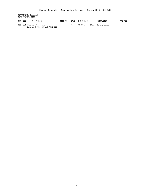**DEPARTMENT: Geography DEPT PREFIX: GEOG**

| CAT SEC | TITLE                                                       | CREDITS |     | DAYS HOURS                   | <b>INSTRUCTOR</b> | <b>PRE-REQ</b> |
|---------|-------------------------------------------------------------|---------|-----|------------------------------|-------------------|----------------|
|         | 323 001 Physical Geography<br>Same as BIOL 323 and PHYS 323 |         | MWF | 10:30am-11:20am Stroh. James |                   |                |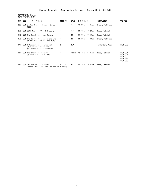**DEPARTMENT: History DEPT PREFIX: HIST**

| CAT | <b>SEC</b> | TITLE                                                                          | <b>CREDITS</b> | <b>DAYS</b> | HOURS              | <b>INSTRUCTOR</b> | PRE-REQ                                                                                     |
|-----|------------|--------------------------------------------------------------------------------|----------------|-------------|--------------------|-------------------|---------------------------------------------------------------------------------------------|
| 226 |            | 001 United States History Since<br>1877                                        | 4              | MWF         | 10:30am-11:35am    | Green, Kathleen   |                                                                                             |
| 250 |            | 001 20th Century World History                                                 | 4              | MWF         | $09:15$ am-10:20am | Bass, Patrick     |                                                                                             |
| 318 |            | 001 The Greeks and the Romans                                                  | 4              | <b>TTH</b>  | $08:00$ am-09:40am | Bass, Patrick     |                                                                                             |
| 358 | 001        | The United States in the Era<br>of the World Wars 1900-1945                    | 4              | <b>TTH</b>  | $09:50$ am-11:30am | Green, Kathleen   |                                                                                             |
| 371 | 001        | Introduction to Archival<br>Studies and Practicum<br>or instructors's approval | 2              | <b>TBA</b>  |                    | Fullerton, Adam   | <b>HIST 370</b>                                                                             |
| 431 |            | 001 The Study of History<br>Co-requisite: HIST 476                             | 4              | MTTHF       | 12:45pm-01:35pm    | Bass, Patrick     | <b>HIST 301</b><br><b>HIST 324</b><br><b>HIST 337</b><br><b>HIST 358</b><br><b>HIST 359</b> |
| 476 |            | 001 Colloquium in History                                                      | $0 - 2$        | TН          | 11:45am-12:35pm    | Bass, Patrick     |                                                                                             |

Prereq: One 300-level course in History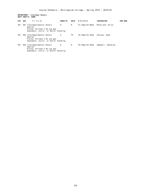#### **DEPARTMENT: Interdept Honors DEPT PREFIX: HONR**

| <b>CAT</b> | <b>SEC</b> | TITLE                                                                                                            | <b>CREDITS</b> | <b>DAYS</b> | HOURS                   | <b>INSTRUCTOR</b>  | <b>PRE-REQ</b> |
|------------|------------|------------------------------------------------------------------------------------------------------------------|----------------|-------------|-------------------------|--------------------|----------------|
| 401        | 001        | Interdepartmental Honors<br>Seminar<br>Prereg: Minimum 3.50 cum qpa<br>Sophomore, Junior, or Senior Standing     | 0              | M           | $01:45$ pm – $03:00$ pm | McFarland, Brian   |                |
| 401        |            | 002 Interdepartmental Honors<br>Seminar<br>Prereg: Minimum 3.50 cum qpa<br>Sophomore, Junior, or Senior Standing | 0              | тн          | 03:30pm-04:45pm         | Stevens, Dean      |                |
| 401        |            | 003 Interdepartmental Honors<br>Seminar<br>Prereg: Minimum 3.50 cum qpa<br>Sophomore, Junior, or Senior Standing | 0              | M           | 03:30pm-04:45pm         | Campbell, Randolph |                |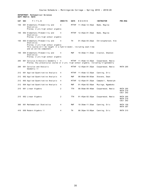#### **DEPARTMENT: Mathematical Sciences DEPT PREFIX: MATH**

| CAT | <b>SEC</b> | TITLE                                                                                                                                                                              | <b>CREDITS</b> | <b>DAYS</b>  | HOURS                   | <b>INSTRUCTOR</b>   | PRE-REQ                                        |
|-----|------------|------------------------------------------------------------------------------------------------------------------------------------------------------------------------------------|----------------|--------------|-------------------------|---------------------|------------------------------------------------|
| 150 |            | 001 Elementary Probability and<br>Statistics<br>Prereq: 2 yrs high school algebra                                                                                                  | 4              | <b>MTTHF</b> | $11:45am-12:35pm$       | Bade, Regina        |                                                |
| 150 |            | 002 Elementary Probability and<br>Statistics<br>Prereq: 2 yrs high school algebra                                                                                                  | 4              | MTTHF        | $12:45$ pm-01:35pm      | Bade, Regina        |                                                |
| 150 |            | 003 Elementary Probability and<br>Statistics<br>Prereq: 2 yrs high school algebra<br>This course will be taught in a hybrid model, including seat-time<br>and an online component. | 4              | TH           | $01:45$ pm - $03:25$ pm | Christopherson, Kim |                                                |
| 150 |            | 004 Elementary Probability and<br>Statistics<br>Prereq: 2 yrs high school algebra                                                                                                  | 4              | <b>MWF</b>   | $10:30$ am-11:35am      | Claxton, Shannon    |                                                |
| 205 |            | 001 Calculus & Analytic Geometry 1 4<br>Prereq: Any precalculus course or 2 yrs. high school algebra, including trigonometry                                                       |                |              | MTTHF 11:45am-12:35pm   | Cooperwood, Neeia   |                                                |
| 206 |            | 001 Calculus and Analytic<br>Geometry II                                                                                                                                           | 4              | <b>MTTHF</b> | $12:45$ pm-01:35pm      | Cooperwood, Neeia   | <b>MATH 205</b>                                |
| 212 |            | 001 Applied Quantitative Analysis                                                                                                                                                  | 4              | <b>MTTHF</b> | $11:45am-12:35pm$       | Canning, Eric       |                                                |
| 212 |            | 002 Applied Quantitative Analysis                                                                                                                                                  | 4              | <b>MWF</b>   | $08:00$ am-09:05am      | Stevens, Dean       |                                                |
| 212 |            | 003 Applied Quantitative Analysis                                                                                                                                                  | 4              | <b>MTTHF</b> | $12:45$ pm-01:35pm      | Campbell, Randolph  |                                                |
| 212 |            | 004 Applied Quantitative Analysis                                                                                                                                                  | 4              | <b>MWF</b>   | $01:45$ pm - 02:50pm    | Muzinga, Ngamboko   |                                                |
| 215 |            | 001 Linear Algebra                                                                                                                                                                 | $\overline{2}$ | <b>TTH</b>   | $08:50$ am-09:40am      | Cooperwood, Neeia   | <b>MATH 205</b><br><b>MATH 210</b><br>CSCI 202 |
| 215 |            | 002 Linear Algebra                                                                                                                                                                 | 2              | TTH          | $01:45$ pm - 02:35pm    | Cooperwood, Neeia   | MATH 205<br>MATH 210<br>CSCI 202               |
| 360 |            | 001 Mathematical Statistics                                                                                                                                                        | 4              | <b>MWF</b>   | $10:30$ am-11:35am      | Canning, Eric       | <b>MATH 150</b><br><b>MATH 307</b>             |
| 416 |            | 050 Modern Algebra II                                                                                                                                                              | 4              | TH           | $06:30$ pm-10:00pm      | Canning, Eric       | <b>MATH 315</b>                                |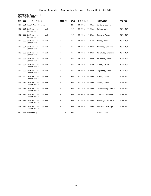# **DEPARTMENT: Morningside DEPT PREFIX: MORN**

| <b>CAT</b> | <b>SEC</b> | TITLE                                     | <b>CREDITS</b> | <b>DAYS</b> | HOURS                | <b>INSTRUCTOR</b>  | <b>PRE-REQ</b> |
|------------|------------|-------------------------------------------|----------------|-------------|----------------------|--------------------|----------------|
| 101        |            | 001 First Year Seminar                    | 4              | <b>TTH</b>  | $09:50$ am-11:30am   | Werden, Leslie     |                |
| 102        |            | 001 Critical Inquiry and<br>Communication | 4              | <b>MWF</b>  | $08:00$ am-09:05am   | Helms, John        | MORN 101       |
| 102        |            | 002 Critical Inquiry and<br>Communication | $\overline{4}$ | <b>MWF</b>  | $09:15$ am-10:20am   | Bunker, Aaron      | MORN 101       |
| 102        |            | 003 Critical Inquiry and<br>Communication | 4              | <b>MWF</b>  | $10:30$ am-11:35am   | Moore, Anni        | MORN 101       |
| 102        |            | 004 Critical Inquiry and<br>Communication | 4              | <b>MWF</b>  | $09:15$ am-10:20am   | Molland, Shelley   | MORN 101       |
| 102        |            | 005 Critical Inquiry and<br>Communication | 4              | <b>MWF</b>  | $09:15$ am - 10:20am | De Clute, Shannon  | MORN 101       |
| 102        |            | 006 Critical Inquiry and<br>Communication | $\overline{4}$ | <b>MWF</b>  | 10:30am-11:20am      | McGaffin, Terri    | MORN 101       |
| 102        |            | 007 Critical Inquiry and<br>Communication | 4              | <b>MWF</b>  | $10:30$ am-11:35am   | Elder, David       | MORN 101       |
| 102        |            | 008 Critical Inquiry and<br>Communication | 4              | <b>MWF</b>  | $09:15$ am-10:20am   | Fuglsang, Ross     | MORN 101       |
| 102        |            | 009 Critical Inquiry and<br>Communication | 4              | MWF         | $01:45$ pm-02:50pm   | Elder, David       | MORN 101       |
| 102        |            | 010 Critical Inquiry and<br>Communication | 4              | <b>MWF</b>  | $01:45$ pm-02:50pm   | Stroh, James       | MORN 101       |
| 102        |            | 011 Critical Inquiry and<br>Communication | 4              | MWF         | $01:45$ pm-02:50pm   | Triezenberg, Chris | MORN 101       |
| 102        |            | 012 Critical Inquiry and<br>Communication | 4              | <b>TTH</b>  | $08:00$ am-09:40am   | Claxton, Shannon   | MORN 101       |
| 102        |            | 013 Critical Inquiry and<br>Communication | 4              | <b>TTH</b>  | $01:45$ pm-03:25pm   | Hennings, Valerie  | MORN 101       |
| 102        |            | 014 Critical Inquiry and<br>Communication | 4              | <b>TTH</b>  | $09:50$ am-11:30am   | Eastman, Marilyn   | MORN 101       |
| 450        |            | 001 Internship                            | $1 - 6$        | <b>TBA</b>  |                      | Stout, John        |                |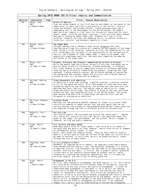|         |                                                        | Spring 2018 MORN 102 Critical Inquiry and Communication                                                                                                                                                                                                                                                                                                                                                                                                                                                                                                                                                                                                                                                                                                                                                                                                           |
|---------|--------------------------------------------------------|-------------------------------------------------------------------------------------------------------------------------------------------------------------------------------------------------------------------------------------------------------------------------------------------------------------------------------------------------------------------------------------------------------------------------------------------------------------------------------------------------------------------------------------------------------------------------------------------------------------------------------------------------------------------------------------------------------------------------------------------------------------------------------------------------------------------------------------------------------------------|
| Section | Instructor / Time                                      | Title / Course Description                                                                                                                                                                                                                                                                                                                                                                                                                                                                                                                                                                                                                                                                                                                                                                                                                                        |
| 001     | Helms, John<br><b>MWF</b><br>$8:00am - 9:05am$         | Rivers of America<br>From the establishment of the first English settlement on the banks of the<br>James River to Lewis and Clark's exploration of the nation's interior<br>along the MIssouri and Columbia Rivers, inland waterways have had a<br>remarkable role in the development of the United States. The modern<br>American River remains a vital topic for discussion. Exploited for their<br>beauty, power, wildlife and water resources, rivers are both badly needed<br>and poorly treated by modern Americans. Students will use critical<br>thinking, research, writing, and speaking skills, to explore scientific,<br>historical, cultural, and economic impacts of rivers.                                                                                                                                                                        |
| 002     | Bunker, Aaron<br>MWF<br>$9:15$ am-10:20am              | The Human Body<br>Through reading from a fantastic book called Incognito and other<br>fascinating writings this course will examine various aspects of the human<br>body. Using critical thinking, research, writing, and speaking skills, we<br>will investigate the influence of our subconscious on our perceptions of<br>reality, the freshman 15, body image, what it means to be human, real<br>people with superhuman qualities, and much more regarding the amazing<br>attributes of the human body.                                                                                                                                                                                                                                                                                                                                                      |
| 003     | Moore, Anni<br><b>MWF</b><br>$10:30$ am-11:35am        | Disease, discovery and disaster: Communicating science principles<br>While few people read the original scientific articles, everybody has an<br>opinion about scientific discoveries, disease outbreaks, or disasters.<br>This class focuses on how to communicate science to different audiences,<br>covering the principles of researching the subject, targeting the right<br>audience, finding credible sources, and different methods of explaining<br>the background and concepts. Books and articles from different popular<br>science writers will be explored as examples.                                                                                                                                                                                                                                                                              |
| 004     | Molland, Shelley<br><b>MWF</b><br>$9:15$ am - 10:20am  | Close Encounters with Addiction<br>Is addiction a relational problem, a medical problem, a societal problem,<br>or all of the above and more? This class speaks to those who have been<br>touched by addiction and those going into professions that work with the<br>addicted and their families. The course looks at addiction to illegal<br>drugs and prescription drugs, the effects of drugs on the user and those<br>around the user, and changing policies in the United States. The course<br>goes beyond drug addiction to understand the addicted brain and the<br>struggles of overcoming an addiction.                                                                                                                                                                                                                                                |
| 005     | De Clute, Shannon<br><b>MWF</b><br>$9:15$ am - 10:20am | Criminal Minds<br>How does the law determine whether someone is insane, or criminal? What<br>could drive someone to commit murder over and over again? Why has our<br>society entered into a phase of unprecedented mass murder? These questions<br>are examined through the lens of different discipline perspectives.                                                                                                                                                                                                                                                                                                                                                                                                                                                                                                                                           |
| 006     | McGaffin, Terri<br><b>MWF</b><br>$10:30$ am-11:35am    | Art Activism<br>"Art should comfort the disturbed and disturb the comfortable." - Banksy<br>This course will explore art activism. We will ask questions about the<br>power of the image, the performance, and the protest. We will engage in<br>research, writing and public speaking.                                                                                                                                                                                                                                                                                                                                                                                                                                                                                                                                                                           |
| 007     | Elder, David<br>MWF<br>10:30am-11:35am                 | U.S. Culture and Comic Books<br>When many people think of "comic books," they think of silly books of<br>cartoons that are mainly for kids. However, comics often mirror or comment<br>on contemporary social issues. In other<br>words, comic books are complex things. They can help lead our country<br>down or a certain path or they can reflect things about our culture which<br>we need to confront. In this class, we will be examining social issues<br>through the lens of comic books.                                                                                                                                                                                                                                                                                                                                                                |
| 008     | Fuglsang, Ross<br><b>MWF</b><br>$09:15$ am-10:20am     | It is a pleasure to burn!<br>DYSTOPIA: An imagined world of despair; an imaginary place where people<br>lead dehumanized and fearful lives. The dystopian landscape is a fixture<br>of American culture, from Fahrenheit 451 and 1984 to The Walking Dead. On<br>screens, both big and small, in fiction, and in graphic novels, dystopian<br>visions warn of our possible future based on present reality. Hardy<br>students will explore the dystopian imagination, how it critiques the<br>world we inhabit, and the virtue of asking questions.                                                                                                                                                                                                                                                                                                               |
| 009     | Elder, David<br><b>MWF</b><br>$1:45$ pm-2:50pm         | Propaganda in the U.S.<br>We've all been exposed to propaganda, but what exactly is it? This course<br>will provide an introduction to different types of persuasion, focusing<br>specifically on the use, history and ethics of propaganda. In order to<br>understand what propaganda is (and what it isn't) we will be looking<br>historically at what has been considered in- and outside the realm of<br>"good" or "acceptable" persuasion. This historical perspective will,<br>hopefully, allow us to distinguish between propaganda and rhetoric and how<br>persuasion turns into willed manipulation of the masses. We will focus<br>mainly on U.S. propaganda from WWI to the 2016 Presidential race. By<br>analyzing various forms of propaganda (printed text, film, speeches,<br>images, etc) we will gain an understanding of how and why propaganda |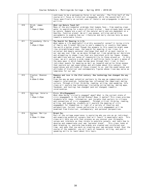|     |                                                    | continues to be a persuasive force in our society. The first half of the<br>course will focus on historical propaganda, while the second half will<br>focus specifically on current uses of rhetoric and propaganda in American<br>politics.                                                                                                                                                                                                                                                                                                                                                                                                                                                                                                                                                                                                                                                                                                                                                                                                                                                                                                                  |
|-----|----------------------------------------------------|---------------------------------------------------------------------------------------------------------------------------------------------------------------------------------------------------------------------------------------------------------------------------------------------------------------------------------------------------------------------------------------------------------------------------------------------------------------------------------------------------------------------------------------------------------------------------------------------------------------------------------------------------------------------------------------------------------------------------------------------------------------------------------------------------------------------------------------------------------------------------------------------------------------------------------------------------------------------------------------------------------------------------------------------------------------------------------------------------------------------------------------------------------------|
| 010 | Stroh, James<br><b>MWF</b><br>$1:45$ pm-2: $50$ pm | What can Nature Teach Us?<br>Many of the environmental problems that humans face - from needing clean<br>water to searching for a more efficient biofuel - have already been solved<br>by nature. Humans are a part of the natural world and are dependent on a<br>healthy, function planet. We will use essays, articles and writing<br>assignments to examine how our lifestyles and daily choices help us move<br>toward a sustainable future.                                                                                                                                                                                                                                                                                                                                                                                                                                                                                                                                                                                                                                                                                                             |
| 011 | Triezenberg, Chris<br>MWF<br>$1:45$ pm $-2:50$ pm  | The Search for Meaning in Life<br>What makes a life meaningful? A wildly successful career? A loving circle<br>of family and friends? Service to one's community or country that makes<br>the world a better place? Though the answers to this question might seem<br>like straightforward ones, the search for meaning in our lives is a<br>universal and deeply personal challenge that each of us must resolve in<br>our own way over time, as we move through our lives weighing our decisions<br>and attempting to shape lives that are consistent with our hopes, dreams,<br>and ambitions and our sense of responsibility to those around us. In this<br>class, we will explore a wide range of nonfiction texts to gain a sense of<br>the many ways in which human beings move through their lives in their<br>individual quests for meaning as well as research and write three essays<br>that explore our own experiences and attitudes about this subject, the<br>experiences and attitudes of those closest to us, and the experiences and<br>attitudes of historical and contemporary figures whose lives may serve as<br>templates for our own. |
| 012 | Claxton, Shannon<br>TTH.<br>$8:00$ am-9:40am       | Romance and love in the 21st century: How technology has changed the way<br>we date<br>From the way we meet potential partners to the way we communicate within<br>romantic relationships, technology has influenced the (American) dating<br>culture. Through critical thinking, reading, writing, and speaking, this<br>class will explore how technology (including online dating, dating apps,<br>facebook, and texting) has changed (and not changed) romantic<br>relationships.                                                                                                                                                                                                                                                                                                                                                                                                                                                                                                                                                                                                                                                                         |
| 013 | Hennings, Valerie<br>TTH<br>$1:45$ pm $-3:25$ pm   | Civic (Dis)Engagement<br>What does being "civically engaged" mean? What is the current state of<br>civic engagement in the United States? Does it matter? This class provides<br>students with ideas, information, and insights that pertain to citizens<br>and conceptions of civic engagement. Through critical thinking, reading,<br>writing, and speaking, students will explore the meaning of civic<br>engagement for themselves in light of a variety of theories and<br>perspectives. Current issues pertaining to civic engagement will be<br>examined from historical, contemporary, and personal perspectives.                                                                                                                                                                                                                                                                                                                                                                                                                                                                                                                                     |
| 014 | Eastman, Marilyn<br>TTH.<br>$9:50$ am-11:30am      | Brand, You,<br>Part of the college experience is exploring who you are as an individual,<br>and examining potential careers that will result in meaningful work. This<br>class will help you with that process as you uncover your strengths,<br>values and interests as they relate to possible careers, and learn how to<br>develop and communicate your own "personal brand".<br>This class looks at<br>what branding is, explores how brands are created and reinforced over<br>time, and asks that you work on creating your own personal brand. Over the<br>course of the semester, you will work on research, writing, and public<br>speaking skills to learn about this topic.                                                                                                                                                                                                                                                                                                                                                                                                                                                                        |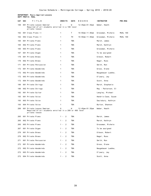# **DEPARTMENT: Music-Applied Lessons DEPT PREFIX: MUAL**

| CAT | <b>SEC</b> | TITLE                                                                                                   | <b>CREDITS</b> | DAYS       | HOURS              | <b>INSTRUCTOR</b>   | <b>PRE-REQ</b>  |
|-----|------------|---------------------------------------------------------------------------------------------------------|----------------|------------|--------------------|---------------------|-----------------|
| 100 |            | 001 Private Lesson Seminar<br>Required of all students enrolled in a 100 level<br>private lesson        | 0              | W          | 12:45pm-01:35pm    | Weber, Heath        |                 |
| 162 |            | 001 Class Piano II                                                                                      | 1              | Τ          | $10:50$ am-11:40am | Grossman, Michele   | <b>MUAL 160</b> |
| 162 |            | 002 Class Piano II                                                                                      | 1              | TН         | 10:50am-11:40am    | Grossman, Michele   | <b>MUAL 160</b> |
| 165 |            | 001 Private Piano                                                                                       | 1              | TBA        |                    | March, James        |                 |
| 165 |            | 002 Private Piano                                                                                       | 1              | TBA        |                    | March, Kathryn      |                 |
| 165 |            | 003 Private Piano                                                                                       | 1              | TBA        |                    | Grossman, Michele   |                 |
| 167 |            | 001 Private Organ                                                                                       | 1              | TBA        |                    | To be assigned      |                 |
| 170 |            | 001 Private Brass                                                                                       | 1              | TBA        |                    | Gibson, Robert      |                 |
| 170 |            | 002 Private Brass                                                                                       | 1              | TBA        |                    | Nagel, Russ         |                 |
| 171 |            | 001 Private Percussion                                                                                  | 1              | TBA        |                    | Smith, Ron          |                 |
| 172 |            | 001 Private Woodwinds                                                                                   | 1              | TBA        |                    | Gross, Diane        |                 |
| 172 |            | 002 Private Woodwinds                                                                                   | 1.             | TBA        |                    | Neugebauer Luebke,  |                 |
| 172 |            | 003 Private Woodwinds                                                                                   | 1              | TBA        |                    | O'Leary, Jay        |                 |
| 172 |            | 004 Private Woodwinds                                                                                   | 1              | TBA        |                    | Scott, Anna         |                 |
| 180 |            | 001 Private Strings                                                                                     | 1.             | TBA        |                    | March, Stephanie    |                 |
| 180 |            | 002 Private Strings                                                                                     | 1              | TBA        |                    | May - Patterson, El |                 |
| 182 |            | 001 Private Guitar                                                                                      | 1              | TBA        |                    | Langley, Michael    |                 |
| 193 |            | 001 Private Voice                                                                                       | 1              | TBA        |                    | Hendrix-Case, Suzan |                 |
| 193 |            | 003 Private Voice                                                                                       | 1              | TBA        |                    | Saulsbury, Kathryn  |                 |
| 193 |            | 004 Private Voice                                                                                       | 1              | TBA        |                    | Burton, Shannon     |                 |
| 200 |            | 001 Private Lesson Seminar<br>Required of all students enrolled in a 200 or 400 level<br>private lesson | 0              | W          | 12:45pm-01:35pm    | Weber, Heath        |                 |
| 265 |            | 001 Private Piano                                                                                       | 2<br>$1 -$     | <b>TBA</b> |                    | March, James        |                 |
| 265 |            | 002 Private Piano                                                                                       | $1 - 2$        | TBA        |                    | March, Kathryn      |                 |
| 265 |            | 003 Private Piano                                                                                       | $1 -$<br>2     | TBA        |                    | Grossman, Michele   |                 |
| 267 |            | 001 Private Organ                                                                                       | 2<br>1 $-$     | TBA        |                    | To be assigned      |                 |
| 270 |            | 001 Private Brass                                                                                       | 1 - 2          | TBA        |                    | Gibson, Robert      |                 |
| 270 |            | 002 Private Brass                                                                                       | $1 - 2$        | TBA        |                    | Nagel, Russ         |                 |
| 271 |            | 001 Private Percussion                                                                                  | $1 - 2$        | TBA        |                    | Smith, Ron          |                 |
| 272 |            | 001 Private Woodwinds                                                                                   | $1 - 2$        | TBA        |                    | Gross, Diane        |                 |
| 272 |            | 002 Private Woodwinds                                                                                   | $1 - 2$        | TBA        |                    | Neugebauer Luebke,  |                 |
| 272 |            | 003 Private Woodwinds                                                                                   | $1 - 2$        | TBA        |                    | O'Leary, Jay        |                 |
| 272 |            | 004 Private Woodwinds                                                                                   | $1 - 2$        | TBA        |                    | Scott, Anna         |                 |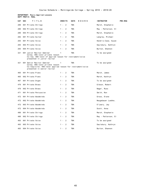#### **DEPARTMENT: Music-Applied Lessons DEPT PREFIX: MUAL**

| CAT | TITLE<br><b>SEC</b>                                                                                                           | <b>CREDITS</b>          | <b>DAYS</b><br>HOURS | <b>INSTRUCTOR</b><br><b>PRE-REQ</b> |
|-----|-------------------------------------------------------------------------------------------------------------------------------|-------------------------|----------------------|-------------------------------------|
| 280 | 001 Private Strings                                                                                                           | $1 - 2$                 | <b>TBA</b>           | March, Stephanie                    |
| 280 | 002 Private Strings                                                                                                           | $1 - 2$                 | TBA                  | May - Patterson, El                 |
| 280 | 003 Private Strings                                                                                                           | $\overline{2}$<br>$1 -$ | TBA                  | March, Stephanie                    |
| 282 | 001 Private Guitar                                                                                                            | $1 - 2$                 | TBA                  | Langley, Michael                    |
| 293 | 001 Private Voice                                                                                                             | $1 - 2$                 | <b>TBA</b>           | Hendrix-Case, Suzan                 |
| 293 | 003 Private Voice                                                                                                             | $1 -$<br>$\overline{2}$ | <b>TBA</b>           | Saulsbury, Kathryn                  |
| 293 | 004 Private Voice                                                                                                             | $1 - 2$                 | TBA                  | Burton, Shannon                     |
| 321 | 001 Junior Recital Seminar                                                                                                    | 1                       | TBA                  | To be assigned                      |
|     | Coreq: 400-level private lesson<br>Co-req: 400-level of applied lesson for instrument/voice<br>presented in junior recital    |                         |                      |                                     |
| 421 | 001 Senior Recital Seminar                                                                                                    | 1                       | <b>TBA</b>           | To be assigned                      |
|     | Coreq: 400-level private lesson<br>Co-requisite: 400-level applied lesson for instrument/voice<br>presented in senior recital |                         |                      |                                     |
| 465 | 001 Private Piano                                                                                                             | $1 - 2$                 | TBA                  | March, James                        |
| 465 | 002 Private Piano                                                                                                             | $1 - 2$                 | <b>TBA</b>           | March, Kathryn                      |
| 467 | 001 Private Organ                                                                                                             | $1 - 2$                 | <b>TBA</b>           | To be assigned                      |
| 470 | 001 Private Brass                                                                                                             | $1 - 2$                 | TBA                  | Gibson, Robert                      |
| 470 | 002 Private Brass                                                                                                             | $1 - 2$                 | <b>TBA</b>           | Nagel, Russ                         |
| 471 | 001 Private Percussion                                                                                                        | $1 - 2$                 | TBA                  | Smith, Ron                          |
| 472 | 001 Private Woodwinds                                                                                                         | $1 - 2$                 | <b>TBA</b>           | Gross, Diane                        |
| 472 | 002 Private Woodwinds                                                                                                         | $1 - 2$                 | <b>TBA</b>           | Neugebauer Luebke,                  |
| 472 | 003 Private Woodwinds                                                                                                         | $1 - 2$                 | TBA                  | O'Leary, Jay                        |
| 472 | 004 Private Woodwinds                                                                                                         | $1 - 2$                 | TBA                  | Scott, Anna                         |
| 480 | 001 Private Strings                                                                                                           | $1 - 2$                 | <b>TBA</b>           | March, Stephanie                    |
| 480 | 002 Private Strings                                                                                                           | $1 - 2$                 | <b>TBA</b>           | May - Patterson, El                 |
| 493 | 001 Private Voice                                                                                                             | $1 -$<br>2              | TBA                  | To be assigned                      |
| 493 | 003 Private Voice                                                                                                             | 2<br>$1 -$              | TBA                  | Saulsbury, Kathryn                  |
| 493 | 004 Private Voice                                                                                                             | $1 - 2$                 | TBA                  | Burton, Shannon                     |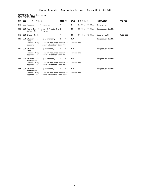# **DEPARTMENT: Music Education DEPT PREFIX: MUED**

| CAT SEC | TITLE                                                                                                                                              | <b>CREDITS</b> | <b>DAYS</b> | HOURS                   | <b>INSTRUCTOR</b>  | PRE-REQ         |
|---------|----------------------------------------------------------------------------------------------------------------------------------------------------|----------------|-------------|-------------------------|--------------------|-----------------|
| 218     | 050 Pedagogy of Percussion                                                                                                                         | 1              | T           | $07:00$ pm – $08:30$ pm | Smith, Ron         |                 |
| 308     | 001 Music Educ Seminar & Pract: The 2<br>School Music Program                                                                                      |                | <b>TTH</b>  | $08:15$ am-09:05am      | Neugebauer Luebke, |                 |
| 415     | 001 Choral Methods                                                                                                                                 |                | <b>TTH</b>  | $01:45$ pm – $02:35$ pm | Weber, Heath       | <b>MUSC 222</b> |
| 440     | 001 Student Teaching-Elementary<br>Vocal<br>Prereq: Completion of required education courses and<br>approval of Teacher Education Committee        | $2 - 6$        | <b>TBA</b>  |                         | Neugebauer Luebke, |                 |
| 442     | 001 Student Teaching-Secondary<br>Vocal<br>Prereq: Completion of required education courses and<br>approval of Teacher Education Committee         | $2 - 6$        | <b>TBA</b>  |                         | Neugebauer Luebke, |                 |
| 443     | 001 Student Teaching-Elementary<br>Instrumental<br>Prereq: Completion of required education courses and<br>approval of Teacher Education Committee | $2 - 6$        | <b>TBA</b>  |                         | Neugebauer Luebke, |                 |
| 444     | 001 Student Teaching-Secondary<br>Instrumental<br>Prereq: Completion of required education courses and<br>approval of Teacher Education Committee  | $2 - 6$        | <b>TBA</b>  |                         | Neugebauer Luebke, |                 |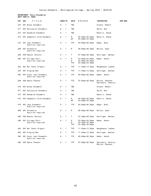### **DEPARTMENT: Music-Ensembles DEPT PREFIX: MUEN**

| CAT | <b>SEC</b> | TITLE                                        | <b>CREDITS</b> |                            | <b>DAYS</b>          | HOURS                                                                 | <b>INSTRUCTOR</b>                     | <b>PRE-REQ</b> |
|-----|------------|----------------------------------------------|----------------|----------------------------|----------------------|-----------------------------------------------------------------------|---------------------------------------|----------------|
| 270 |            | 001 Brass Ensemble                           | $\Theta$ -     | $\overline{1}$             | <b>TBA</b>           |                                                                       | Gibson, Robert                        |                |
| 271 |            | 001 Percussion Ensemble                      | $0 -$          | $\overline{1}$             | <b>TBA</b>           |                                                                       | Smith, Ron                            |                |
| 272 |            | 001 Woodwind Ensemble                        | 0 -            | $\overline{1}$             | <b>TBA</b>           |                                                                       | Macklin, Shane                        |                |
| 273 |            | 001 Symphonic Wind Ensemble                  | $0 -$          | $\overline{1}$             | M<br>WF              | $04:30$ pm - $05:50$ pm<br>$03:00$ pm-04:20pm                         | Macklin, Shane                        |                |
| 274 |            | 001 Jazz Ensemble<br>Audition required       | $0 -$          | $\overline{\phantom{0}}$   | TTH                  | $05:00$ pm - $06:20$ pm                                               | Nagel, Russ                           |                |
| 280 |            | 001 Orchestra<br>Audition required           | 0 - 1          |                            | M                    | 06:00pm-08:30pm                                                       | Burton, Sean                          |                |
| 289 |            | 050 Master Chorale                           | $0 -$          | $\overline{1}$             | Τ                    | $07:30$ pm-09:30pm                                                    | Hettinger, Nathan                     |                |
| 290 |            | 001 College Choir<br>Audition required       | $0 -$          | $\overline{\phantom{0}}$ 1 | M<br>W<br><b>TTH</b> | $03:00$ pm-04:20pm<br>$04:30$ pm - $05:50$ pm<br>$03:30$ pm-04:50pm   | Weber, Heath                          |                |
| 293 |            | 001 Bel Canto Singers                        | $0 -$          | $\overline{\phantom{1}}$   | TTH                  | $11:45$ am-12:35pm                                                    | Neugebauer Luebke,                    |                |
| 294 |            | 001 Singing Men                              | 0 -            | $\overline{1}$             | <b>TTH</b>           | $11:45$ am-12:35pm                                                    | Hettinger, Nathan                     |                |
| 295 |            | 001 Vocal Jazz Ensemble<br>Audition required | $0 -$          | $\overline{\phantom{0}}$   | TTH                  | $05:00$ pm - $06:20$ pm                                               | Weber, Heath                          |                |
| 296 |            | 050 Opera Theater                            | $\Theta$ -     | $\mathbf{1}$               | <b>TTH</b>           | $07:00$ pm - $08:30$ pm                                               | Burton, Shannon<br>Saulsbury, Kathryn |                |
| 470 |            | 001 Brass Ensemble                           | $\Theta$ -     | $\overline{1}$             | <b>TBA</b>           |                                                                       | Gibson, Robert                        |                |
| 471 |            | 001 Percussion Ensemble                      | $0 -$          | $\overline{\phantom{0}}$   | TBA                  |                                                                       | Smith, Ron                            |                |
| 472 |            | 001 Woodwind Ensemble                        | $0 -$          | $\overline{\phantom{1}}$   | TBA                  |                                                                       | Macklin, Shane                        |                |
| 473 |            | 001 Symphonic Wind Ensemble                  | $0 - 1$        |                            | M<br>WF              | $04:30$ pm-05:50pm<br>$03:00$ pm-04:20pm                              | Macklin, Shane                        |                |
| 474 |            | 001 Jazz Ensemble<br>Audition required       | $0 -$          | $\overline{\phantom{0}}$ 1 | <b>TTH</b>           | $05:00$ pm - $06:20$ pm                                               | Nagel, Russ                           |                |
| 480 |            | 001 Orchestra<br>Audition required           | 0 -            | 1                          | M                    | 06:00pm-08:30pm                                                       | Burton, Sean                          |                |
| 489 |            | 050 Master Chorale                           | $\Theta$ -     | $\mathbf{1}$               | T                    | $07:30$ pm - $09:30$ pm                                               | Hettinger, Nathan                     |                |
| 490 |            | 001 College Choir<br>Audition required       | $0 - 1$        |                            | M<br>W<br><b>TTH</b> | $03:00$ pm-04:20pm<br>$04:30$ pm - $05:50$ pm<br>$03:30$ pm - 04:50pm | Weber, Heath                          |                |
| 493 |            | 001 Bel Canto Singers                        | $\Theta$ -     | $\overline{\phantom{0}}$ 1 | <b>TTH</b>           | $11:45$ am-12:35pm                                                    | Neugebauer Luebke,                    |                |
| 494 |            | 001 Singing Men                              | $\Theta$ -     | $\mathbf{1}$               | <b>TTH</b>           | $11:45$ am-12:35pm                                                    | Hettinger, Nathan                     |                |
| 495 |            | 001 Vocal Jazz Ensemble<br>Audition required | $0 - 1$        |                            | TTH                  | $05:00$ pm - $06:20$ pm                                               | Weber, Heath                          |                |
| 496 |            | 050 Opera Theater                            | $0 - 1$        |                            | <b>TTH</b>           | 07:00pm-08:30pm                                                       | Saulsbury, Kathryn<br>Burton, Shannon |                |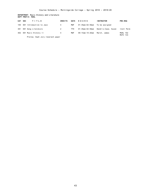# **DEPARTMENT: Music History and Literature DEPT PREFIX: MUHL**

|     | CAT SEC<br>TITLE         | <b>CREDITS</b> | <b>DAYS</b> | H O U R S       | <b>INSTRUCTOR</b>   | <b>PRE-REQ</b>                     |
|-----|--------------------------|----------------|-------------|-----------------|---------------------|------------------------------------|
| 105 | 001 Introduction to Jazz | 4              | MWF         | 01:45pm-02:50pm | To be assigned      |                                    |
| 391 | 001 Song Literature      | 2              | <b>TTH</b>  | 01:45pm-02:50pm | Hendrix–Case, Suzan | Instr Perm                         |
|     | 402 001 Music History II | $\overline{4}$ | MWF         | 09:15am-10:20am | March, James        | <b>MUHL 102</b><br><b>MUTC 133</b> |

Prereq: Soph Jury reserach paper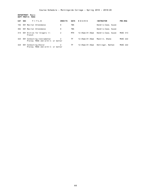**DEPARTMENT: Music DEPT PREFIX: MUSC**

| CAT | <b>SEC</b> | TITLE                                                             | <b>CREDITS</b> | <b>DAYS</b> | HOURS                   | <b>INSTRUCTOR</b>   | PRE-REQ         |
|-----|------------|-------------------------------------------------------------------|----------------|-------------|-------------------------|---------------------|-----------------|
| 102 |            | 001 Recital Attendance                                            | 0              | TBA         |                         | Hendrix-Case, Suzan |                 |
| 302 |            | 001 Recital Attendance                                            | 0              | TBA         |                         | Hendrix-Case, Suzan |                 |
| 314 |            | 001 Diction for Singers II:<br>French                             | 2              | MTH         | $12:45$ pm $-01:35$ pm  | Hendrix-Case, Suzan | <b>MUSC 313</b> |
| 323 |            | 001 Conducting-Instrumental<br>Prereq: MUSC 222 with C- or better |                | TF          | $12:45$ pm $-01:35$ pm  | Macklin, Shane      | <b>MUSC 222</b> |
| 324 |            | 001 Conducting-Choral<br>Prereg: MUSC 222 with C- or better       | 2              | TF          | $12:45$ pm – $01:35$ pm | Hettinger, Nathan   | <b>MUSC 222</b> |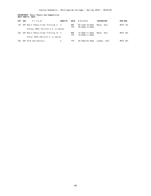# **DEPARTMENT: Music Theory and Composition DEPT PREFIX: MUTC**

| CAT SEC | TITLE                                | <b>CREDITS</b> | <b>DAYS</b> | HOURS                                    | <b>INSTRUCTOR</b> | <b>PRE-REQ</b>  |
|---------|--------------------------------------|----------------|-------------|------------------------------------------|-------------------|-----------------|
| 133     | 001 Music Theory & Ear Training II 4 |                | MWF<br>TTH  | $09:15$ am-10:05am<br>$09:50$ am-10:40am | Mever, Kati       | <b>MUTC 132</b> |
|         | Prereg: MUTC 132 with a C- or better |                |             |                                          |                   |                 |
| 233     | 001 Music Theory & Ear Training IV 4 |                | MWF<br>TTH  | 10:30am-11:20am<br>$10:50$ am-11:40am    | Meyer, Kati       | <b>MUTC 232</b> |
|         | Prerg: MUTC 232 with C- or better    |                |             |                                          |                   |                 |
| 332     | 001 Form and Analysis                | 2              | TTH         | 02:45pm-03:35pm                          | Luebke, John      | <b>MUTC 233</b> |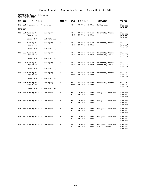### **DEPARTMENT: Nursing Education DEPT PREFIX: NURS**

| CAT             | <b>SEC</b> | TITLE                                       | <b>CREDITS</b> | <b>DAYS</b>       | HOURS                                    | <b>INSTRUCTOR</b>                        | <b>PRE-REQ</b>                                        |
|-----------------|------------|---------------------------------------------|----------------|-------------------|------------------------------------------|------------------------------------------|-------------------------------------------------------|
| 212             |            | 001 Pharmacology Principles                 | 4              | МT                | $10:00am - 12:00pm$                      | Sells, Lauri                             | BIOL 252<br><b>NURS 201</b>                           |
| <b>NURS 204</b> |            |                                             |                |                   |                                          |                                          |                                                       |
| 308             |            | 001 Nursing Care of the Aging<br>Population | 4              | МT<br><b>WTHF</b> | 08:15am-09:45am<br>06:30am-12:30pm       | Haverhals, Amanda                        | BIOL 252<br><b>NURS 201</b><br><b>NURS 204</b>        |
|                 |            | Coreq: BIOL 205 and PSYC 260                |                |                   |                                          |                                          |                                                       |
| 308             |            | 002 Nursing Care of the Aging<br>Population | 4              | MT<br><b>WTHF</b> | $08:15$ am-09:45am<br>$06:30$ am-12:30pm | Haverhals, Amanda                        | BIOL 252<br><b>NURS 201</b><br><b>NURS 204</b>        |
|                 |            | Coreq: BIOL 205 and PSYC 260                |                |                   |                                          |                                          |                                                       |
| 308             |            | 003 Nursing Care of the Aging<br>Population | 4              | <b>MT</b><br>WTHF | $08:15$ am-09:45am<br>06:30am-12:30pm    | Haverhals, Amanda<br>Honsbruch, Danielle | BIOL 252<br><b>NURS 201</b><br><b>NURS 204</b>        |
|                 |            | Coreq: BIOL 205 and PSYC 260                |                |                   |                                          |                                          |                                                       |
| 308             |            | 004 Nursing Care of the Aging<br>Population | 4              | МT<br><b>WTHF</b> | 08:15am-09:45am<br>$06:30$ am-12:30pm    | Haverhals, Amanda<br>Honsbruch, Danielle | BIOL 252<br><b>NURS 201</b><br><b>NURS 204</b>        |
|                 |            | Coreq: BIOL 205 and PSYC 260                |                |                   |                                          |                                          |                                                       |
| 308             |            | 005 Nursing Care of the Aging<br>Population | 4              | MT<br><b>WTHF</b> | 08:15am-09:45am<br>06:30am-12:30pm       | Haverhals, Amanda                        | BIOL 252<br><b>NURS 201</b><br><b>NURS 204</b>        |
|                 |            | Coreg: BIOL 205 and PSYC 260                |                |                   |                                          |                                          |                                                       |
| 308             |            | 006 Nursing Care of the Aging<br>Population | 4              | МT<br><b>WTHF</b> | $08:15$ am-09:45am<br>06:30am-12:30pm    | Haverhals, Amanda                        | BIOL 252<br><b>NURS 201</b><br><b>NURS 204</b>        |
|                 |            | Coreq: BIOL 205 and PSYC 260                |                |                   |                                          |                                          |                                                       |
| 313             |            | 001 Nursing Care of the Family              | 4              | МT<br>W           | 10:00am-11:45am<br>06:30am-12:30pm       | Georgesen, Sharlene                      | <b>NURS 304</b><br><b>NURS 311</b><br><b>NURS 314</b> |
| 313             |            | 002 Nursing Care of the Family              | 4              | МT<br>W           | 10:00am-11:45am<br>06:30am-12:30pm       | Georgesen, Sharlene                      | <b>NURS 304</b><br><b>NURS 311</b><br><b>NURS 314</b> |
| 313             |            | 003 Nursing Care of the Family              | 4              | <b>MT</b><br>W    | 10:00am-11:45am<br>06:30am-12:30pm       | Georgesen, Sharlene                      | <b>NURS 304</b><br><b>NURS 311</b><br><b>NURS 314</b> |
| 313             |            | 004 Nursing Care of the Family              | 4              | <b>MT</b><br>W    | 10:00am-11:45am<br>06:30am-12:30pm       | Georgesen, Sharlene                      | <b>NURS 304</b><br><b>NURS 311</b><br><b>NURS 314</b> |
| 313             |            | 005 Nursing Care of the Family              | 4              | МT<br>W           | 10:00am-11:45am<br>06:30am-12:30pm       | Georgesen, Sharlene<br>French, Sharon    | <b>NURS 304</b><br><b>NURS 311</b><br><b>NURS 314</b> |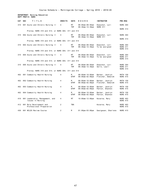### **DEPARTMENT: Nursing Education DEPT PREFIX: NURS**

| <b>CAT</b> | <b>SEC</b> | TITLE                                                | <b>CREDITS</b> | <b>DAYS</b>             | HOURS                                         | <b>INSTRUCTOR</b>                    | <b>PRE-REQ</b>                                        |
|------------|------------|------------------------------------------------------|----------------|-------------------------|-----------------------------------------------|--------------------------------------|-------------------------------------------------------|
| 315        |            | 001 Acute and Chronic Nursing II                     | 4              | <b>MT</b><br><b>THF</b> | $08:00am - 09:50am$<br>$06:30$ am-12:30pm     | Doeschot, Lori<br><b>NURS 311</b>    | <b>NURS 304</b>                                       |
|            |            | Prereq: NURS 310 and 314; or NURS 304, 311 and 314   |                |                         |                                               |                                      | <b>NURS 314</b>                                       |
| 315        |            | 002 Acute and Chronic Nursing II                     | 4              | МT<br><b>THF</b>        | $08:00$ am- $09:50$ am<br>$06:30$ am-12:30pm  | Doeschot, Lori<br><b>NURS 311</b>    | <b>NURS 304</b>                                       |
|            |            | Prereg: NURS 310 and 314; or NURS 304, 311 and 314   |                |                         |                                               |                                      | <b>NURS 314</b>                                       |
| 315        |            | 003 Acute and Chronic Nursing II                     | 4              | МT<br><b>THF</b>        | $08:00$ am-09:50am<br>$06:30$ am-12:30pm      | Doeschot, Lori<br>To be assigned     | <b>NURS 304</b><br><b>NURS 311</b><br><b>NURS 314</b> |
|            |            | Prereq: NURS 310 and 314; or NURS 304, 311 and 314   |                |                         |                                               |                                      |                                                       |
| 315        |            | 004 Acute and Chronic Nursing II                     | 4              | MT<br><b>THF</b>        | $08:00$ am-09:50am<br>$06:30$ am-12:30pm      | Doeschot, Lori<br>To be assigned     | <b>NURS 304</b><br><b>NURS 311</b><br><b>NURS 314</b> |
|            |            | Prereg: NURS 310 and 314; or NURS 304, 311 and 314   |                |                         |                                               |                                      |                                                       |
| 315        |            | 005 Acute and Chronic Nursing II                     | 4              | <b>MT</b><br><b>THF</b> | 08:00am-09:50am<br>$06:30$ am-12:30pm         | Doeschot, Lori<br>Sells, Lauri       | <b>NURS 304</b><br><b>NURS 311</b><br><b>NURS 314</b> |
|            |            | Prereq: NURS 310 and 314; or NURS 304, 311 and 314   |                |                         |                                               |                                      |                                                       |
| 402        |            | 001 Community Health Nursing                         | 4              | M<br><b>WTHF</b>        | $08:00$ am-10:00am<br>$08:00$ am- $02:00$ pm  | Barber, Jacklyn<br>Fletcher, Deborah | <b>MATH 150</b><br><b>NURS 415</b>                    |
| 402        |            | 002 Community Health Nursing                         | 4              | M<br><b>WTHF</b>        | $08:00am - 10:00am$<br>$08:00$ am- $02:00$ pm | Barber, Jacklyn<br>Fletcher, Deborah | <b>MATH 150</b><br><b>NURS 415</b>                    |
| 402        |            | 003 Community Health Nursing                         | 4              | M<br><b>WTHF</b>        | $08:00am - 10:00am$<br>$08:00am - 02:00pm$    | Barber, Jacklyn<br>Patton, Shannon   | <b>MATH 150</b><br><b>NURS 415</b>                    |
| 402        |            | 004 Community Health Nursing                         | 4              | M<br><b>WTHF</b>        | $08:00$ am-10:00am<br>$08:00$ am- $02:00$ pm  | Barber, Jacklyn<br>Patton, Shannon   | <b>MATH 150</b><br><b>NURS 415</b>                    |
| 410        |            | 001 Leadership, Management, and<br>Issues in Nursing | 4              | MT                      | $10:00am - 12:00pm$                           | Kovarna, Mary                        | <b>NURS 403</b><br><b>NURS 415</b>                    |
| 412        |            | 001 Role Development and<br>Professional Preparation | $\overline{2}$ | <b>TBA</b>              |                                               | Kovarna, Mary                        | <b>NURS 403</b><br><b>NURS 415</b>                    |
| 430        |            | 001 NCLEX Review Course                              | 2              | M                       | $01:00$ pm-03:00pm                            | Georgesen, Sharlene                  | <b>NURS 415</b>                                       |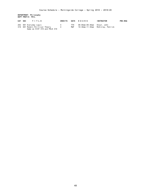**DEPARTMENT: Philosophy DEPT PREFIX: PHIL**

| CAT SEC | TITLE                                                                                      | CREDITS     |                   | DAYS HOURS                  | INSTRUCTOR                        | <b>PRE-REQ</b> |
|---------|--------------------------------------------------------------------------------------------|-------------|-------------------|-----------------------------|-----------------------------------|----------------|
|         | 202 001 Everyday Logic<br>319 001 Modern Political Theory<br>Same as HIST 319 and POLS 319 | $\mathbf 4$ | ттн<br><b>MWF</b> | 08:00am-09:40am Stout. John | 10:30am-11:35am McKinlav. Patrick |                |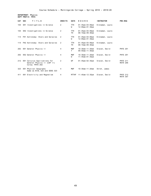**DEPARTMENT: Physics DEPT PREFIX: PHYS**

| <b>CAT</b> | <b>SEC</b> | TITLE                                                                           | <b>CREDITS</b> | <b>DAYS</b>             | HOURS                                                          | <b>INSTRUCTOR</b> | PRE-REQ                            |
|------------|------------|---------------------------------------------------------------------------------|----------------|-------------------------|----------------------------------------------------------------|-------------------|------------------------------------|
| 104        |            | SH1 Investigations in Science                                                   | 2              | <b>TTH</b><br>W         | $01:45$ pm - $03:00$ pm<br>$12:00 \text{pm} - 01:30 \text{pm}$ | Kinnaman, Laura   |                                    |
| 104        |            | SH2 Investigations in Science                                                   | 2              | <b>TTH</b><br><b>TH</b> | $01:45$ pm - $03:00$ pm<br>$08:10$ am-09:40am                  | Kinnaman, Laura   |                                    |
| 114        |            | FH1 Astronomy: Stars and Galaxies                                               | 2              | <b>TTH</b><br>W         | $01:45$ pm-03:00pm<br>$12:00 \text{pm} - 01:30 \text{pm}$      | Kinnaman, Laura   |                                    |
| 114        |            | FH2 Astronomy: Stars and Galaxies                                               | 2              | <b>TTH</b><br>TH        | $01:45$ pm-03:00pm<br>$08:10$ am-09:40am                       | Kinnaman, Laura   |                                    |
| 202        |            | 001 General Physics II                                                          | $\overline{4}$ | <b>MWF</b><br>T.        | $10:30$ am-11:20am<br>$09:50$ am-11:40am                       | Slaven, David     | <b>PHYS 201</b>                    |
| 202        |            | 002 General Physics II                                                          | 4              | <b>MWF</b><br>W         | $10:30$ am-11:20am<br>$11:45$ am-01:35pm                       | Slaven, David     | <b>PHYS 201</b>                    |
| 212        |            | 001 Calculus Applications for<br>General Physics II (CAP II)<br>Coreg: PHYS 202 | 2              | WF                      | $01:45$ pm - $02:35$ pm                                        | Slaven, David     | <b>PHYS 211</b><br><b>MATH 206</b> |
| 323        |            | 001 Physical Geography<br>Same as BIOL 323 and GEOG 323                         | 4              | <b>MWF</b>              | $10:30$ am-11:20am                                             | Stroh, James      |                                    |
| 411        |            | 001 Electricity and Magnetism                                                   | 4              | <b>MTTHF</b>            | $11:45am-12:35pm$                                              | Slaven, David     | <b>PHYS 212</b><br><b>MATH 307</b> |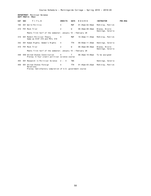# **DEPARTMENT: Political Science DEPT PREFIX: POLS**

| CAT SEC | TITLE                                                                            | <b>CREDITS</b> | <b>DAYS</b>  | HOURS                   | <b>INSTRUCTOR</b>                   | <b>PRE-REQ</b> |
|---------|----------------------------------------------------------------------------------|----------------|--------------|-------------------------|-------------------------------------|----------------|
| 160     | 001 World Politics                                                               | 4              | MWF          | $01:45$ pm – $02:50$ pm | McKinlay, Patrick                   |                |
| 210     | FH1 Mock Trial                                                                   | 2              | W            | $06:30$ pm - $08:30$ pm | Blazey, Nicole                      |                |
|         | Meets first half of the semester; January 10 - February 28                       |                |              |                         | Hennings, Valerie                   |                |
| 319     | 001 Modern Political Theory<br>Same as HIST 319 and PHIL 319                     | 4              | MWF          | 10:30am-11:35am         | McKinlay, Patrick                   |                |
| 342     | 001 Human Rights, Women's Rights                                                 | 4              | TTH          | 09:50am-11:30am         | Hennings, Valerie                   |                |
| 410     | FH1 Mock Trial                                                                   | 2              | W            | $06:30$ pm - $08:30$ pm | Blazey, Nicole<br>Hennings, Valerie |                |
|         | Meets first half of the semester; January 10 - February 28                       |                |              |                         |                                     |                |
| 448     | 050 United States Constitution<br>Prereq: A four credit political science course | $\overline{4}$ | $\mathsf{T}$ | 06:30pm-10:00pm         | To be assigned                      |                |
| 455     | 001 Research in Political Science 2 - 4                                          |                | TBA          |                         | Hennings, Valerie                   |                |
| 459     | 001 United States Foreign<br>Relations                                           | 4              | TTH          | 01:45pm-03:25pm         | McKinlay, Patrick                   |                |
|         | Prereq: Satisfactory completion of U.S. government course                        |                |              |                         |                                     |                |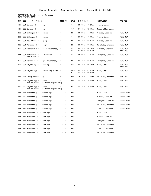### **DEPARTMENT: Psychological Sciences DEPT PREFIX: PSYC**

| CAT | <b>SEC</b><br>TITLE                                           | <b>CREDITS</b>          | DAYS              | HOURS                                         | <b>INSTRUCTOR</b> | <b>PRE-REQ</b>                     |
|-----|---------------------------------------------------------------|-------------------------|-------------------|-----------------------------------------------|-------------------|------------------------------------|
| 101 | 001 General Psychology                                        | 4                       | <b>MWF</b>        | $09:15$ am-10:20am                            | Trunk, Barry      |                                    |
| 101 | 002 General Psychology                                        | 4                       | MWF               | $01:45$ pm - 02:50pm                          | Mascarello, James |                                    |
| 260 | 001 Lifespan Development                                      | 4                       | TTH               | $09:50$ am-11:30am                            | Pleuss, Jessica   | <b>PSYC 101</b>                    |
| 260 | 050 Lifespan Development                                      | 4                       | M                 | $06:30$ pm - 10:00pm                          | Trunk, Barry      | <b>PSYC 101</b>                    |
| 305 | 001 Adulthood and Aging                                       | 4                       | <b>TTH</b>        | $01:45$ pm - $03:25$ pm                       | Pleuss, Jessica   | <b>PSYC 101</b>                    |
| 309 | 001 Abnormal Psychology                                       | 4                       | TTH               | $08:00am - 09:40am$                           | De Clute, Shannon | <b>PSYC 101</b>                    |
| 312 | 001 Research Methods in Psychology                            | 4                       | MWF<br>MWF        | $01:45$ pm - $02:50$ pm<br>$03:00$ pm-03:25pm | Claxton, Shannon  | <b>PSYC 101</b><br><b>MATH 150</b> |
| 344 | 001 Introduction to Behavior<br>Modification                  | 4                       | MWF               | $10:30$ am-11:35am                            | LaPaglia, Jessica | PSYC 101                           |
| 355 | 001 Forensic and Legal Psychology                             | 4                       | TTH               | $01:45$ pm-03:25pm                            | LaPaglia, Jessica | <b>PSYC 101</b>                    |
| 411 | 001 Psychological Testing                                     | 4                       | MWF               | $01:45$ pm - $02:50$ pm                       | Hill, Jack        | <b>PSYC 101</b><br><b>MATH 150</b> |
| 421 | 001 Psychology of Counseling & Lab                            | 4                       | <b>MTHF</b><br>T. | $12:45$ pm-01:35pm<br>12:45pm-02:25pm         | Hill, Jack        | PSYC 101                           |
| 422 | 001 Group Counseling                                          | 4                       | MWF               | 10:30am-11:35am                               | De Clute, Shannon | PSYC 101                           |
| 450 | 001 Psychology Capstone<br>Senior standing; Psych majors only | 2                       | MTH               | $11:45am-12:35pm$                             | Hill, Jack        | <b>PSYC 101</b>                    |
| 450 | 002 Psychology Capstone<br>Senior standing; Psych majors only | 2                       | TF                | $11:45am-12:35pm$                             | Hill, Jack        | <b>PSYC 101</b>                    |
| 462 | 001 Internship in Psychology                                  | $1 -$<br>$\overline{4}$ | TBA               |                                               | Hill, Jack        | Instr Perm                         |
| 462 | 002 Internship in Psychology                                  | $1 -$<br>- 4            | <b>TBA</b>        |                                               | Pleuss, Jessica   | Instr Perm                         |
| 462 | 003 Internship in Psychology                                  | -4<br>1 -               | <b>TBA</b>        |                                               | LaPaglia, Jessica | Instr Perm                         |
| 462 | 004 Internship in Psychology                                  | $\overline{4}$<br>$1 -$ | <b>TBA</b>        |                                               | De Clute, Shannon | Instr Perm                         |
| 462 | 005 Internship in Psychology                                  | $1 -$<br>$\overline{4}$ | <b>TBA</b>        |                                               | Claxton, Shannon  | Instr Perm                         |
| 463 | 001 Research in Psychology                                    | $1 -$<br>- 4            | <b>TBA</b>        |                                               | Hill, Jack        |                                    |
| 463 | 002 Research in Psychology                                    | 1 -<br>- 4              | <b>TBA</b>        |                                               | Pleuss, Jessica   |                                    |
| 463 | 003 Research in Psychology                                    | $\overline{4}$<br>$1 -$ | <b>TBA</b>        |                                               | LaPaglia, Jessica |                                    |
| 463 | 004 Research in Psychology                                    | 4<br>$1 -$              | <b>TBA</b>        |                                               | De Clute, Shannon |                                    |
| 463 | 005 Research in Psychology                                    | $1 -$<br>-4             | <b>TBA</b>        |                                               | Claxton, Shannon  |                                    |
| 463 | 006 Research in Psychology                                    | $1 -$<br>4              | TBA               |                                               | De Clute, Shannon |                                    |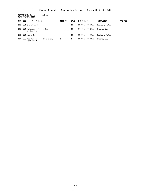# **DEPARTMENT: Religious Studies DEPT PREFIX: RELG**

| <b>CAT</b> | <b>SEC</b> | TITLE                                          | <b>CREDITS</b> | <b>DAYS</b> | HOURS              | <b>INSTRUCTOR</b> | PRE-REQ |
|------------|------------|------------------------------------------------|----------------|-------------|--------------------|-------------------|---------|
| 200        |            | 001 Christian Ethics                           | 4              | TTH         | $08:00$ am-09:40am | Speiser, Peter    |         |
| 206        | 001        | Holocaust: Genocides<br>in Our Time            | 4              | TTH         | 01:45pm-03:25pm    | Greene. Guv       |         |
| 250        |            | 001 World Religions                            | 4              | TTH         | 09:50am-11:30am    | Speiser, Peter    |         |
| 307        |            | 050 Meditation and Mysticism,<br>East and West | 2              | TН          | 06:30pm-08:30pm    | Greene. Guv       |         |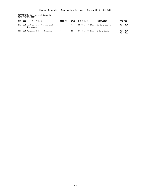## **DEPARTMENT: Writing and Rhetoric DEPT PREFIX: RHET**

| CAT | <b>SEC</b><br>TITLE                              | <b>CREDITS</b> | <b>DAYS</b> | HOURS              | <b>INSTRUCTOR</b> | <b>PRE-REQ</b>              |
|-----|--------------------------------------------------|----------------|-------------|--------------------|-------------------|-----------------------------|
|     | 215 001 Writing in a Professional<br>Environment | 4              | MWF         | $09:15$ am-10:20am | Werden, Leslie    | MORN 101                    |
| 301 | 001 Advanced Public Speaking                     | 4              | TTH         | 01:45pm-03:25pm    | Elder, David      | MORN 101<br><b>MORN 102</b> |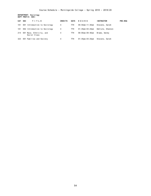**DEPARTMENT: Sociology DEPT PREFIX: SOCI**

| <b>CAT</b> | <b>SEC</b> | TITLE                                    | <b>CREDITS</b> | <b>DAYS</b> | HOURS           | <b>INSTRUCTOR</b> | PRE-REQ |
|------------|------------|------------------------------------------|----------------|-------------|-----------------|-------------------|---------|
| 101        | 001        | Introduction to Sociology                | 4              | TTH         | 09:50am-11:30am | Stevens, Sarah    |         |
| 101        |            | 002 Introduction to Sociology            | 4              | <b>TTH</b>  | 01:45pm-03:25pm | DeClute, Shannon  |         |
| 214        |            | 001 Race, Ethnicity, and<br>Social Class | 4              | TTH         | 08:00am-09:40am | Brame, Wendy      |         |
| 323        |            | 001 Families and Society                 | 4              | TTH         | 01:45pm-03:25pm | Stevens, Sarah    |         |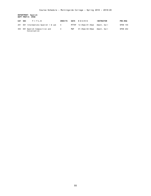**DEPARTMENT: Spanish DEPT PREFIX: SPAN**

| CAT | <b>SEC</b> | TITLE                                       | <b>CREDITS</b> | <b>DAYS</b> | HOURS                             | <b>INSTRUCTOR</b> | <b>PRE-REQ</b>  |
|-----|------------|---------------------------------------------|----------------|-------------|-----------------------------------|-------------------|-----------------|
| 201 |            | 001 Intermediate Spanish I & Lab            | 4              |             | MTTHF 12:45pm-01:35pm Ament, Gail |                   | <b>SPAN 155</b> |
| 303 |            | 001 Spanish Composition and<br>Conversation | 4              | MWF         | 01:45pm-02:50pm                   | Ament. Gail       | SPAN 202        |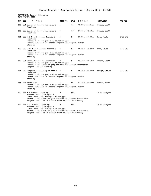### **DEPARTMENT: Special Education DEPT PREFIX: SPED**

| CAT | <b>SEC</b> | TITLE                                                                                                                                                                                                                      | <b>CREDITS</b> | <b>DAYS</b> | HOURS                   | <b>INSTRUCTOR</b> | <b>PRE-REQ</b> |
|-----|------------|----------------------------------------------------------------------------------------------------------------------------------------------------------------------------------------------------------------------------|----------------|-------------|-------------------------|-------------------|----------------|
| 208 |            | 001 Survey of Exceptionalities &<br>Practicum                                                                                                                                                                              | 4              | <b>MWF</b>  | $10:30$ am-11:35am      | Arnett, Scott     |                |
| 208 |            | 002 Survey of Exceptionalities &<br>Practicum                                                                                                                                                                              | 4              | MWF         | $01:45$ pm - $02:50$ pm | Arnett, Scott     |                |
| 364 |            | 050 K-6 Mild/Moderate Methods &<br>Practicum<br>Prereq: 2.50 cum gpa; 2.50 education gpa<br>Prereq: Admitted to Teacher Preparation Program; Junior<br>standing                                                            | 4              | TH          | $06:30$ pm-10:00pm      | Hamp, Paula       | SPED 340       |
| 366 |            | 050 7-12 Mild/Moderate Methods &<br>Practicum<br>Prereq: 2.50 cum gpa; 2.50 education gpa<br>Prereq: Admitted to Teacher Preparation Program; Junior<br>standing                                                           | 4              | TH          | $06:30$ pm-10:00pm      | Hamp, Paula       | SPED 340       |
| 402 |            | 001 School-Parent Collaboration<br>Prereq: 2.50 cum gpa; 2.50 education gpa<br>Prereq: 2.50 education gpa; admitted to Teacher Preparation<br>Program; Junior standing                                                     | 2              | Τ           | 01:45pm-02:50pm         | Arnett, Scott     |                |
| 407 |            | 050 Diagnostic Teaching of Math &<br>Practicum<br>Prereq: 2.50 cum gpa; 2.50 education gpa<br>Prereq: Admitted to Teacher Preparation Program; Junior<br>standing                                                          | 2              | T           | $06:30$ pm- $08:30$ pm  | McHugh, Steven    | SPED 340       |
| 455 |            | 001 Transition<br>Prereq: 2.50 cum gpa; 2.50 education gpa<br>Prereq: Admitted to Teacher Preparation Program; Junior<br>standing                                                                                          | 2              | TH          | 01:45pm-02:50pm         | Arnett, Scott     |                |
| 470 |            | 001 K-6 Student Teaching:<br>Instructional Strategist I<br>Coreq: EDUC 490; Prereq: 2.50 cum gpa<br>Prereq: 2.50 education gpa; Admitted to Teacher Preparation<br>Program; admitted to student teaching; Senior standing  | 6              | <b>TBA</b>  |                         | To be assigned    |                |
| 471 |            | 001 7-12 Student Teaching:<br>Instructional Strategist I<br>Coreq: EDUC 490; Prereq: 2.50 cum gpa<br>Prereq: 2.50 education gpa; Admitted to Teacher Preparation<br>Program; admitted to student teaching; Senior standing | 6              | <b>TBA</b>  |                         | To be assigned    |                |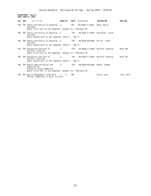**DEPARTMENT: Sports DEPT PREFIX: SPRT**

| CAT SEC | TITLE                                                                                   | <b>CREDITS</b> | <b>DAYS</b> | HOURS                         | <b>INSTRUCTOR</b>                | <b>PRE-REQ</b>  |  |  |  |
|---------|-----------------------------------------------------------------------------------------|----------------|-------------|-------------------------------|----------------------------------|-----------------|--|--|--|
| 230     | FH1 Theory and Ethics of Coaching 2<br>Athletes                                         |                | <b>TTH</b>  | 09:50am-11:30am               | Nash, David                      |                 |  |  |  |
|         | Meets first half of the semester; January 10 - February 28                              |                |             |                               |                                  |                 |  |  |  |
|         | 230 SH1 Theory and Ethics of Coaching 2<br>Athletes                                     |                | TTH T       |                               | 09:50am-11:30am Stevenson, Jacob |                 |  |  |  |
|         | Meets second half of the semester; March 1 - May 8                                      |                |             |                               |                                  |                 |  |  |  |
| 230     | SH2 Theory and Ethics of Coaching 2<br>Athletes                                         |                | TTH         | 08:00am-09:40am Miller. Trent |                                  |                 |  |  |  |
|         | Meets second half of the semester; March 1 - May 8                                      |                |             |                               |                                  |                 |  |  |  |
|         | 254 FH1 Prevention and Care of<br>Athletic Injuries                                     | 2              | TTH         |                               | 09:50am-11:30am Burford, Kathryn | <b>BIOL 207</b> |  |  |  |
|         | Meets first half of the semester; January 10 - February 28                              |                |             |                               |                                  |                 |  |  |  |
|         | 254 SH1 Prevention and Care of<br>Athletic Injuries                                     | 2              | TTH         |                               | 09:50am-11:30am Burford, Kathryn | <b>BIOL 207</b> |  |  |  |
|         | Meets second half of the semester; March 1 - May 8                                      |                |             |                               |                                  |                 |  |  |  |
| 320     | FH1 Sports Administration and 2<br>Organization                                         |                | TTH         | 08:00am-09:40am Maxon, Thomas |                                  |                 |  |  |  |
|         | Prereg or Coreg: BUSN 231<br>Meets first half of the semester; January 10 - February 28 |                |             |                               |                                  |                 |  |  |  |
| 450     | 001 Sports Management Internship<br>Prereq: Completed 12 hours in minor                 | $1 - 4$        | <b>TBA</b>  |                               | Stout, John                      | Instr Perm      |  |  |  |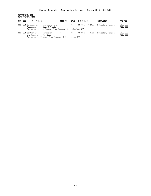**DEPARTMENT: ESL DEPT PREFIX: TESL**

| CAT SEC | TITLE                                                                                                                          | <b>CREDITS</b> | DAYS | HOURS | <b>INSTRUCTOR</b>                  | <b>PRE-REQ</b>              |
|---------|--------------------------------------------------------------------------------------------------------------------------------|----------------|------|-------|------------------------------------|-----------------------------|
| 408     | 001 Language Arts Instruction and 4<br>Assessment for ELLs & Pract.<br>Admission to the Teacher Prep Program; 2.5 educ/cum GPA |                | MWF  |       | 09:15am-10:20am Sylvester, Tangela | EDUC 333<br><b>TESL 333</b> |
| 409     | 001 Content Area Instruction<br>and Assessment for ELLs<br>Admission to Teacher Prep Program; 2.5 educ/cum GPA                 | $\overline{4}$ | MWF  |       | 10:30am-11:35am Sylvester, Tangela | EDUC 333<br><b>TESL 333</b> |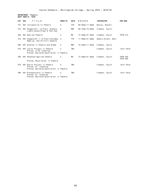# **DEPARTMENT: Theatre DEPT PREFIX: THTR**

| TITLE                           | <b>CREDITS</b>                                                                                                                                                                                                                                                                                                                                                                    | <b>DAYS</b>                                                                                                                   | HOURS              | <b>INSTRUCTOR</b>   | PRE-REQ         |
|---------------------------------|-----------------------------------------------------------------------------------------------------------------------------------------------------------------------------------------------------------------------------------------------------------------------------------------------------------------------------------------------------------------------------------|-------------------------------------------------------------------------------------------------------------------------------|--------------------|---------------------|-----------------|
|                                 | $\overline{4}$                                                                                                                                                                                                                                                                                                                                                                    | <b>TTH</b>                                                                                                                    | $09:50$ am-11:30am | Wooley, Russell     |                 |
| Lights, Sound, Props & Tech Asp | 4                                                                                                                                                                                                                                                                                                                                                                                 | MWF                                                                                                                           | $09:15$ am-10:20am | Clemens, Taylor     |                 |
|                                 | 2                                                                                                                                                                                                                                                                                                                                                                                 | МW                                                                                                                            | $12:45$ pm-01:35pm | Clemens, Taylor     | <b>THTR 215</b> |
| Make-up, and Artistic Aspects   | $\overline{4}$                                                                                                                                                                                                                                                                                                                                                                    | <b>TTH</b>                                                                                                                    | $11:50am-01:30pm$  | Skewis-Arnett, Bett |                 |
|                                 | 4                                                                                                                                                                                                                                                                                                                                                                                 | MWF                                                                                                                           | $10:30$ am-11:35am | Clemens, Taylor     |                 |
|                                 | 2                                                                                                                                                                                                                                                                                                                                                                                 | <b>TBA</b>                                                                                                                    |                    | Clemens, Taylor     | Instr Perm      |
|                                 |                                                                                                                                                                                                                                                                                                                                                                                   |                                                                                                                               |                    |                     |                 |
|                                 | 2                                                                                                                                                                                                                                                                                                                                                                                 | МW                                                                                                                            | $12:45$ pm-01:35pm |                     | <b>THTR 255</b> |
| Prereq: Major/minor in Theatre  |                                                                                                                                                                                                                                                                                                                                                                                   |                                                                                                                               |                    |                     | <b>THTR 256</b> |
|                                 | $\overline{4}$                                                                                                                                                                                                                                                                                                                                                                    | <b>TBA</b>                                                                                                                    |                    | Clemens, Taylor     | Instr Perm      |
|                                 |                                                                                                                                                                                                                                                                                                                                                                                   |                                                                                                                               |                    |                     |                 |
|                                 | 2                                                                                                                                                                                                                                                                                                                                                                                 | <b>TBA</b>                                                                                                                    |                    | Clemens, Taylor     | Instr Perm      |
|                                 |                                                                                                                                                                                                                                                                                                                                                                                   |                                                                                                                               |                    |                     |                 |
| <b>SEC</b>                      | 001 Introduction to Theatre<br>001 Stagecraft   & Pract: Scenery,<br>001 Applied Theatre<br>001 Stagecraft II & Pract: Costumes<br>001 Studies in Theatre and Drama<br>001 Junior Project in Theatre<br>Prereq: Jr/Sr standing;<br>001 Advanced Applied Theatre<br>001 Senior Project in Theatre<br>Prereq: Sr. standing;<br>001 Preceptorship in Theatre<br>Prereq: Sr. standing | Prereq: Declared major/minor in Theatre<br>Prereq: Declared major/minor in Theatre<br>Prereq: Declared major/minor in Theatre |                    |                     | Clemens, Taylor |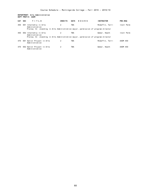# **DEPARTMENT: Arts Administration DEPT PREFIX: AADM**

| CAT | <b>SEC</b> | TITLE                                                                             | <b>CREDITS</b> | <b>DAYS</b> | HOURS | <b>INSTRUCTOR</b> | <b>PRE-REQ</b> |
|-----|------------|-----------------------------------------------------------------------------------|----------------|-------------|-------|-------------------|----------------|
| 450 | 001        | Internship in Arts<br>Administration                                              | 2              | TBA         |       | McGaffin, Terri   | Instr Perm     |
|     |            | Prereq: Sr. standing in Arts Administration major, permission of program director |                |             |       |                   |                |
| 450 |            | 002 Internship in Arts<br>Administration                                          | 2              | TBA         |       | Weber, Heath      | Instr Perm     |
|     |            | Prereq: Sr. standing in Arts Administration major, permission of program director |                |             |       |                   |                |
| 470 |            | 001 Senior Project in Arts<br>Administration                                      | 2              | TBA         |       | McGaffin, Terri   | AADM 450       |
| 470 |            | 002 Senior Project in Arts<br>Administration                                      | 2              | TBA         |       | Weber, Heath      | AADM 450       |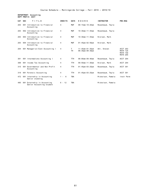**DEPARTMENT: Accounting DEPT PREFIX: ACCT**

| <b>CAT</b> | <b>SEC</b> | TITLE                                                 | <b>CREDITS</b> | <b>DAYS</b>    | HOURS                                       | <b>INSTRUCTOR</b> | PRE-REQ                                                           |
|------------|------------|-------------------------------------------------------|----------------|----------------|---------------------------------------------|-------------------|-------------------------------------------------------------------|
| 203        |            | 001 Introduction to Financial<br>Accounting           | 4              | <b>MWF</b>     | $09:15$ am-10:20am                          | Rosenbaum, Twyla  |                                                                   |
| 203        |            | 002 Introduction to Financial<br>Accounting           | 4              | MWF            | $10:30$ am-11:35am                          | Rosenbaum, Twyla  |                                                                   |
| 203        |            | 003 Introduction to Financial<br>Accounting           | 4              | <b>MWF</b>     | $10:30$ am-11:35am                          | Nielsen, Mark     |                                                                   |
| 203        |            | 004 Introduction to Financial<br>Accounting           | 4              | <b>MWF</b>     | $01:45$ pm-02:50pm                          | Nielsen, Mark     |                                                                   |
| 204        |            | 001 Managerial/Cost Accounting I                      | $\overline{4}$ | T<br><b>TH</b> | $11:45am-01:35pm$<br>$06:30$ pm- $08:30$ pm | Uhl, Steven       | ACCT 203<br><b>MATH 125</b><br><b>MATH 150</b><br><b>MATH 205</b> |
| 301        |            | 001 Intermediate Accounting I                         | 4              | <b>TTH</b>     | $08:00$ am-09:40am                          | Rosenbaum, Twyla  | ACCT 204                                                          |
| 308        |            | 001 Income Tax Accounting                             | 4              | <b>TTH</b>     | $09:50$ am-11:30am                          | Nielsen, Mark     | ACCT 204                                                          |
| 315        |            | 001 Governmental and Non Profit<br>Accounting         | 4              | TTH            | $01:45$ pm-03:25pm                          | Rosenbaum, Twyla  | ACCT 301                                                          |
| 319        |            | 001 Forensic Accounting                               | 4              | <b>TTH</b>     | $01:45$ pm-03:25pm                          | Rosenbaum, Twyla  | ACCT 301                                                          |
| 472        |            | 001 Internship in Accounting<br>Senior standing       | $1 - 6$        | <b>TBA</b>     |                                             | Mickelson, Pamela | Instr Perm                                                        |
| 495        | 001        | Externship in Accounting<br>Senior Accounting student | $6 - 12$       | <b>TBA</b>     |                                             | Mickelson, Pamela |                                                                   |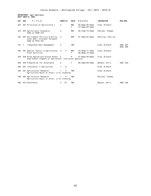# **DEPARTMENT: Agri-Business DEPT PREFIX: AGRI**

| CAT SEC |        | TITLE                                                                                          | <b>CREDITS</b> | <b>DAYS</b>      | HOURS                                     | <b>INSTRUCTOR</b> | <b>PRE-REQ</b>       |
|---------|--------|------------------------------------------------------------------------------------------------|----------------|------------------|-------------------------------------------|-------------------|----------------------|
| 207     |        | 001 Principles of Agriculture I                                                                | 4              | <b>MWF</b><br>T. | $08:00am - 08:50am$<br>$12:45$ pm-03:35pm | Crow, Richard     |                      |
| 234     |        | 001 Agricultural Economics<br>Same as ECON 234                                                 | 4              | MWF              | $09:15$ am-10:20am                        | Paulsen, Thomas   |                      |
| 322     |        | 001 Environment Politics & Policy:<br>Local, Nat'l & Global Perspect<br>Same as POLS 322       | $\overline{4}$ | MWF              | $01:45$ pm-02:50pm                        | McKinlay, Patrick |                      |
| 341     | $\top$ | Integrated Pest Management                                                                     | 4              | <b>TBA</b>       |                                           | Crow, Richard     | AGRI 207<br>AGRI 208 |
| 345     |        | 001 Special Topics in Agriculture:<br>Plant Nutrition                                          | 4 - 4          | MWF<br>T.        | $10:30$ am-11:35am<br>$08:00$ am-10:40am  | Crow, Richard     |                      |
| 350     |        | 050 Drone Operations Ground School 2<br>High School Algebra or equivalent; Instructor Approval |                | M                | $07:00$ pm-09:00pm                        | Crow, Richard     |                      |
| 380     |        | 050 Preparation for Externship                                                                 | 2              | T.               | $06:30$ pm- $08:20$ pm                    | Benson, Chris     | AGRI 320             |
| 400     |        | 001 Internship in Agriculture                                                                  | $1 - 6$        |                  |                                           | Crow, Richard     |                      |
| 440     |        | 001 Agricultural Research<br>Agriculture major or minor; jr/sr standing                        | $1 - 4$        | <b>TBA</b>       |                                           | Crow, Richard     |                      |
| 440     |        | 002 Agricultural Research<br>Agriculture major or minor; jr/sr standing                        | $1 - 4$        | <b>TBA</b>       |                                           | Paulsen, Thomas   |                      |
| 460     |        | 001 Externship                                                                                 | $4 - 16$       | <b>TBA</b>       |                                           | Benson, Chris     | AGRI 380             |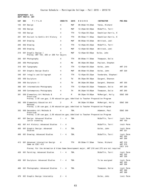#### **DEPARTMENT: Art DEPT PREFIX: ART**

| CAT | <b>SEC</b> | TITLE                                                                                          | <b>CREDITS</b>        | DAYS | HOURS                   | <b>INSTRUCTOR</b>   | <b>PRE-REQ</b>                   |
|-----|------------|------------------------------------------------------------------------------------------------|-----------------------|------|-------------------------|---------------------|----------------------------------|
| 103 |            | 001 Design                                                                                     | 4                     | MWF  | 08:00am-10:20am         | Yates, Richard      |                                  |
| 103 |            | 002 Design                                                                                     | 4                     | MWF  | 12:45pm-02:50pm         | McGaffin, Terri     |                                  |
| 103 |            | 003 Design                                                                                     | 4                     | TTH  | $12:45$ pm - 03:25pm    | Emenhiser-Harris, K |                                  |
| 201 |            | 001 Ancient to Gothic Art History                                                              | 4                     | TTH  | $09:50$ am-11:30am      | Emenhiser-Harris, K |                                  |
| 205 |            | 001 Drawing                                                                                    | 4                     | MWF  | 08:00am-10:20am         | Whitlock, Jodi      |                                  |
| 205 |            | 002 Drawing                                                                                    | 4                     | TTH  | 12:45pm-03:25pm         | McGaffin, Terri     |                                  |
| 205 |            | 003 Drawing                                                                                    | 4                     | MWF  | 12:45pm-02:50pm         | Whitlock, Jodi      |                                  |
| 210 |            | 001 Graphic Design I<br>Prereq: ART 103, 205 or 206 for majors                                 | 4                     | MWF  | 12:45pm-02:50pm         | Kolbo, John         |                                  |
| 265 |            | 001 Photography                                                                                | 4                     | TTH  | 08:00am-11:30am         | Thompson, Dolie     |                                  |
| 265 |            | 050 Photography                                                                                | 4                     | МW   | 06:30pm-09:30pm         | Paulson, Stephen    |                                  |
| 310 |            | 001 Typography                                                                                 | 4                     | TTH  | $12:45$ pm - 03:25pm    | Kolbo, John         | ART 210                          |
| 321 |            | 001 Graphic Design Studio                                                                      | 4                     | MWF  | 08:00am-10:20am         | Kolbo, John         | ART 320                          |
| 346 |            | 001 Intaglio and Collagraph                                                                    | 4                     | TTH  | 12:45pm-03:25pm         | Vonderahe, Stephani |                                  |
| 355 |            | 050 Sculpture                                                                                  | 4                     | TW   | 06:30pm-09:30pm         | Sargent, Shannon    |                                  |
| 356 |            | 050 Sculpture II                                                                               | 4                     | TW   | $06:30$ pm - $09:30$ pm | Sargent, Shannon    | ART 355                          |
| 366 |            | 001 Intermediate Photography                                                                   | 4                     | TTH  | $12:45$ pm - 03:25pm    | Thompson, Dolie     | ART 265                          |
| 368 |            | 050 Contemporary Photography                                                                   | 4                     | TН   | 06:30pm-10:00pm         | Thompson, Dolie     | ART 265                          |
| 381 |            | 050 Elementary Art Methods &                                                                   | 4                     | M    | 06:30pm-10:00pm         | McManigal, Holly    | EDUC 300                         |
|     |            | Practicum<br>Prereq: 2.50 cum gpa; 2.50 education gpa; Admitted to Teacher Preparation Program |                       |      |                         |                     |                                  |
| 382 |            | 050 Elementary Education Art                                                                   | 2                     | M    | 06:30pm-10:00pm         | McManigal, Holly    | <b>EDUC 300</b>                  |
|     |            | Methods<br>Prereq: 2.50 cum gpa; 2.50 education gpa; Admitted to Teacher Preparation Program   |                       |      |                         |                     |                                  |
| 383 |            | 050 Secondary Art Methods &                                                                    | 4                     | TBA  |                         | Adamson, Paul       | EDUC 300                         |
|     |            | Practicum<br>Prereq: 2.50 cum gpa; 2.50 education gpa; Admitted to Teacher Preparation Program |                       |      |                         |                     |                                  |
| 401 |            | 001 Design: Advanced Studies<br>Junior standing                                                | $\overline{4}$<br>1 - | TBA  |                         | McGaffin, Terri     | Instr Perm<br>ART 103            |
| 402 |            | 001 Art History: Advanced Studies                                                              | 4<br>1 -              |      |                         | McGaffin, Terri     | Instr Perm                       |
| 405 |            | 001 Graphic Design: Advanced<br>Studies                                                        | $1 -$<br>4            | TBA  |                         | Kolbo, John         | Instr Perm<br>ART 321            |
| 406 |            | 001 Drawing: Advanced Studies                                                                  | $1 -$<br>- 4          | TBA  |                         | McGaffin, Terri     | Instr Perm<br>ART 205<br>ART 206 |
| 413 |            | 001 Advanced Interaction Design<br>Same as CSCI 413                                            | 4                     | TTH  | $09:50$ am-11:30am      | Yates, Richard      | ART 210<br>ART 275<br>CSCI 310   |
|     |            | Prereg: For the Animation & Video Game Development major, ART 210 and 275 are not required     |                       |      |                         |                     |                                  |
| 426 |            | 001 Painting: Advanced Studies                                                                 | $1 -$<br>- 4          | TBA  |                         | McGaffin, Terri     | Instr Perm<br>ART 325<br>ART 326 |
| 456 |            | 001 Sculpture: Advanced Studies                                                                | $1 - 4$               | TBA  |                         | To be assigned      | Instr Perm<br>ART 355<br>ART 356 |
| 466 |            | 001 Photography: Advanced Studies                                                              | 1 - 4                 | TBA  |                         | Thompson, Dolie     | Instr Perm<br>ART 366<br>ART 368 |
| 470 |            | 001 Graphic Design Internship                                                                  | $2 - 4$               |      |                         | Kolbo, John         | Instr Perm                       |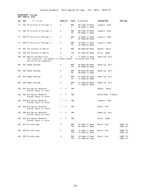**DEPARTMENT: Biology DEPT PREFIX: BIOL**

| CAT | <b>SEC</b> | TITLE                                                                                                                     | <b>CREDITS</b>        | <b>DAYS</b>       | HOURS                                      | <b>INSTRUCTOR</b>   | <b>PRE-REQ</b>                     |
|-----|------------|---------------------------------------------------------------------------------------------------------------------------|-----------------------|-------------------|--------------------------------------------|---------------------|------------------------------------|
| 117 |            | 001 Principles of Biology II                                                                                              | 4                     | <b>MWF</b><br>T   | 09:15am-10:05am<br>$09:50$ am-11:40am      | Leugers, Chad       |                                    |
| 117 |            | 002 Principles of Biology II                                                                                              | 4                     | MWF<br>TH         | $09:15$ am-10:05am<br>$09:50$ am-11:40am   | Leugers, Chad       |                                    |
| 117 |            | 003 Principles of Biology II                                                                                              | 4                     | MWF<br>T.         | $10:30$ am-11:20am<br>$07:50$ am-09:40am   | Leugers, Chad       |                                    |
| 117 |            | 004 Principles of Biology II                                                                                              | 4                     | MWF<br>TH         | 10:30am-11:20am<br>$07:50$ am-09:40am      | Leugers, Chad       |                                    |
| 151 |            | 001 The Science of Health                                                                                                 | 4                     | <b>MWF</b>        | $08:00$ am-09:05am                         | Bunker, Aaron       |                                    |
| 151 |            | 002 The Science of Health                                                                                                 | 4                     | <b>TTH</b>        | $01:45$ pm - $03:25$ pm                    | Stroh, James        |                                    |
| 205 |            | 001 Health and Nutrition<br>This course will be taught in a hybrid model, including seat-time<br>and an online component. | 2                     | W                 | 11:45am-12:35pm                            | Spearing, Kurt      |                                    |
| 207 |            | 001 Human Anatomy                                                                                                         | 4                     | <b>MWF</b><br>TH  | $08:00$ am-08:50am<br>$07:50$ am-09:40am   | Spearing, Kurt      |                                    |
| 207 |            | 002 Human Anatomy                                                                                                         | 4                     | <b>MWF</b><br>TH  | $08:00$ am-08:50am<br>$09:50$ am-11:40am   | Spearing, Kurt      |                                    |
| 207 |            | 003 Human Anatomy                                                                                                         | 4                     | MWF<br>TH         | $01:45$ pm-02:35pm<br>$12:45$ pm - 02:35pm | Spearing, Kurt      |                                    |
| 207 |            | 004 Human Anatomy                                                                                                         | 4                     | MWF<br>F.         | 01:45pm-02:35pm<br>11:45am-01:35pm         | Spearing, Kurt      |                                    |
| 222 |            | 001 Biological Research<br>Prereq: Major or minor                                                                         | $1 -$<br>- 4          | TBA               |                                            | Bunker, Aaron       |                                    |
| 222 |            | 002 Biological Research<br>Prereq: Major or minor                                                                         | $\overline{4}$<br>1 - | TBA               |                                            | Sesterhenn, Timothy |                                    |
| 222 |            | 004 Biological Research<br>Prereq: Major or minor                                                                         | 4<br>$1 -$            | TBA               |                                            | Leugers, Chad       |                                    |
| 222 |            | 005 Biological Research<br>Prereq: Major or minor                                                                         | 4<br>1 $-$            | <b>TBA</b>        |                                            | Moore, Anni         |                                    |
| 222 |            | 006 Biological Research<br>Prereq: Major or minor                                                                         | 4<br>$1 -$            | <b>TBA</b>        |                                            | Spearing, Kurt      |                                    |
| 222 |            | 007 Biological Research<br>Prereq: Major or minor                                                                         | 4<br>1 -              | <b>TBA</b>        |                                            | Stroh, James        |                                    |
| 252 |            | 001 Microbiology                                                                                                          | 4                     | MWF<br>TTH        | $10:30$ am-11:20am<br>$09:50$ am-11:20am   | Moore, Anni         | <b>CHEM 110</b><br><b>CHEM 121</b> |
| 252 |            | 002 Microbiology                                                                                                          | 4                     | <b>MWF</b><br>TTH | $10:30$ am-11:20am<br>12:00pm-01:30pm      | Moore, Anni         | <b>CHEM 110</b><br><b>CHEM 121</b> |
|     |            | 252 003 Microbiology                                                                                                      | 4                     | MWF<br>TTH        | 10:30am-11:20am<br>$01:45$ pm - $03:15$ pm | Moore, Anni         | CHEM 110<br><b>CHEM 121</b>        |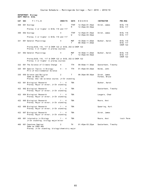**DEPARTMENT: Biology DEPT PREFIX: BIOL**

| <b>CAT</b> | <b>SEC</b> | TITLE                                                                                           | <b>CREDITS</b> | <b>DAYS</b>      | HOURS                                      | <b>INSTRUCTOR</b>             | PRE-REQ                                               |
|------------|------------|-------------------------------------------------------------------------------------------------|----------------|------------------|--------------------------------------------|-------------------------------|-------------------------------------------------------|
| 308        |            | 001 Ecology                                                                                     | 4              | <b>TTHF</b><br>M | 12:45pm-01:35pm<br>$12:45$ pm - 03:35pm    | Stroh, James                  | <b>BIOL 116</b><br><b>BIOL 117</b>                    |
|            |            | Prereq: C or higher in BIOL 116 and 117                                                         |                |                  |                                            |                               |                                                       |
| 308        |            | 002 Ecology                                                                                     | 4              | <b>TTHF</b><br>W | $12:45$ pm - 01:35pm<br>$12:45$ pm-03:35pm | Stroh, James                  | BIOL 116<br><b>BIOL 117</b>                           |
|            |            | Prereq: C or higher in BIOL 116 and 117                                                         |                |                  |                                            |                               |                                                       |
| 321        |            | 001 General Physiology                                                                          | 4              | <b>MWF</b><br>T. | $10:30$ am-11:20am<br>$08:30$ am-11:20am   | Bunker, Aaron                 | <b>BIOL 116</b><br><b>BIOL 117</b><br><b>CHEM 122</b> |
|            |            | Prereq:BIOL 116, 117 & CHEM 122 or BIOL 252 & CHEM 122<br>Prereq: C or higher in prereq courses |                |                  |                                            |                               |                                                       |
| 321        |            | 002 General Physiology                                                                          | 4              | MWF<br>т         | $10:30$ am-11:20am<br>$12:45$ pm - 03:35pm | Bunker, Aaron                 | <b>BIOL 116</b><br>BIOL 117<br><b>CHEM 122</b>        |
|            |            | Prereq:BIOL 116, 117 & CHEM 122 or BIOL 252 & CHEM 122<br>Prereq: C or higher in prereq courses |                |                  |                                            |                               |                                                       |
| 322        |            | 001 The Science of Climate Change                                                               | 4              | TTH              | $09:50$ am-11:30am                         | Sesterhenn, Timothy           |                                                       |
| 325        |            | 001 Special Topics in Biology:<br>Prin of Environmental Science                                 | $4 - 4$        | TTH              | $01:45$ pm - $03:25$ pm                    | Helms, John                   |                                                       |
| 335        |            | 050 Science and Religion<br>Same as RELG 335<br>Prereq: One lab science course; Jr/Sr standing  | 2              | T.               | $06:30$ pm - $08:30$ pm                    | Stroh, James<br>Forbes, Bruce |                                                       |
|            |            | 422 001 Biological Research<br>Prereq: Major or minor; Jr/Sr standing                           | $1 - 4$        | <b>TBA</b>       |                                            | Bunker, Aaron                 |                                                       |
|            |            | 422 002 Biological Research<br>Prereq: Major or minor; Jr/Sr standing                           | $1 - 4$        | <b>TBA</b>       |                                            | Sesterhenn, Timothy           |                                                       |
|            |            | 422 004 Biological Research<br>Prereq: Major or minor; Jr/Sr standing                           | $1 - 4$        | <b>TBA</b>       |                                            | Leugers, Chad                 |                                                       |
|            |            | 422 005 Biological Research<br>Prereq: Major or minor; Jr/Sr standing                           | $1 - 4$        | <b>TBA</b>       |                                            | Moore, Anni                   |                                                       |
| 422        |            | 006 Biological Research<br>Prereq: Major or minor; Jr/Sr standing                               | $1 - 4$        | TBA              |                                            | Spearing, Kurt                |                                                       |
| 422        |            | 007 Biological Research<br>Prereq: Major or minor; Jr/Sr standing                               | $1 - 4$        | <b>TBA</b>       |                                            | Stroh, James                  |                                                       |
| 450        |            | 001 Internship in Biology<br>Jr/Sr standing; biology major/minor                                | $1 - 4$        | <b>TBA</b>       |                                            | Moore, Anni                   | Instr Perm                                            |
| 460        |            | 001 Capstone Seminar                                                                            | 2              | TH               | $01:45$ pm - $03:25$ pm                    | Sesterhenn, Timothy           |                                                       |
|            |            | Same as CHEM 460<br>Prereq: Jr/Sr standing; biology/chemistry major                             |                |                  |                                            |                               |                                                       |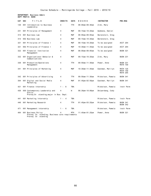# **DEPARTMENT: Business Admin DEPT PREFIX: BUSN**

| <b>CAT</b> | <b>SEC</b> | TITLE                                                                                           | <b>CREDITS</b>          | <b>DAYS</b> | HOURS                   | <b>INSTRUCTOR</b> | <b>PRE-REQ</b>                                 |
|------------|------------|-------------------------------------------------------------------------------------------------|-------------------------|-------------|-------------------------|-------------------|------------------------------------------------|
| 130        |            | 001 Introduction to Business<br>Leadership                                                      | 4                       | TTH         | 08:00am-09:40am         | Zink, Mary        |                                                |
| 231        |            | 001 Principles of Management                                                                    | 4                       | MWF         | $09:15$ am-10:20am      | Wubbena, Daniel   |                                                |
| 314        |            | 001 Business Law                                                                                | 4                       | <b>MWF</b>  | 08:00am-09:05am         | Berenstein, Greg  |                                                |
| 314        |            | 002 Business Law                                                                                | 4                       | <b>MWF</b>  | $09:15$ am-10:20am      | Berenstein, Greg  |                                                |
| 321        |            | 001 Principles of Finance I                                                                     | 4                       | <b>MWF</b>  | $09:15$ am-10:20am      | To be assigned    | ACCT 204                                       |
| 321        |            | 002 Principles of Finance I                                                                     | 4                       | <b>MWF</b>  | $10:30$ am-11:35am      | To be assigned    | ACCT 204                                       |
| 322        |            | 001 Financial Institution<br>Management                                                         | 4                       | <b>MWF</b>  | $08:00$ am-09:05am      | To be assigned    | <b>BUSN 321</b>                                |
| 332        |            | 001 Organizational Behavior &<br>Communications                                                 | 4                       | <b>MWF</b>  | $09:15$ am-10:20am      | Zink, Mary        | <b>BUSN 231</b>                                |
| 338        |            | 001 Production/Operations<br>Management                                                         | 4                       | TTH         | $09:50$ am-11:30am      | Power, Anne       | <b>BUSN 231</b><br><b>MATH 150</b>             |
| 341        |            | 001 Principles of Marketing                                                                     | 4                       | <b>MWF</b>  | $10:30$ am-11:35am      | Eastman, Marilyn  | MATH 125<br><b>MATH 150</b><br><b>MATH 205</b> |
| 342        |            | 001 Principles of Advertising                                                                   | 4                       | TTH         | $09:50$ am-11:30am      | Mickelson, Pamela | <b>BUSN 341</b>                                |
| 394        |            | 001 Digital and Social Media<br>Marketing                                                       | 4                       | <b>MWF</b>  | $01:45$ pm – 02:50pm    | Eastman, Marilyn  | <b>BUSN 341</b>                                |
| 421        |            | 001 Finance Internship                                                                          | - 6<br>$1 -$            | <b>TBA</b>  |                         | Mickelson, Pamela | Instr Perm                                     |
| 430        |            | 050 Contemporary Leadership and<br>Ethics<br>Prereq: Sr. standing; major in Bus. Dept.          | 4                       | W           | $06:30$ pm - 10:00pm    | Delperdang, Cody  |                                                |
| 441        |            | 001 Marketing Internship                                                                        | $1 -$<br>$\overline{4}$ | <b>TBA</b>  |                         | Mickelson, Pamela | Instr Perm                                     |
| 446        |            | 001 Marketing Research                                                                          | 4                       | <b>TTH</b>  | $01:45$ pm - $03:25$ pm | Mickelson, Pamela | <b>BUSN 341</b><br><b>BUSN 342</b>             |
| 471        |            | 001 Management Internship                                                                       | $1 -$<br>- 6            | <b>TBA</b>  |                         | Mickelson, Pamela | Instr Perm                                     |
| 484        |            | 001 Business Policy<br>Prereq: Sr. standing; Business core requirements<br>Prereq: Sr. standing |                         | <b>MTH</b>  | 11:45am-01:25pm         | Power, Anne       | <b>BUSN 321</b>                                |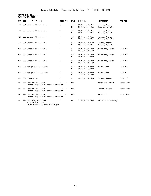**DEPARTMENT: Chemistry DEPT PREFIX: CHEM**

| <b>CAT</b> | <b>SEC</b> | TITLE                                                        | <b>CREDITS</b>          | <b>DAYS</b>       | HOURS                                     | <b>INSTRUCTOR</b>                 | PRE-REQ         |
|------------|------------|--------------------------------------------------------------|-------------------------|-------------------|-------------------------------------------|-----------------------------------|-----------------|
| 121        |            | 001 General Chemistry I                                      | 4                       | <b>MWF</b><br>TH. | $08:00am - 08:50am$<br>$08:00$ am-11:00am | Thomas, Andrew<br>Stueve, Kenneth |                 |
| 121        |            | 002 General Chemistry I                                      | 4                       | <b>MWF</b><br>т   | $08:00$ am-08:50am<br>$08:00$ am-11:00am  | Thomas, Andrew<br>Stueve, Kenneth |                 |
| 121        |            | 003 General Chemistry I                                      | 4                       | <b>MWF</b><br>TH. | $09:15$ am-10:05am<br>$12:45$ pm-03:30pm  | Thomas, Andrew<br>Stueve, Kenneth |                 |
| 121        |            | 004 General Chemistry I                                      | 4                       | <b>MWF</b><br>т   | $09:15$ am-10:05am<br>$12:45$ pm-03:30pm  | Thomas, Andrew<br>Stueve, Kenneth |                 |
| 201        |            | 001 Organic Chemistry I                                      | 4                       | <b>MWF</b><br>W   | $08:00$ am-08:50am<br>$11:45am-02:45pm$   | McFarland, Brian                  | <b>CHEM 122</b> |
| 201        |            | 002 Organic Chemistry I                                      | 4                       | <b>MWF</b><br>TH. | $08:00$ am-08:50am<br>$08:00$ am-11:00am  | McFarland, Brian                  | <b>CHEM 122</b> |
| 201        |            | 003 Organic Chemistry I                                      | 4                       | <b>MWF</b><br>TH. | $08:00$ am-08:50am<br>$11:45am-02:45pm$   | McFarland, Brian                  | <b>CHEM 122</b> |
| 305        |            | 001 Analytical Chemistry                                     | 4                       | <b>MWF</b><br>T.  | $09:15$ am-10:20am<br>$08:30$ am-11:30am  | Helms, John                       | <b>CHEM 122</b> |
| 305        |            | 002 Analytical Chemistry                                     | 4                       | <b>MWF</b><br>W   | $09:15$ am-10:20am<br>$11:45am-02:35pm$   | Helms, John                       | <b>CHEM 122</b> |
| 410        |            | 001 Biochemistry                                             | 4                       | <b>MWF</b>        | $01:45$ pm - $02:50$ pm                   | Thomas, Andrew                    | <b>CHEM 202</b> |
| 420        |            | 001 Chemical Research<br>Prereq: Department chair permission | $\overline{4}$          | <b>TBA</b>        |                                           | McFarland, Brian                  | Instr Perm      |
| 420        |            | 002 Chemical Research<br>Prereq: Department chair permission | 1 -<br>$\overline{4}$   | <b>TBA</b>        |                                           | Thomas, Andrew                    | Instr Perm      |
| 420        |            | 003 Chemical Research<br>Prereg: Department chair permission | $\overline{4}$<br>$1 -$ | <b>TBA</b>        |                                           | Helms, John                       | Instr Perm      |
| 460        |            | 001 Chemistry Capstone<br>Same as BIOL 460                   | 2                       | <b>TH</b>         | $01:45$ pm-03:25pm                        | Sesterhenn, Timothy               |                 |

Jr/Sr standing; chemistry major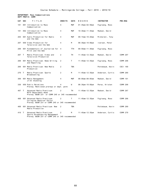#### **DEPARTMENT: Mass Communications DEPT PREFIX: COMM**

| <b>CAT</b> | <b>SEC</b>   | TITLE                                                                                                          | <b>CREDITS</b> | <b>DAYS</b> | HOURS                   | <b>INSTRUCTOR</b> | PRE-REQ  |
|------------|--------------|----------------------------------------------------------------------------------------------------------------|----------------|-------------|-------------------------|-------------------|----------|
| 101        |              | 001 Introduction to Mass<br>Communication                                                                      | 4              | <b>MWF</b>  | $01:45$ pm - $02:50$ pm | Fuglsang, Ross    |          |
| 101        |              | 002 Introduction to Mass<br>Communication                                                                      | 4              | <b>MWF</b>  | $10:30$ am-11:35am      | Madsen, David     |          |
| 204        |              | 001 Audio Production for Radio<br>and the Web                                                                  | 4              | <b>MWF</b>  | $09:15$ am-10:20am      | Michalski, Tony   |          |
| 207        |              | 050 Video Production for<br>Television and the Web                                                             | 4              | M           | $06:30$ pm-10:00pm      | Iversen, Peter    |          |
| 208        |              | 001 Fundamentals of Journalism for<br>Print and the Web                                                        | 4              | <b>TTH</b>  | $09:50$ am-11:30am      | Fuglsang, Ross    |          |
| 267        | $\top$       | Media Practicum: Video and<br>Television Production                                                            | 2              | TН          | $11:45am-12:35pm$       | Madsen, David     | COMM 207 |
| 268        |              | 001 Media Practicum: News Writing<br>and Reporting                                                             | 2              | T.          | $11:45$ am-12:35pm      | Fuglsang, Ross    | COMM 208 |
| 269        |              | 001 Media Practicum: New Media<br>Production                                                                   | 2              | <b>TBA</b>  |                         | Pottebaum, Kevin  | CSCI 160 |
| 270        | $\mathsf{T}$ | Media Practicum: Sports<br>Broadcasting                                                                        | 2              | M           | $11:45am - 12:35pm$     | Anderson, Curtis  | COMM 260 |
| 309        |              | 001 Media Management<br>Jr/Sr Standing                                                                         | 4              | MWF         | $08:00$ am-09:05am      | Madsen, David     | COMM 101 |
| 330        |              | 050 Public Relations<br>Prereq: Mentioned prereqs or dept. perm                                                | 4              | W           | $06:30$ pm - 10:00pm    | Perez, Kristen    | COMM 208 |
| 407        | $\top$       | Advanced Media Practicum:<br>MCTV Department Head<br>Prereq: BUSN 231 or COMM 245 or 345 recommended           | 2              | <b>TH</b>   | $11:45$ am-12:35pm      | Madsen, David     | COMM 267 |
| 408        |              | 001 Advanced Media Practicum:<br>Collegian Reporter Editor<br>Prereq: BUSN 231 or COMM 245 or 345 recommended  | 2              | T           | $11:45$ am-12:35pm      | Fuglsang, Ross    | COMM 268 |
| 409        |              | 001 Advanced Media Practicum: New<br>Media Production                                                          | 2              | <b>TBA</b>  |                         | Pottebaum, Kevin  | COMM 269 |
| 410        | $\top$       | Advanced Media Practicum:<br>Sports Broadcasting Management<br>Prereg: BUSN 231 or COMM 245 or 345 recommended | 2              | M           | $11:45am-12:35pm$       | Anderson, Curtis  | COMM 270 |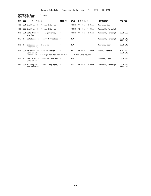# **DEPARTMENT: Computer Science DEPT PREFIX: CSCI**

| <b>CAT</b> | <b>SEC</b>   | TITLE                                                                                                            | <b>CREDITS</b> | <b>DAYS</b>  | HOURS                  | <b>INSTRUCTOR</b>  | PRE-REQ                     |
|------------|--------------|------------------------------------------------------------------------------------------------------------------|----------------|--------------|------------------------|--------------------|-----------------------------|
| 160        |              | 001 Crafting the Client-Side Web                                                                                 | 4              | MTTHF        | $11:45am-12:35pm$      | Stevens, Dean      |                             |
| 160        |              | 002 Crafting the Client-Side Web                                                                                 | 4              | MTTHF        | $12:45$ pm $-01:35$ pm | Campbell, Randolph |                             |
| 310        |              | 001 Data Structures, Algorithms,<br>and Analysis                                                                 | 4              | <b>MTTHF</b> | $11:45$ am-12:35pm     | Campbell, Randolph | CSCI 202                    |
| 315        | $\mathsf{T}$ | Databases in Theory & Practice 4                                                                                 |                | <b>TBA</b>   |                        | Campbell, Randolph | CSCI 310<br><b>MATH 210</b> |
| 410        | $\mathsf{T}$ | Embedded and Realtime<br>Programming                                                                             | 4              | <b>TBA</b>   |                        | Stevens, Dean      | CSCI 310                    |
| 413        | 001          | Advanced Interaction Design<br>Same as ART 413<br>Prereq: ART 210 required for non Animation & Video Game majors | 4              | <b>TTH</b>   | $09:50$ am-11:30am     | Yates, Richard     | ART 275<br>CSCI 310         |
| 415 T      |              | Real-time Interactive Computer 4<br>Simulations                                                                  |                | TBA          |                        | Stevens, Dean      | CSCI 310                    |
| 431        | 001          | NP-Complete, Formal Languages,<br>and Automata                                                                   | -4             | MWF          | $09:15$ am-10:20am     | Campbell, Randolph | CSCI 310<br><b>MATH 210</b> |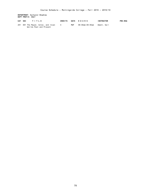# **DEPARTMENT: Cultural Studies DEPT PREFIX: CULT**

| CAT SEC | TITLE                                                          | CREDITS |     | DAYS HOURS      | <b>INSTRUCTOR</b> | <b>PRE-REQ</b> |
|---------|----------------------------------------------------------------|---------|-----|-----------------|-------------------|----------------|
|         | 201 001 The Mayan, Aztec, and Incan<br>Worlds Past and Present |         | MWF | 08:00am-09:05am | Ament, Gail       |                |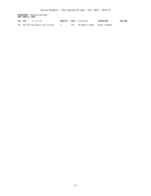**DEPARTMENT: Creative Writing DEPT PREFIX: CWRT**

| CAT SEC | TITLE                              |     | CREDITS DAYS HOURS             | <b>INSTRUCTOR</b> | PRE-REQ |
|---------|------------------------------------|-----|--------------------------------|-------------------|---------|
|         | 281 001 Writing Poetry and Fiction | TTH | 09:50am-11:30am Coyne, Stephen |                   |         |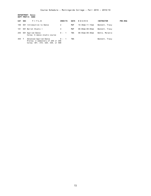**DEPARTMENT: Dance DEPT PREFIX: DANC**

| <b>CAT</b> | <b>SEC</b> | TITLE                                                                                            | <b>CREDITS</b> | <b>DAYS</b> | HOURS           | <b>INSTRUCTOR</b> | <b>PRE-REQ</b> |
|------------|------------|--------------------------------------------------------------------------------------------------|----------------|-------------|-----------------|-------------------|----------------|
| 100        | 001        | Introduction to Dance                                                                            | 2              | MWF         | 10:30am-11:15am | Bennett, Tracy    |                |
| 101        |            | 001 Ballet Studio I                                                                              | 4              | MWF         | 08:00am-09:05am | Bennett, Tracy    |                |
| 255        |            | 001 Applied Dance<br>Coreg: A dance studio course                                                | $0 - 1$        | TBA         | 08:55am-09:40am | Bohle, Melanie    |                |
| 455 T      |            | Advanced Applied Dance<br>Prereg: 2 semesters of 255 or 256<br>Coreg: 301, 310, 320, 330, or 408 | $0 - 1$        | TBA         |                 | Bennett, Tracy    |                |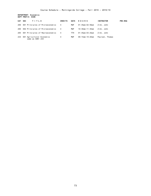**DEPARTMENT: Economics DEPT PREFIX: ECON**

| CAT SEC | TITLE                                          | <b>CREDITS</b> | <b>DAYS</b> | HOURS           | <b>INSTRUCTOR</b> | <b>PRE-REQ</b> |
|---------|------------------------------------------------|----------------|-------------|-----------------|-------------------|----------------|
| 200     | 001 Principles of Microeconomics               | 4              | MWF         | 01:45pm-02:50pm | Zink, John        |                |
| 200     | 002 Principles of Microeconomics               | 4              | MWF         | 10:30am-11:35am | Zink, John        |                |
|         | 205 001 Principles of Macroeconomics           | $\overline{4}$ | <b>TTH</b>  | 01:45pm-03:25pm | Zink, John        |                |
| 234     | 001 Agricultural Economics<br>same as AGRI 234 | 4              | MWF         | 09:15am-10:20am | Paulsen, Thomas   |                |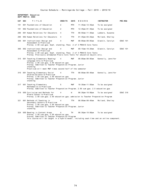## **DEPARTMENT: Education DEPT PREFIX: EDUC**

| CAT | <b>SEC</b> | TITLE                                                                                                                                                                                                                                         | <b>CREDITS</b> | <b>DAYS</b> | HOURS                   | <b>INSTRUCTOR</b>  | <b>PRE-REQ</b>  |
|-----|------------|-----------------------------------------------------------------------------------------------------------------------------------------------------------------------------------------------------------------------------------------------|----------------|-------------|-------------------------|--------------------|-----------------|
| 101 |            | 001 Foundations of Education                                                                                                                                                                                                                  | $\overline{2}$ | <b>MTH</b>  | $11:45am-12:35pm$       | To be assigned     |                 |
| 101 |            | 002 Foundations of Education                                                                                                                                                                                                                  | 2              | MTH         | $12:45$ pm-01:35pm      | To be assigned     |                 |
| 290 |            | 001 Human Relations for Educators                                                                                                                                                                                                             | 4              | <b>TTH</b>  | $09:50$ am-11:30am      | Lubbers, Susanne   |                 |
| 290 |            | 002 Human Relations for Educators                                                                                                                                                                                                             | 4              | <b>TTH</b>  | $01:45$ pm - $03:25$ pm | Molland, Shelley   |                 |
| 300 |            | 001 Instructional Design and<br>Assessment & Practicum<br>Prereq: 2.50 cum gpa; Soph. standing; Pass 2 of 3 PRAXIS Core Tests                                                                                                                 | 4              | <b>MWF</b>  | 08:00am-09:05am         | Glackin, Carolyn   | <b>EDUC 101</b> |
|     |            |                                                                                                                                                                                                                                               | 4              | <b>MWF</b>  | $09:15$ am-10:20am      |                    | <b>EDUC 101</b> |
| 300 |            | 002 Instructional Design and<br>Assessment & Practicum<br>Prereq: 2.50 cum gpa; Soph. standing; Pass 2 of 3 PRAXIS Core Tests<br>Prereq: Previously attempted Praxis Core Tests for education majors only.                                    |                |             |                         | Glackin, Carolyn   |                 |
| 315 |            | 001 Teaching Elementary Reading/<br>Language Arts & Practicum<br>Prereq: 2.50 cum gpa; 2.50 education gpa<br>Prereg: Admitted to Teacher Preparation Program; Junior<br>standing<br>Practicum will meet MWF times second half of the semester | 4              | <b>MWF</b>  | $08:00am - 09:05am$     | Kennelly, Jennifer |                 |
| 316 |            | 001 Teaching Elementary Social<br>Studies/Science & Practicum<br>Prereq: 2.50 cum gpa; 2.50 education gpa<br>Prereq: Admitted to Teacher Preparation Program; Junior<br>standing                                                              | 4              | <b>TTH</b>  | $08:00$ am-09:40am      | Kennelly, Jennifer |                 |
| 317 |            | 001 Teaching Elementary<br>Mathematics & Practicum<br>Prereq: Admitted to Teacher Preparation Program; 2.50 cum gpa; 2.5 education gpa                                                                                                        | 5              | MWF         | $10:30$ am-11:50am      | To be assigned     |                 |
| 319 |            | 050 Curriculum and Methods for<br>Middle School & Practicum<br>Prereq: 2.50 cum gpa; 2.50 education gpa; admission to Teacher Preparation Program                                                                                             | 4              | W           | $06:30$ pm-10:00pm      | To be assigned     | EDUC 318        |
| 321 |            | 001 Methods of Teaching in<br>Secondary Schools & Practicum<br>Prereq: 2.50 cum gpa; 2.50 education gpa<br>Prereq: Admitted to Teacher Preparation Program; Junior<br>standing                                                                | 4              | <b>TTH</b>  | $08:00$ am-09:40am      | Molland, Shelley   |                 |
| 324 |            | 050 Reading in Content Areas<br>Prereq: 2.50 cum gpa; 2.50 education gpa<br>Prereq: Admitted to Teacher Preparation Program<br>This course will be taught in a hybrid model, including seat-time and an online component.                     | 4              | TH          | $06:30$ pm - 10:00pm    | To be assigned     |                 |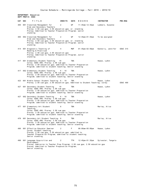# **DEPARTMENT: Education DEPT PREFIX: EDUC**

| CAT SEC | TITLE                                                                                                                                                                                                        | <b>CREDITS</b> | <b>DAYS</b> | HOURS                   | <b>INSTRUCTOR</b>  | <b>PRE-REQ</b>  |
|---------|--------------------------------------------------------------------------------------------------------------------------------------------------------------------------------------------------------------|----------------|-------------|-------------------------|--------------------|-----------------|
| 405     | 001 Classroom Management for<br>Elem and Secondary Teachers<br>Prereq: 2.50 cum gpa; 2.50 education gpa; sr. standing<br>Prereq: Admitted to Teacher Preparation Program; senior<br>standing                 | 2              | WF          | 11:45am-12:35pm         | Lubbers, Susanne   |                 |
|         | 405 002 Classroom Management for<br>Elem and Secondary Teachers<br>Prereq: 2.50 cum gpa; 2.50 education gpa; sr. standing<br>Prereq: Admitted to Teacher Preparation Program; senior<br>standing             | 2              | WF          | 12:45pm-01:35pm         | To be assigned     |                 |
|         | 414 001 Diagnostic Teaching of<br>Reading & Practicum<br>Prereq: 2.50 cum gpa; 2.50 education gpa<br>Prereq: Admitted to Teacher Preparation Program; Junior<br>standing                                     | 4              | MWF         | $01:45$ pm - $02:50$ pm | Kennelly, Jennifer | <b>EDUC 315</b> |
|         | 417 001 Elementary Student Teaching<br>Coreq: EDUC 490; Prereq: 2.50 cum gpa<br>Prereq: 2.50 education gpa; admitted to Teacher Preparation<br>Program; admitted to student teaching; Senior standing        | 10             | TBA         |                         | Haase, LuAnn       |                 |
|         | 417 002 Elementary Student Teaching<br>Coreq: EDUC 490; Prereq: 2.50 cum gpa<br>Prereq: 2.50 education gpa; Admitted to Teacher Preparation<br>Program; admitted to student teaching; Senior standing        | 6 - 10         | <b>TBA</b>  |                         | Haase, LuAnn       |                 |
| 423     | 001 Middle School Student Teaching 6 - 10<br>Prereq: 2.50 cum gpa; 2.50 education gpa; Admitted to Student Teaching; coreq:                                                                                  |                | <b>TBA</b>  |                         | Haase, LuAnn       | <b>EDUC 490</b> |
|         | 427 001 Secondary Student Teaching<br>Coreq: EDUC 490; Prereq: 2.50 cum gpa<br>Prereq: 2.50 education gpa; admitted to Teacher Preparation<br>Program; admitted to student teaching; Senior standing         | 10             | TBA         |                         | Haase, LuAnn       |                 |
|         | 427 002 Secondary Student Teaching<br>Coreq: EDUC 490; Prereq: 2.50 cum gpa<br>Prereq: 2.50 education gpa; Admitted to Teacher Preparation<br>Program; admitted to student teaching; Senior standing         | $6 - 10$       | TBA         |                         | Haase, LuAnn       |                 |
|         | 477 001 Elementary Art Student<br>Teaching<br>Coreq: EDUC 490; Prereq: 2.50 cum gpa<br>Prereq: 2.50 education gpa; Admitted to Teacher Preparation<br>Program; admitted to student teaching; Senior standing | 6              | <b>TBA</b>  |                         | Marley, Alice      |                 |
|         | 478 001 Secondary Art Student Teaching 6<br>Coreq: EDUC 490; Prereq: 2.50 cum gpa<br>Prereq: 2.50 education gpa; Admitted to Teacher Preparation<br>Program; admitted to student teaching; Senior standing   |                | TBA         |                         | Marley, Alice      |                 |
| 490     | 001 Effective Educator Seminar<br>Coreq: Student teaching<br>Prereq: 2.50 cum gpa; 2.50 education gpa; admitted to<br>Teacher Preparation Program; admitted to student teaching;<br>Senior standing          | 2              | F.          | 08:00am-05:00pm         | Haase, LuAnn       |                 |
| 498     | 001 Language Acquisition and<br>Development<br>Prereq: Admission to Teacher Prep Program; 2.50 cum gpa; 2.50 education gpa                                                                                   | 2              | TTH         | 12:45pm-01:35pm         | Sylvester, Tangela |                 |

 Prereq: Admitted to Teacher Preparation Program; Senior standing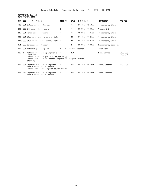**DEPARTMENT: English DEPT PREFIX: ENGL**

| CAT SEC |        | TITLE                                                                                                     | <b>CREDITS</b> | <b>DAYS</b>    | HOURS                   | <b>INSTRUCTOR</b>     | PRE-REQ                            |
|---------|--------|-----------------------------------------------------------------------------------------------------------|----------------|----------------|-------------------------|-----------------------|------------------------------------|
| 132     |        | 001 Literature and Society                                                                                | 4              | MWF            | $01:45$ pm - $02:50$ pm | Triezenberg, Chris    |                                    |
| 203     |        | 050 Children's Literature                                                                                 | 2              | M              | $06:30$ pm - $08:30$ pm | Pinney, Erin          |                                    |
| 245     |        | 001 Women and Literature:                                                                                 | 4              | <b>MWF</b>     | $10:30$ am-11:35am      | Triezenberg, Chris    |                                    |
| 343     |        | 001 Studies of Amer Literary Hist: 4                                                                      |                | <b>TTH</b>     | $01:45$ pm - $03:25$ pm | Triezenberg, Chris    |                                    |
|         |        | 343G 060 Studies of Amer Literary Hist: 4                                                                 |                | <b>TTH</b>     | $01:45$ pm - $03:25$ pm | Triezenberg, Chris    |                                    |
| 354     |        | 050 Language and Grammar                                                                                  | 4              | TH             | $06:30$ pm-10:00pm      | Hotchandani, Carolina |                                    |
| 400     |        | 001 Internship in English                                                                                 | $1 - 6$        | Coyne, Stephen |                         | Instr Perm            |                                    |
| 425     | $\top$ | Methods of Teaching English &<br>Practicum<br>Prereq: 2.50 cum gpa; 2.50 education gpa                    | $\overline{4}$ | <b>TBA</b>     |                         | Rice, Carrie          | <b>EDUC 300</b><br><b>EDUC 321</b> |
|         |        | Prereq: Admitted to Teacher Preparation Program; Junior<br>standing                                       |                |                |                         |                       |                                    |
| 495     |        | 001 Capstone Seminar in English:<br>Beat Literature in Context<br>Prereq: 300-level English course recomm | $\overline{4}$ | MWF            | $01:45$ pm - $02:50$ pm | Coyne, Stephen        | <b>ENGL 295</b>                    |
|         |        | 495G 060 Capstone Seminar in English:<br>Beat Literature in Context                                       | 4              | MWF            | $01:45$ pm - $02:50$ pm | Coyne, Stephen        |                                    |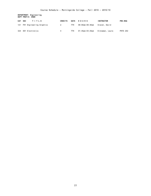**DEPARTMENT: Engineering DEPT PREFIX: ENGR**

| CAT | <b>SEC</b><br>TITLE          | <b>CREDITS</b> | <b>DAYS</b> | <b>HOURS</b>    | <b>INSTRUCTOR</b> | <b>PRE-REQ</b>  |
|-----|------------------------------|----------------|-------------|-----------------|-------------------|-----------------|
|     | 121 FH1 Engineering Graphics |                | TTH         | 08:00am-09:40am | Slaven. David     |                 |
| 324 | 001 Electronics              | 4              | ттн         | 01:45pm-03:25pm | Kinnaman, Laura   | <b>PHYS 202</b> |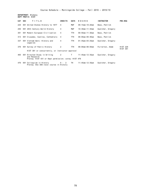**DEPARTMENT: History DEPT PREFIX: HIST**

| CAT SEC | TITLE                                                                                                 | <b>CREDITS</b> | <b>DAYS</b> | HOURS                   | <b>INSTRUCTOR</b> | <b>PRE-REQ</b>                     |
|---------|-------------------------------------------------------------------------------------------------------|----------------|-------------|-------------------------|-------------------|------------------------------------|
| 225     | 001 United States History to 1877                                                                     | $\overline{4}$ | MWF         | $09:15$ am-10:20am      | Bass, Patrick     |                                    |
| 250     | 001 20th Century World History                                                                        | 4              | MWF         | $10:30$ am-11:35am      | Guelcher, Gregory |                                    |
| 301     | 001 Modern European Civilization                                                                      | 4              | <b>TTH</b>  | $09:50$ am-11:30am      | Bass, Patrick     |                                    |
| 313     | 001 Crusades, Castles, Cathedrals:                                                                    | 4              | <b>TTH</b>  | $08:00$ am-09:40am      | Bass, Patrick     |                                    |
| 337     | 001 Vietnam Wars: History and<br>Legacies                                                             | 4              | <b>TTH</b>  | $01:45$ pm – $03:25$ pm | Guelcher, Gregory |                                    |
| 370     | 001 Survey of Public History                                                                          | 2              | <b>TTH</b>  | $08:00$ am-08:50am      | Fullerton, Adam   | <b>HIST 226</b><br><b>HIST 301</b> |
|         | HIST 301 or concurrently, or instructor approval                                                      |                |             |                         |                   |                                    |
| 465     | 001 Directed Study in Writing<br>and Research<br>Prereq: HIST 431 or Dept permission; coreq: HIST 476 | 2              | Τ           | $11:45$ am-12:35pm      | Guelcher, Gregory |                                    |
| 476     | 001 Colloquium in History<br>Prereq: One 300-level course in History                                  | $0 - 2$        | TH          | 11:45am-12:35pm         | Guelcher, Gregory |                                    |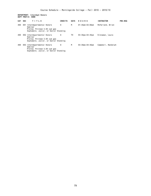# **DEPARTMENT: Interdept Honors DEPT PREFIX: HONR**

| <b>CAT</b> | <b>SEC</b> | TITLE                                                                                                            | <b>CREDITS</b> | <b>DAYS</b> | HOURS                | <b>INSTRUCTOR</b>  | <b>PRE-REQ</b> |
|------------|------------|------------------------------------------------------------------------------------------------------------------|----------------|-------------|----------------------|--------------------|----------------|
| 400        | 001        | Interdepartmental Honors<br>Seminar<br>Prereg: Minimum 3.50 cum qpa<br>Sophomore, Junior, or Senior Standing     | 0              | М           | $01:45$ pm – 03:00pm | McFarland, Brian   |                |
| 400        | 002        | Interdepartmental Honors<br>Seminar<br>Prereg: Minimum 3.50 cum qpa<br>Sophomore, Junior, or Senior Standing     | 0              | тн          | $03:30$ pm-04:45pm   | Kinnaman, Laura    |                |
| 400        |            | 003 Interdepartmental Honors<br>Seminar<br>Prereg: Minimum 3.50 cum qpa<br>Sophomore, Junior, or Senior Standing | 0              | м           | $03:30$ pm-04:45pm   | Campbell, Randolph |                |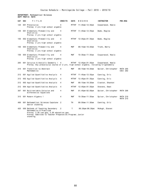#### **DEPARTMENT: Mathematical Sciences DEPT PREFIX: MATH**

| <b>CAT</b> | <b>SEC</b> | TITLE                                                                                                                                                                           | <b>CREDITS</b> | <b>DAYS</b>  | HOURS                   | <b>INSTRUCTOR</b>   | <b>PRE-REQ</b>       |
|------------|------------|---------------------------------------------------------------------------------------------------------------------------------------------------------------------------------|----------------|--------------|-------------------------|---------------------|----------------------|
| 125        |            | 001 Precalculus<br>Prereq: 2 yrs high school algebra                                                                                                                            | 4              | <b>MTTHF</b> | $11:45am-12:35pm$       | Cooperwood, Neeia   |                      |
| 150        |            | 001 Elementary Probability and<br>Statistics<br>Prereq: 2 yrs high school algebra                                                                                               | 4              | MTTHF        | $11:45am-12:35pm$       | Bade, Regina        |                      |
| 150        |            | 002 Elementary Probability and<br>Statistics<br>Prereq: 2 yrs high school algebra                                                                                               | 4              | MTTHF        | $12:45$ pm-01:35pm      | Bade, Regina        |                      |
| 150        |            | 003 Elementary Probability and<br>Statistics<br>Prereq: 2 yrs high school algebra                                                                                               | 4              | <b>MWF</b>   | $09:15$ am-10:20am      | Trunk, Barry        |                      |
| 150        |            | 004 Elementary Probability and<br>Statistics<br>Prereq: 2 yrs high school algebra                                                                                               | 4              | <b>MWF</b>   | $10:30$ am-11:35am      | Cooperwood, Neeia   |                      |
| 205        |            | 001 Calculus & Analytic Geometry 1 4<br>Prereq: Any precalculus course or 2 yrs. high school algebra, including trigonometry                                                    |                |              | MTTHF 12:45pm-01:35pm   | Cooperwood, Neeia   |                      |
| 210        |            | 001 Transition to Abstract<br>Mathematics                                                                                                                                       | 4              | <b>MWF</b>   | $09:15$ am-10:20am      | Spicer, Christopher | MATH 205<br>CSCI 202 |
| 212        |            | 001 Applied Quantitative Analysis                                                                                                                                               | 4              | MTTHF        | $11:45am-12:35pm$       | Canning, Eric       |                      |
| 212        |            | 002 Applied Quantitative Analysis                                                                                                                                               | 4              | <b>MTTHF</b> | $12:45$ pm - 01:35pm    | Canning, Eric       |                      |
| 212        |            | 003 Applied Quantitative Analysis                                                                                                                                               | 4              | MWF          | $09:15$ am-10:20am      | Claxton, Shannon    |                      |
| 212        |            | 004 Applied Quantitative Analysis                                                                                                                                               | 4              | <b>MTTHF</b> | $12:45$ pm - 01:35pm    | Stevens, Dean       |                      |
| 307        |            | 001 Multivariable Calculus and<br>Differential Equations                                                                                                                        | 4              | MWF          | $01:45$ pm – 02:50pm    | Spicer, Christopher | MATH 206             |
| 315        |            | 001 Modern Algebra I                                                                                                                                                            | 4              | <b>MWF</b>   | $10:30$ am-11:35am      | Spicer, Christopher | MATH 210<br>MATH 215 |
| 400        |            | 001 Mathematical Sciences Capstone 2<br>Senior standing                                                                                                                         |                | TH           | $09:50$ am-11:30am      | Canning, Eric       |                      |
| 425        |            | 050 Methods of Teaching Secondary<br>Mathematics & Practicum<br>Prereq: 2.50 cum gpa; 2.50 education gpa<br>Prereq: Admitted to Teacher Preparation Program; Junior<br>standing | 2              | T            | $06:30$ pm - $08:30$ pm | McHugh, Steven      |                      |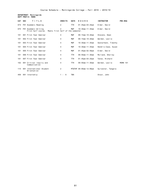**DEPARTMENT: Morningside DEPT PREFIX: MORN**

| CAT SEC |     | TITLE                                                                           | <b>CREDITS</b> | <b>DAYS</b> | HOURS                   | <b>INSTRUCTOR</b>   | <b>PRE-REQ</b>  |
|---------|-----|---------------------------------------------------------------------------------|----------------|-------------|-------------------------|---------------------|-----------------|
| 074     |     | FH1 Academic Reading                                                            | 2              | TTH         | $01:45$ pm-03:25pm      | Elder, David        |                 |
| 075     |     | FH1 Academic Writing<br>Meets first half of the semester.<br>First half course. | 2              | <b>MWF</b>  | $10:30$ am-11:35am      | Elder, David        |                 |
| 101     |     | 001 First Year Seminar                                                          | 4              | <b>MWF</b>  | $09:15$ am-10:20am      | Stevens, Dean       |                 |
| 101     |     | 002 First Year Seminar                                                          | 4              | MWF         | $09:15$ am-10:20am      | Werden, Leslie      |                 |
| 101     |     | 003 First Year Seminar                                                          | 4              | MWF         | $10:30$ am-11:35am      | Sesterhenn, Timothy |                 |
| 101     |     | 004 First Year Seminar                                                          | 4              | <b>MWF</b>  | $10:30$ am-11:35am      | Hendrix-Case, Suzan |                 |
| 101     |     | 005 First Year Seminar                                                          | 4              | MWF         | $01:45$ pm-02:50pm      | Elder, David        |                 |
| 101     |     | 006 First Year Seminar                                                          | 4              | <b>TTH</b>  | $09:50$ am-11:30am      | Molland, Shelley    |                 |
| 101     |     | 007 First Year Seminar                                                          | 4              | <b>TTH</b>  | $01:45$ pm - $03:25$ pm | Yates, Richard      |                 |
| 102     |     | 001 Critical Inquiry and<br>Communication                                       | 4              | <b>TTH</b>  | $09:50$ am-11:30am      | Werden, Leslie      | <b>MORN 101</b> |
| 115     | 001 | International Student<br>Orientation                                            | 2              |             | MTWTHF 09:00am-12:00pm  | Sylvester, Tangela  |                 |
| 450     |     | 001 Internship                                                                  | 1 - 6          | <b>TBA</b>  |                         | Stout, John         |                 |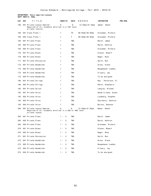# **DEPARTMENT: Music-Applied Lessons DEPT PREFIX: MUAL**

| CAT | <b>SEC</b> | T I T L E                                                                                                | <b>CREDITS</b> | DAYS       | HOURS                | <b>INSTRUCTOR</b>   | <b>PRE-REQ</b> |
|-----|------------|----------------------------------------------------------------------------------------------------------|----------------|------------|----------------------|---------------------|----------------|
| 100 |            | 001 Private Lesson Seminar<br>Required of all students enrolled in a 100 level<br>private lession.       | 0              | W          | $12:45$ pm - 01:35pm | Weber, Heath        |                |
| 160 |            | 001 Class Piano I                                                                                        | 1              | TН         | $08:50$ am-09:40am   | Grossman, Michele   |                |
| 160 |            | 002 Class Piano I                                                                                        | $\mathbf{1}$   | T.         | 08:50am-09:40am      | Grossman, Michele   |                |
| 165 |            | 001 Private Piano                                                                                        | $\mathbf{1}$   | <b>TBA</b> |                      | March, James        |                |
| 165 |            | 002 Private Piano                                                                                        | $\mathbf{1}$   | <b>TBA</b> |                      | March, Kathryn      |                |
| 165 |            | 004 Private Piano                                                                                        | $\mathbf{1}$   | <b>TBA</b> |                      | Grossman, Michele   |                |
| 170 |            | 001 Private Brass                                                                                        | $\mathbf{1}$   | TBA        |                      | Gibson, Robert      |                |
| 170 |            | 002 Private Brass                                                                                        | $\mathbf{1}$   | <b>TBA</b> |                      | Nagel, Russ         |                |
| 171 |            | 001 Private Percussion                                                                                   | $\mathbf{1}$   | TBA        |                      | Smith, Ron          |                |
| 172 |            | 001 Private Woodwinds                                                                                    | 1              | TBA        |                      | Gross, Diane        |                |
| 172 |            | 002 Private Woodwinds                                                                                    | 1              | <b>TBA</b> |                      | Neugebauer Luebke,  |                |
| 172 |            | 003 Private Woodwinds                                                                                    | $\mathbf{1}$   | TBA        |                      | O'Leary, Jay        |                |
| 172 |            | 004 Private Woodwinds                                                                                    | 1              | TBA        |                      | To be assigned      |                |
| 180 |            | 001 Private Strings                                                                                      | 1              | <b>TBA</b> |                      | May - Patterson, El |                |
| 180 |            | 003 Private Strings                                                                                      | $\mathbf{1}$   | TBA        |                      | March, Stephanie    |                |
| 182 |            | 001 Private Guitar                                                                                       | $\mathbf{1}$   | TBA        |                      | Langley, Michael    |                |
| 193 |            | 001 Private Voice                                                                                        | 1              | <b>TBA</b> |                      | Hendrix-Case, Suzan |                |
| 193 |            | 002 Private Voice                                                                                        | 1              | TBA        |                      | Lundberg, Stephen   |                |
| 193 |            | 003 Private Voice                                                                                        | $\mathbf{1}$   | <b>TBA</b> |                      | Saulsbury, Kathryn  |                |
| 193 |            | 004 Private Voice                                                                                        | $\mathbf{1}$   | TBA        |                      | Burton, Shannon     |                |
| 200 |            | 001 Private Lesson Seminar<br>Required of all students enrolled in a 200 or 400 level<br>private lesson. | 0              | W          | 12:45pm-01:35pm      | Weber, Heath        |                |
| 265 |            | 001 Private Piano                                                                                        | $1 -$<br>2     | TBA        |                      | March, James        |                |
| 265 |            | 002 Private Piano                                                                                        | 2<br>$1 -$     | TBA        |                      | March, Kathryn      |                |
| 265 |            | 004 Private Piano                                                                                        | $1 -$<br>2     | <b>TBA</b> |                      | Grossman, Michele   |                |
| 270 |            | 001 Private Brass                                                                                        | 2<br>$1 -$     | <b>TBA</b> |                      | Gibson, Robert      |                |
| 270 |            | 002 Private Brass                                                                                        | $1 - 2$        | TBA        |                      | Nagel, Russ         |                |
| 271 |            | 001 Private Percussion                                                                                   | $1 -$<br>2     | TBA        |                      | Smith, Ron          |                |
| 272 |            | 001 Private Woodwinds                                                                                    | $1 - 2$        | TBA        |                      | Gross, Diane        |                |
| 272 |            | 002 Private Woodwinds                                                                                    | $1 - 2$        | TBA        |                      | Neugebauer Luebke,  |                |
| 272 |            | 003 Private Woodwinds                                                                                    | $1 - 2$        | TBA        |                      | O'Leary, Jay        |                |
| 272 |            | 004 Private Woodwinds                                                                                    | $1 - 2$        | TBA        |                      | To be assigned      |                |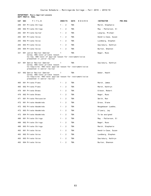#### **DEPARTMENT: Music-Applied Lessons DEPT PREFIX: MUAL**

| CAT | <b>SEC</b><br>TITLE                                                                                                                                         | <b>CREDITS</b>          | <b>DAYS</b><br>HOURS | <b>INSTRUCTOR</b><br><b>PRE-REQ</b> |
|-----|-------------------------------------------------------------------------------------------------------------------------------------------------------------|-------------------------|----------------------|-------------------------------------|
| 280 | 001 Private Strings                                                                                                                                         | $1 -$<br>2              | <b>TBA</b>           | March, Stephanie                    |
| 280 | 002 Private Strings                                                                                                                                         | $\overline{2}$<br>$1 -$ | <b>TBA</b>           | May - Patterson, El                 |
| 282 | 001 Private Guitar                                                                                                                                          | $1 -$<br>2              | <b>TBA</b>           | Langley, Michael                    |
| 293 | 001 Private Voice                                                                                                                                           | 2<br>$1 -$              | <b>TBA</b>           | Hendrix-Case, Suzan                 |
| 293 | 002 Private Voice                                                                                                                                           | $1 -$<br>2              | <b>TBA</b>           | Lundberg, Stephen                   |
| 293 | 003 Private Voice                                                                                                                                           | $1 -$<br>2              | <b>TBA</b>           | Saulsbury, Kathryn                  |
| 293 | 004 Private Voice                                                                                                                                           | $1 - 2$                 | <b>TBA</b>           | Burton, Shannon                     |
| 321 | 001 Junior Recital Seminar<br>Coreq: 400-level private lesson<br>Co-req: 400-level of applied lesson for instrument/voice<br>presented in junior recital    | 1                       | <b>TBA</b>           | Nagel, Russ                         |
| 421 | 001 Senior Recital Seminar<br>Coreq: 400-level private lesson                                                                                               | $\mathbf{1}$            | <b>TBA</b>           | Saulsbury, Kathryn                  |
|     | Co-requisite: 400-level applied lesson for instrument/voice<br>presented in senior recital                                                                  |                         |                      |                                     |
| 421 | 002 Senior Recital Seminar<br>Coreq: 400-level private lesson<br>Co-requisite: 400-level applied lesson for instrument/voice<br>presented in senior recital | $\mathbf{1}$            | TBA                  | Weber, Heath                        |
| 465 | 001 Private Piano                                                                                                                                           | 2<br>$1 -$              | <b>TBA</b>           | March, James                        |
| 465 | 002 Private Piano                                                                                                                                           | 2<br>$1 -$              | <b>TBA</b>           | March, Kathryn                      |
| 470 | 001 Private Brass                                                                                                                                           | 2<br>$1 -$              | <b>TBA</b>           | Gibson, Robert                      |
| 470 | 002 Private Brass                                                                                                                                           | $1 -$<br>2              | <b>TBA</b>           | Nagel, Russ                         |
| 471 | 001 Private Percussion                                                                                                                                      | $1 - 2$                 | <b>TBA</b>           | Smith, Ron                          |
| 472 | 001 Private Woodwinds                                                                                                                                       | $1 -$<br>2              | <b>TBA</b>           | Gross, Diane                        |
| 472 | 002 Private Woodwinds                                                                                                                                       | $1 - 2$                 | <b>TBA</b>           | Neugebauer Luebke,                  |
| 472 | 003 Private Woodwinds                                                                                                                                       | 2<br>$1 -$              | <b>TBA</b>           | O'Leary, Jay                        |
| 472 | 004 Private Woodwinds                                                                                                                                       | $1 -$<br>2              | <b>TBA</b>           | To be assigned                      |
| 480 | 001 Private Strings                                                                                                                                         | $1 -$<br>2              | <b>TBA</b>           | May - Patterson, El                 |
| 480 | 002 Private Strings                                                                                                                                         | 2<br>$1 -$              | <b>TBA</b>           | Nagel, Russ                         |
| 480 | 003 Private Strings                                                                                                                                         | 2<br>$1 -$              | <b>TBA</b>           | March, Stephanie                    |
| 493 | 001 Private Voice                                                                                                                                           | $1 -$<br>2              | <b>TBA</b>           | Hendrix-Case, Suzan                 |
| 493 | 002 Private Voice                                                                                                                                           | 2<br>$1 -$              | TBA                  | Lundberg, Stephen                   |
| 493 | 003 Private Voice                                                                                                                                           | $1 -$<br>2              | <b>TBA</b>           | Saulsbury, Kathryn                  |
| 493 | 004 Private Voice                                                                                                                                           | 2<br>$1 -$              | TBA                  | Burton, Shannon                     |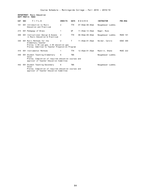## **DEPARTMENT: Music Education DEPT PREFIX: MUED**

| CAT SEC | TITLE                                                                                                                                          | <b>CREDITS</b> | <b>DAYS</b> | HOURS               | <b>INSTRUCTOR</b>  | PRE-REQ         |
|---------|------------------------------------------------------------------------------------------------------------------------------------------------|----------------|-------------|---------------------|--------------------|-----------------|
| 101     | 001 Introduction to Music<br>Education and Practicum                                                                                           | 2              | <b>TTH</b>  | $07:50$ am-08:40am  | Neugebauer Luebke, |                 |
| 215     | 001 Pedagogy of Brass                                                                                                                          |                | WF          | $11:45$ am-12:35pm  | Nagel, Russ        |                 |
| 309     | 001 Instructional Design & Assess<br>in Music Education & Practicum                                                                            | 2              | <b>TTH</b>  | $08:50am - 09:40am$ | Neugebauer Luebke, | <b>MUED 101</b> |
| 330     | 001 Music Methods for the<br>Elementary Teacher<br>Prereq: 2.50 cum gpa; 2.50 education gpa<br>Prereq: Admitted to Teacher Preparation Program | 2              | Τ           | $11:45$ am-01:35pm  | Heider, Carole     | <b>EDUC 300</b> |
| 416     | 001 Instrumental Methods                                                                                                                       |                | <b>TTH</b>  | 12:45pm-01:35pm     | Macklin, Shane     | <b>MUSC 222</b> |
| 440     | 001 Student Teaching-Elementary<br>Vocal<br>Prereq: Completion of required education courses and<br>approval of Teacher Education Committee    | 6              | <b>TBA</b>  |                     | Neugebauer Luebke, |                 |
| 442     | 001 Student Teaching-Secondary<br>Vocal<br>Prereq: Completion of required education courses and<br>approval of Teacher Education Committee     | 6              | <b>TBA</b>  |                     | Neugebauer Luebke, |                 |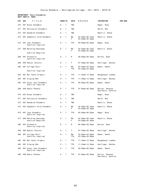### **DEPARTMENT: Music-Ensembles DEPT PREFIX: MUEN**

| CAT | <b>SEC</b> | TITLE                                        | <b>CREDITS</b> |                          | <b>DAYS</b> | HOURS                                              | <b>INSTRUCTOR</b>                     | <b>PRE-REQ</b> |
|-----|------------|----------------------------------------------|----------------|--------------------------|-------------|----------------------------------------------------|---------------------------------------|----------------|
| 270 |            | 001 Brass Ensemble                           | $0 - 1$        |                          | <b>TBA</b>  |                                                    | Nagel, Russ                           |                |
| 271 |            | 001 Percussion Ensemble                      | $0 - 1$        |                          | <b>TBA</b>  |                                                    | Smith, Ron                            |                |
| 272 |            | 001 Woodwind Ensemble                        | $0 - 1$        |                          | TBA         |                                                    | Macklin, Shane                        |                |
| 273 |            | 001 Symphonic Wind Ensemble                  | $0 - 1$        |                          | МW<br>F.    | $04:30$ pm - $06:15$ pm<br>$03:00$ pm - $05:30$ pm | Macklin, Shane                        |                |
| 274 |            | 001 Jazz Ensemble<br>Audition required       | $0 - 1$        |                          | TTH         | 05:00pm-06:20pm                                    | Nagel, Russ                           |                |
| 277 |            | 050 Marching Mustangs                        | $0 - 1$        |                          | МW<br>F.    | $04:30$ pm - $06:15$ pm<br>$03:00$ pm - $05:30$ pm | Macklin, Shane                        |                |
|     |            | Audition Required                            |                |                          |             |                                                    |                                       |                |
| 280 |            | 001 Orchestra<br>Audition required           | $0 - 1$        |                          | M           | 06:00pm-08:30pm                                    | Burton, Sean                          |                |
| 289 |            | 050 Master Chorale                           | $0 -$          | $\overline{\phantom{1}}$ | Τ           | 07:30pm-09:30pm                                    | Hettinger, Nathan                     |                |
| 290 |            | 001 College Choir                            | $0 -$          | $\overline{\phantom{1}}$ | МW<br>TTH   | $03:00$ pm - $04:20$ pm<br>$03:30$ pm - 04:50pm    | Weber, Heath                          |                |
|     |            | Audition required                            |                |                          |             |                                                    |                                       |                |
| 293 |            | 001 Bel Canto Singers                        | $0 -$          | $\overline{\phantom{1}}$ | TTH         | 11:45am-12:35pm                                    | Neugebauer Luebke,                    |                |
| 294 |            | 001 Singing Men                              | $\Theta$ -     | $\overline{1}$           | TTH         | 11:45am-12:35pm                                    | Hettinger, Nathan                     |                |
| 295 |            | 001 Vocal Jazz Ensemble<br>Audition required | $0 - 1$        |                          | TTH         | $05:00$ pm - $06:20$ pm                            | Weber, Heath                          |                |
| 296 |            | 050 Opera Theater                            | $0 - 1$        |                          | TTH         | $07:00$ pm - $08:30$ pm                            | Burton, Shannon<br>Saulsbury, Kathryn |                |
| 470 |            | 001 Brass Ensemble                           | $0 - 1$        |                          | TBA         |                                                    | Nagel, Russ                           |                |
| 471 |            | 001 Percussion Ensemble                      | $0 -$          | $\overline{\phantom{1}}$ | TBA         |                                                    | Smith, Ron                            |                |
| 472 |            | 001 Woodwind Ensemble                        | 0 -            | $\overline{1}$           | TBA         |                                                    | Macklin, Shane                        |                |
| 473 |            | 001 Symphonic Wind Ensemble                  | 0 - 1          |                          | МW<br>F.    | 04:30pm-06:15pm<br>$03:00$ pm - $05:30$ pm         | Macklin, Shane                        |                |
| 474 |            | 001 Jazz Ensemble<br>Audition required       | 0 - 1          |                          | TTH         | 05:00pm-06:20pm                                    | Nagel, Russ                           |                |
| 477 |            | 050 Marching Mustangs<br>Audition Required   | $0 - 1$        |                          | МW<br>F.    | 04:30pm-06:15pm<br>$03:00$ pm - $05:30$ pm         | Macklin, Shane                        |                |
| 480 |            | 001 Orchestra<br>Audition required           | $0 - 1$        |                          | M           | 06:00pm-08:30pm                                    | Burton, Sean                          |                |
|     |            | 489 050 Master Chorale                       | 0-1            |                          | T.          | $07:30$ pm-09:30pm                                 | Hettinger, Nathan                     |                |
| 490 |            | 001 College Choir<br>Audition required       | $0 - 1$        |                          | MW<br>TTH   | $03:00$ pm - $04:20$ pm<br>$03:30$ pm - 04:50pm    | Weber, Heath                          |                |
| 493 |            | 001 Bel Canto Singers                        | $0 - 1$        |                          | TTH         | $11:45$ am-12:35pm                                 | Neugebauer Luebke,                    |                |
| 494 |            | 001 Singing Men                              | $\Theta$ -     | $\overline{\phantom{1}}$ | TTH         | $11:45am-12:35pm$                                  | Hettinger, Nathan                     |                |
| 495 |            | 001 Vocal Jazz Ensemble<br>Audition required | $0 -$          | $\overline{\phantom{1}}$ | TTH         | $05:00$ pm - $06:20$ pm                            | Weber, Heath                          |                |
| 496 |            | 050 Opera Theater                            | $0 - 1$        |                          | TTH         | $07:00$ pm - $08:30$ pm                            | Burton, Shannon<br>Saulsbury, Kathryn |                |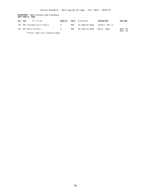## **DEPARTMENT: Music History and Literature DEPT PREFIX: MUHL**

| CAT SEC | TITLE                     | <b>CREDITS</b> | DAYS | HOURS                           | <b>INSTRUCTOR</b> | <b>PRE-REQ</b>       |
|---------|---------------------------|----------------|------|---------------------------------|-------------------|----------------------|
| 102     | 001 Introduction to Music |                | MWF  | 01:45pm-02:50pm Jeffers, Marlin |                   |                      |
|         | 401 001 Music History I   | $\mathbf{A}$   | MWF  | 09:15am-10:20am                 | March. James      | MUHL 102<br>MUTC 133 |

Prereq: Soph Jury research paper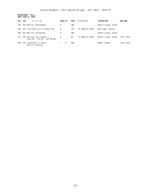**DEPARTMENT: Music DEPT PREFIX: MUSC**

| CAT SEC |     | TITLE                                                      | <b>CREDITS</b> | <b>DAYS</b> | HOURS                | <b>INSTRUCTOR</b>   | <b>PRE-REQ</b> |
|---------|-----|------------------------------------------------------------|----------------|-------------|----------------------|---------------------|----------------|
| 102     |     | 001 Recital Attendance                                     | 0              | TBA         |                      | Hendrix-Case, Suzan |                |
| 222     | 001 | Introduction to Conducting                                 | 2              | TTH         | $01:45$ pm – 02:35pm | Hettinger, Nathan   |                |
| 302     |     | 001 Recital Attendance                                     | 0              | TBA         |                      | Hendrix-Case, Suzan |                |
| 313     |     | 001 Diction for Singers I:<br>English, Italian, and German | 2              | MF          | 12:45pm-01:35pm      | Hendrix-Case, Suzan | Instr Perm     |
| 400     | 001 | Internship in Music<br>Senior standing                     | $1 - 6$        | TBA         |                      | Weber, Heath        | Instr Perm     |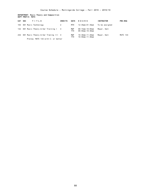# **DEPARTMENT: Music Theory and Composition DEPT PREFIX: MUTC**

| CAT SEC | TITLE                                   | <b>CREDITS</b> | <b>DAYS</b>       | <b>HOURS</b>                          | <b>INSTRUCTOR</b> | <b>PRE-REQ</b>  |
|---------|-----------------------------------------|----------------|-------------------|---------------------------------------|-------------------|-----------------|
| 103     | 001 Music Technology                    | 2              | MTH               | 12:45pm-01:35pm                       | To be assigned    |                 |
|         | 132 001 Music Theory & Ear Training I 4 |                | MWF<br>TTH        | 09:15am-10:05am<br>$09:50$ am-10:40am | Meyer, Kati       |                 |
| 232     | 001 Music Theory & Ear Traning III 4    |                | MWF<br><b>TTH</b> | 10:30am-11:20am<br>$10:50$ am-11:40am | Meyer, Kati       | <b>MUTC 133</b> |
|         | Prereq: MUTC 133 with C- or better      |                |                   |                                       |                   |                 |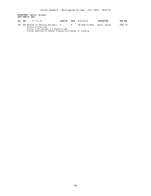# **DEPARTMENT: Natural Science DEPT PREFIX: NSCI**

| CAT SEC | TITLE                                                                                                     | <b>CREDITS</b> | DAYS | HOURS           | <b>INSTRUCTOR</b> | <b>PRE-REQ</b>  |
|---------|-----------------------------------------------------------------------------------------------------------|----------------|------|-----------------|-------------------|-----------------|
|         | 425 050 Methods of Teaching Secondary 4<br>Science & Practicum<br>Prereq: 2.50 cum gpa; 2.5 education gpa |                | M    | 06:30pm-10:00pm | Watts. Steven     | <b>EDUC 321</b> |

Prereq: Admitted to Teacher Preparation Program; Jr standing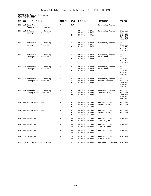### **DEPARTMENT: Nursing Education DEPT PREFIX: NURS**

| CAT | <b>SEC</b> | TITLE                                                | <b>CREDITS</b> | <b>DAYS</b>         | HOURS                                                          | <b>INSTRUCTOR</b>                    | <b>PRE-REQ</b>                                                         |
|-----|------------|------------------------------------------------------|----------------|---------------------|----------------------------------------------------------------|--------------------------------------|------------------------------------------------------------------------|
| 200 |            | 001 Iowa Student Nurses<br>Association Convention    | 1              | <b>TBA</b>          |                                                                | Haverhals, Amanda                    |                                                                        |
| 201 |            | 001 Introduction to Nursing<br>Concepts and Practice | 4              | M<br>F<br>T         | 09:15am-10:20am<br>$08:00$ am-10:20am<br>$07:00$ am-11:00am    | Haverhals, Amanda                    | BIOL 207<br>BIOL 208<br><b>CHEM 110</b><br>MORN 102<br><b>PSYC 101</b> |
| 201 |            | 002 Introduction to Nursing<br>Concepts and Practice | 4              | M<br>F<br>TH        | $09:15$ am-10:20am<br>$08:00$ am-10:20am<br>$07:00$ am-11:00am | Haverhals, Amanda                    | BIOL 207<br>BIOL 208<br><b>CHEM 110</b><br>MORN 102<br><b>PSYC 101</b> |
| 201 |            | 003 Introduction to Nursing<br>Concepts and Practice | 4              | M<br>F<br>T         | $09:15$ am-10:20am<br>$08:00$ am-10:20am<br>$07:00$ am-11:00am | Haverhals, Amanda<br>Bult, Anna      | BIOL 207<br>BIOL 208<br><b>CHEM 110</b><br><b>MORN 102</b><br>PSYC 101 |
| 201 |            | 004 Introduction to Nursing<br>Concepts and Practice | 4              | M<br>F<br><b>TH</b> | 09:15am-10:20am<br>$08:00$ am-10:20am<br>$07:00$ am-11:00am    | Haverhals, Amanda<br>Bult, Anna      | BIOL 207<br><b>BIOL 208</b><br><b>CHEM 110</b><br>MORN 102<br>PSYC 101 |
| 201 |            | 005 Introduction to Nursing<br>Concepts and Practice | 4              | M<br>F<br>T         | $09:15$ am-10:20am<br>$08:00$ am-10:20am<br>$07:00$ am-11:00am | Haverhals, Amanda<br>Patton, Shannon | BIOL 207<br>BIOL 208<br><b>CHEM 110</b><br>MORN 102<br><b>PSYC 101</b> |
| 201 |            | 006 Introduction to Nursing<br>Concepts and Practice | 4              | M<br>F<br><b>TH</b> | $09:15$ am-10:20am<br>$08:00$ am-10:20am<br>$07:00$ am-11:00am | Haverhals, Amanda<br>Kovarna, Mary   | BIOL 207<br>BIOL 208<br>CHEM 110<br>MORN 102<br><b>PSYC 101</b>        |
| 204 |            | 001 Health Assessment                                | 4              | M<br>W<br>M         | $08:00$ am-09:10am<br>$08:00$ am-10:20am<br>12:45pm-03:15pm    | Doeschot, Lori<br>Varner, Kari       | BIOL 207<br>BIOL 208                                                   |
| 204 |            | 002 Health Assessment                                | 4              | M<br>W<br>W         | $08:00$ am-09:10am<br>$08:00$ am-10:20am<br>12:45pm-03:15pm    | Doeschot, Lori<br>Varner, Kari       | BIOL 207<br>BIOL 208                                                   |
| 304 |            | 001 Mental Health                                    | 4              | МT<br>MT            | $09:45$ am-11:15am<br>$03:00 \text{pm} - 09:00 \text{pm}$      | Doeschot, Lori<br>Line, Angelia      | <b>NURS 212</b>                                                        |
| 304 |            | 002 Mental Health                                    | 4              | MT<br>MT            | $09:45$ am-11:15am<br>$03:00 \text{pm} - 09:00 \text{pm}$      | Doeschot, Lori<br>Line, Angelia      | <b>NURS 212</b>                                                        |
| 304 |            | 003 Mental Health                                    | 4              | MT<br>МT            | $09:45$ am-11:15am<br>$03:00 \text{pm} - 09:00 \text{pm}$      | Doeschot, Lori                       | <b>NURS 212</b>                                                        |
| 304 |            | 004 Mental Health                                    | 4              | МT<br>МT            | $09:45$ am-11:15am<br>$03:00$ pm-09:00pm                       | Doeschot, Lori<br>French, Sharon     | <b>NURS 212</b>                                                        |
| 311 |            | 001 Applied Pathophysiology                          | $\overline{2}$ | W                   | $01:00$ pm-03:00pm                                             | Georgesen, Sharlene                  | <b>NURS 212</b>                                                        |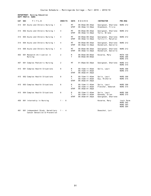#### **DEPARTMENT: Nursing Education DEPT PREFIX: NURS**

| <b>CAT</b> | <b>SEC</b><br>TITLE                    | <b>CREDITS</b> | <b>DAYS</b>              | HOURS                                                           | <b>INSTRUCTOR</b>                                     | PRE-REQ                                                             |
|------------|----------------------------------------|----------------|--------------------------|-----------------------------------------------------------------|-------------------------------------------------------|---------------------------------------------------------------------|
| 314        | 001 Acute and Chronic Nursing I        | 4              | MT<br><b>WTHF</b>        | $08:00$ am-09:30am<br>$06:30$ am-12:30pm                        | Georgesen, Sharlene<br>Steenbock, Tricia              | <b>NURS 212</b>                                                     |
| 314        | 002 Acute and Chronic Nursing I        | 4              | <b>MT</b><br><b>WTHF</b> | $08:00am - 09:30am$<br>$06:30$ am-12:30pm                       | Georgesen, Sharlene<br>Terry, Briana                  | <b>NURS 212</b>                                                     |
| 314        | 003 Acute and Chronic Nursing I        | 4              | MT<br><b>WTHF</b>        | $08:00$ am-09:30am<br>$06:30am-12:30pm$                         | Georgesen, Sharlene<br>Torticill, MaryClai            | <b>NURS 212</b>                                                     |
| 314        | 004 Acute and Chronic Nursing I        | 4              | MT<br><b>WTHF</b>        | $08:00am - 09:30am$<br>$06:30$ am-12:30pm                       | Georgesen, Sharlene<br>Honsbruch, Danielle            | <b>NURS 212</b>                                                     |
| 314        | 005 Acute and Chronic Nursing I        | 4              | МT<br><b>WTHF</b>        | $08:00$ am- $09:30$ am<br>$06:30$ am-12:30pm                    | Georgesen, Sharlene<br>Honsbruch, Danielle            | <b>NURS 212</b>                                                     |
| 403        | 001 Research Utilization in<br>Nursing | 2              | M<br>T                   | $08:00am - 09:00am$<br>$08:00am - 09:00am$                      | Kovarna, Mary                                         | <b>MATH 150</b><br><b>NURS 306</b><br><b>NURS 315</b>               |
| 407        | 001 Complex Pediatric Nursing          | 2              | MT                       | $01:00$ pm- $02:30$ pm                                          | Georgesen, Sharlene                                   | <b>NURS 313</b><br><b>NURS 315</b>                                  |
| 415        | 001 Complex Health Situations          | 8              | м<br>T<br><b>WTHF</b>    | $09:15$ am-11:45am<br>$09:15$ am-11:45am<br>$06:30am - 01:30pm$ | Sells, Lauri                                          | <b>NURS 308</b><br><b>NURS 315</b>                                  |
| 415        | 002 Complex Health Situations          | 8              | M<br>T<br><b>WTHF</b>    | $09:15$ am-11:45am<br>$09:15$ am-11:45am<br>$06:30am - 01:30pm$ | Sells, Lauri<br>Guy, Richelle                         | <b>NURS 308</b><br><b>NURS 315</b>                                  |
| 415        | 003 Complex Health Situations          | 8              | M<br>T<br><b>WTHF</b>    | $09:15$ am-11:45am<br>$09:15$ am-11:45am<br>$06:30am - 01:30pm$ | Sells, Lauri<br>Fletcher, Deborah                     | <b>NURS 308</b><br><b>NURS 315</b>                                  |
| 415        | 004 Complex Health Situations          | 8              | M<br>т<br><b>WTHF</b>    | $09:15$ am-11:45am<br>$09:15$ am-11:45am<br>$06:30am - 01:30pm$ | Sells, Lauri<br>Kennedy, Ellen<br>Georgesen, Sharlene | <b>NURS 308</b><br><b>NURS 315</b>                                  |
| 450        | 001 Internship in Nursing              | - 6<br>1 -     |                          |                                                                 | Kovarna, Mary                                         | Instr Perm<br><b>NURS 302</b><br><b>NURS 303</b><br><b>NURS 304</b> |

491 001 Independent Study: Hereditary 1 - 4 Doeschot, Lori Cancer Detection & Prevention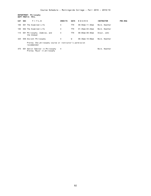**DEPARTMENT: Philosophy**

|         | DEPT PREFIX: PHIL |                                                                         |                |             |                         |                   |                |
|---------|-------------------|-------------------------------------------------------------------------|----------------|-------------|-------------------------|-------------------|----------------|
| CAT SEC |                   | TITLE                                                                   | <b>CREDITS</b> | <b>DAYS</b> | HOURS                   | <b>INSTRUCTOR</b> | <b>PRE-REQ</b> |
| 100     |                   | 001 The Examined Life                                                   | 4              | TTH         | $09:50$ am-11:30am      | Reid, Heather     |                |
| 100     |                   | 002 The Examined Life                                                   | 4              | TTH         | $01:45$ pm - $03:25$ pm | Reid, Heather     |                |
| 115     |                   | 001 Philosophy, Zombies, and<br>the Undead                              | 4              | <b>TTH</b>  | 08:00am-09:40am         | Stout, John       |                |
| 325     |                   | 050 Ancient Philosophy                                                  | 4              | W           | $06:30$ pm-10:00pm      | Reid, Heather     |                |
|         |                   | Prereq: One philosophy course or instructor's permission<br>recommended |                |             |                         |                   |                |
| 475     |                   | 001 Senior Seminar in Philosophy<br>Prereg: Major in philosophy         | 4              |             |                         | Reid, Heather     |                |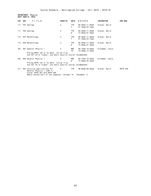**DEPARTMENT: Physics DEPT PREFIX: PHYS**

| CAT SEC | TITLE                                                                                                                                                     | <b>CREDITS</b> | <b>DAYS</b>     | HOURS                                                     | <b>INSTRUCTOR</b> | PRE-REQ         |
|---------|-----------------------------------------------------------------------------------------------------------------------------------------------------------|----------------|-----------------|-----------------------------------------------------------|-------------------|-----------------|
| 111     | FH1 Geology                                                                                                                                               | 2              | <b>TTH</b><br>т | $09:50$ am-11:05am<br>$01:45$ pm-03:15pm                  | Slaven, David     |                 |
| 111     | FH2 Geology                                                                                                                                               | 2              | <b>TTH</b><br>W | $09:50$ am-11:05am<br>$12:00 \text{pm} - 01:30 \text{pm}$ | Slaven, David     |                 |
| 112     | SH1 Meteorology                                                                                                                                           | 2              | <b>TTH</b><br>T | $09:50$ am-11:05am<br>$01:45$ pm-03:15pm                  | Slaven, David     |                 |
| 112     | SH2 Meteorology                                                                                                                                           | 2              | <b>TTH</b><br>W | $09:50$ am-11:05am<br>$12:00 \text{pm} - 01:30 \text{pm}$ | Slaven, David     |                 |
| 201     | 001 General Physics I                                                                                                                                     | 4              | MWF<br>TH       | $09:15$ am-10:05am<br>$10:00am - 12:30pm$                 | Kinnaman, Laura   |                 |
|         | Prereg: MATH 125 or hs math, includ trig.<br>and ACT 24 or higher; one basic physics course recommended                                                   |                |                 |                                                           |                   |                 |
| 201     | 002 General Physics I                                                                                                                                     | 4              | MWF<br>W        | $09:15$ am-10:05am<br>$12:00 \text{pm} - 02:30 \text{pm}$ | Kinnaman, Laura   |                 |
|         | Prereq: MATH 125 or hs math, includ trig.<br>and ACT 24 or higher; one basic physics course recommended                                                   |                |                 |                                                           |                   |                 |
| 211     | SH1 Calculus Applications for<br>General Physics I (CAP I)<br>Coreg: PHYS 201 and MATH 206<br>Meets second half of the semester; October 21 - December 11 | 2              | <b>TTH</b>      | $08:00$ am-09:40am                                        | Slaven, David     | <b>MATH 205</b> |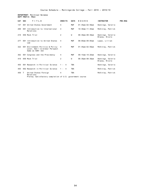## **DEPARTMENT: Political Science DEPT PREFIX: POLS**

| CAT SEC |              | TITLE                                                                                           | <b>CREDITS</b> | <b>DAYS</b> | HOURS                   | <b>INSTRUCTOR</b>                   | <b>PRE-REQ</b> |
|---------|--------------|-------------------------------------------------------------------------------------------------|----------------|-------------|-------------------------|-------------------------------------|----------------|
| 147     |              | 001 United States Government                                                                    | 4              | MWF         | $01:45$ pm-02:50pm      | Hennings, Valerie                   |                |
| 208     |              | 001 Introduction to International<br>Relations                                                  | 4              | <b>MWF</b>  | $10:30$ am-11:35am      | McKinlay, Patrick                   |                |
| 210     |              | 050 Mock Trial                                                                                  | $\overline{2}$ | W           | $06:30$ pm - $08:30$ pm | Hennings, Valerie<br>Blazey, Nicole |                |
| 277     | 001          | Introduction to United States<br>Law                                                            | 4              | <b>MWF</b>  | $08:00$ am-09:05am      | Lopez, Lillian                      |                |
| 322     |              | 001 Environment Politics & Policy: 4<br>Local, Nat'l & Global Perspect<br>Same as AGRI 322      |                | <b>MWF</b>  | $01:45$ pm - $02:50$ pm | McKinlay, Patrick                   |                |
| 362     |              | 001 Congress and the Presidency                                                                 | $\overline{4}$ | MWF         | $09:15$ am-10:20am      | Hennings, Valerie                   |                |
| 410     |              | 050 Mock Trial                                                                                  | 2              | W           | $06:30$ pm- $08:30$ pm  | Hennings, Valerie<br>Blazey, Nicole |                |
| 455     |              | 001 Research in Political Science                                                               | $1 - 4$        | <b>TBA</b>  |                         | Hennings, Valerie                   |                |
| 455     |              | 002 Research in Political Science                                                               | $1 - 4$        | <b>TBA</b>  |                         | McKinlay, Patrick                   |                |
| 459     | $\mathsf{T}$ | United States Foreign<br>Relations<br>Prereq: Satisfactory completion of U.S. government course | $\overline{4}$ | <b>TBA</b>  |                         | McKinlay, Patrick                   |                |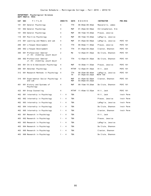### **DEPARTMENT: Psychological Sciences DEPT PREFIX: PSYC**

| TITLE<br><b>SEC</b>                                       | <b>CREDITS</b>          | DAYS       | HOURS                                         | <b>INSTRUCTOR</b>             | <b>PRE-REQ</b>  |
|-----------------------------------------------------------|-------------------------|------------|-----------------------------------------------|-------------------------------|-----------------|
| 001 General Psychology                                    | 4                       | TTH        | $08:00am - 09:40am$                           | Mascarello, James             |                 |
| 002 General Psychology                                    | 4                       | MWF        | $01:45$ pm - 02:50pm                          | Christopherson, Kim           |                 |
| 003 General Psychology                                    | 4                       | MWF        | $09:15$ am-10:20am                            | Pleuss, Jessica               |                 |
| 001 Positive Psychology                                   | 4                       | <b>MWF</b> | $09:15$ am-10:20am                            | LaPaglia, Jessica             |                 |
| 001 Learning and Memory and Lab                           | 4                       | <b>MWF</b> | $01:45$ pm - 02:50pm                          | LaPaglia, Jessica             | <b>PSYC 101</b> |
| 001 Lifespan Development                                  | 4                       | <b>TTH</b> | $09:50$ am-11:30am                            | Pleuss, Jessica               | <b>PSYC 101</b> |
| 002 Lifespan Development                                  | 4                       | TTH        | $01:45$ pm - $03:25$ pm                       | Claxton, Shannon              | <b>PSYC 101</b> |
| 001 Professional Seminar<br>Jr./Sr. standing; psych major | 2                       | МW         | 12:45pm-01:35pm                               | De Clute, Shannon             | <b>PSYC 101</b> |
| 002 Professional Seminar<br>Jr./Sr. standing; psych major | 2                       | TTH        | $12:45$ pm-01:35pm                            | De Clute, Shannon             | <b>PSYC 101</b> |
| 001 Child & Adolescent Psychology                         | 4                       | <b>MWF</b> | $10:30$ am-11:35am                            | Pleuss, Jessica               | <b>PSYC 101</b> |
| 001 Abnormal Psychology                                   | 4                       | MTTHF      | $12:45$ pm-01:35pm                            | Hill, Jack                    | <b>PSYC 101</b> |
| 001 Research Methods in Psychology                        | 4                       | TTH<br>TH  | $08:25$ am-09:40am<br>$01:45$ pm-03:25pm      | LaPaglia, Jessica<br>MATH 150 | <b>PSYC 101</b> |
| 001 Experimental Social Psychology<br>and Lab             | 4                       | MWF<br>MWF | $01:45$ pm-02:50pm<br>$03:00$ pm - $03:25$ pm | Claxton, Shannon              | PSYC 101        |
| 001 History and Systems of<br>Psychology                  | 4                       | MWF        | $09:15$ am-10:20am                            | De Clute, Shannon             | <b>PSYC 101</b> |
| 001 Group Counseling                                      | 4                       | MTTHF      | $11:45am-12:35pm$                             | Hill, Jack                    | <b>PSYC 101</b> |
| 001 Internship in Psychology                              | 4<br>$1 -$              | <b>TBA</b> |                                               | Hill, Jack                    | Instr Perm      |
| 002 Internship in Psychology                              | $\overline{4}$<br>1 -   | <b>TBA</b> |                                               | Pleuss, Jessica               | Instr Perm      |
| 003 Internship in Psychology                              | $\overline{4}$<br>1 -   | <b>TBA</b> |                                               | LaPaglia, Jessica             | Instr Perm      |
| 004 Internship in Psychology                              | $1 -$<br>-4             | <b>TBA</b> |                                               | De Clute, Shannon             | Instr Perm      |
| 005 Internship in Psychology                              | $\overline{4}$<br>1 -   | <b>TBA</b> |                                               | Claxton, Shannon              | Instr Perm      |
| 001 Research in Psychology                                | $\overline{4}$<br>1 -   | <b>TBA</b> |                                               | Hill, Jack                    |                 |
| 002 Research in Psychology                                | $\overline{4}$<br>$1 -$ | TBA        |                                               | Pleuss, Jessica               |                 |
| 003 Research in Psychology                                | $\overline{4}$<br>$1 -$ | TBA        |                                               | LaPaglia, Jessica             |                 |
| 004 Research in Psychology                                | 4<br>1 -                | TBA        |                                               | De Clute, Shannon             |                 |
| 005 Research in Psychology                                | $\overline{4}$<br>1 -   | <b>TBA</b> |                                               | Claxton, Shannon              |                 |
| 006 Research in Psychology                                | $1 -$<br>$\overline{4}$ | TBA        |                                               | De Clute, Shannon             |                 |
|                                                           |                         |            |                                               |                               |                 |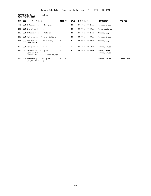**DEPARTMENT: Religious Studies**

|         | DEPT PREFIX: RELG |                                                                                |                |             |                         |                               |                |  |  |  |  |
|---------|-------------------|--------------------------------------------------------------------------------|----------------|-------------|-------------------------|-------------------------------|----------------|--|--|--|--|
| CAT SEC |                   | TITLE                                                                          | <b>CREDITS</b> | <b>DAYS</b> | HOURS                   | <b>INSTRUCTOR</b>             | <b>PRE-REQ</b> |  |  |  |  |
| 110     |                   | 001 Introduction to Religion                                                   | $\overline{4}$ | TTH.        | $01:45$ pm-03:25pm      | Forbes, Bruce                 |                |  |  |  |  |
| 200     |                   | 001 Christian Ethics                                                           | 4              | TTH         | $08:00$ am-09:40am      | To be assigned                |                |  |  |  |  |
| 205     |                   | 001 Introduction to Judaism                                                    | 4              | <b>TTH</b>  | $01:45$ pm - $03:25$ pm | Greene, Guy                   |                |  |  |  |  |
| 285     |                   | 001 Religion and Popular Culture                                               | 4              | TTH.        | $09:50$ am-11:30am      | Forbes, Bruce                 |                |  |  |  |  |
| 307     |                   | 050 Meditation and Mysticism,<br>East and West                                 | 2              | тн          | $06:30$ pm - $08:30$ pm | Greene, Guy                   |                |  |  |  |  |
| 315     |                   | 001 Religion in America                                                        | 4              | MWF         | $01:45$ pm - $02:50$ pm | Forbes, Bruce                 |                |  |  |  |  |
| 335     |                   | 050 Science and Religion<br>Same as BIOL 335<br>Prereq: One lab science course | 2              | Τ           | $06:30$ pm - $08:30$ pm | Stroh, James<br>Forbes, Bruce |                |  |  |  |  |
| 400     | 001               | Internship in Religion<br>Jr./Sr. Standing                                     | - 6<br>$1 -$   |             |                         | Forbes, Bruce                 | Instr Perm     |  |  |  |  |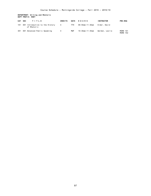### **DEPARTMENT: Writing and Rhetoric DEPT PREFIX: RHET**

| CAT SEC | TITLE                                          | <b>CREDITS</b> | <b>DAYS</b> | H O U R S       | <b>INSTRUCTOR</b> | <b>PRE-REQ</b>                     |
|---------|------------------------------------------------|----------------|-------------|-----------------|-------------------|------------------------------------|
| 101     | 001 Introduction to the History<br>of Rhetoric | 4              | <b>TTH</b>  | 09:50am-11:30am | Elder, David      |                                    |
| 301     | 001 Advanced Public Speaking                   | 4              | MWF         | 10:30am-11:35am | Werden, Leslie    | <b>MORN 101</b><br><b>MORN 102</b> |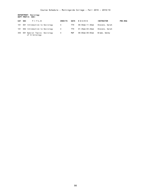**DEPARTMENT: Sociology DEPT PREFIX: SOCI**

| CAT SEC | TITLE                                           | <b>CREDITS</b> | <b>DAYS</b> | H O U R S       | <b>INSTRUCTOR</b> | <b>PRE-REQ</b> |
|---------|-------------------------------------------------|----------------|-------------|-----------------|-------------------|----------------|
| 101     | 001 Introduction to Sociology                   | 4              | TTH         | 09:50am-11:30am | Stevens, Sarah    |                |
| 101     | 002 Introduction to Sociology                   | 4              | TTH         | 01:45pm-03:25pm | Stevens, Sarah    |                |
| 355     | 001 Special Topics: Sociology<br>of Criminology | 4              | MWF         | 08:00am-09:05am | Brame, Wendy      |                |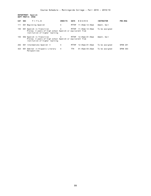**DEPARTMENT: Spanish DEPT PREFIX: SPAN**

| CAT SEC |     | TITLE                                                                                                                    | <b>CREDITS</b> | <b>DAYS</b> | HOURS                   | <b>INSTRUCTOR</b> | PRE-REQ         |
|---------|-----|--------------------------------------------------------------------------------------------------------------------------|----------------|-------------|-------------------------|-------------------|-----------------|
| 111     |     | 001 Beginning Spanish                                                                                                    | 4              | MTTHF       | 11:45am-12:35pm         | Ament, Gail       |                 |
| 155     |     | 001 Spanish in Transition<br>Prereg: 3 years of high school Spanish or equivalent from<br>institution of higher learning | 4              |             | MTTHF 11:45am-12:35pm   | To be assigned    |                 |
| 155     |     | 002 Spanish in Transition<br>Prereg: 3 years of high school Spanish or equivalent from<br>institution of higher learning | $\overline{4}$ |             | MTTHF 12:45pm-01:35pm   | Ament, Gail       |                 |
| 202     |     | 001 Intermediate Spanish II                                                                                              | 4              | MTTHF       | 12:45pm-01:35pm         | To be assigned    | <b>SPAN 201</b> |
| 423     | 001 | Seminar in Hispanic Literary<br>Perspectives                                                                             | 4              | TTH         | $01:45$ pm - $03:25$ pm | To be assigned    | <b>SPAN 303</b> |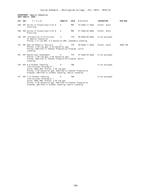### **DEPARTMENT: Special Education DEPT PREFIX: SPED**

| CAT SEC | TITLE                                                                                                                                                                                                                      | <b>CREDITS</b> | <b>DAYS</b> | HOURS                   | <b>INSTRUCTOR</b> | PRE-REQ  |
|---------|----------------------------------------------------------------------------------------------------------------------------------------------------------------------------------------------------------------------------|----------------|-------------|-------------------------|-------------------|----------|
| 208     | 001 Survey of Exceptionalities &<br>Practicum                                                                                                                                                                              | 4              | <b>MWF</b>  | 10:30am-11:35am         | Arnett, Scott     |          |
| 208     | 002 Survey of Exceptionalities &<br>Practicum                                                                                                                                                                              | 4              | MWF         | $01:45$ pm – 02:50pm    | Arnett, Scott     |          |
| 340     | 001 Introduction to Principles<br>of Special Education<br>Prereq: 2.5 cum GPA; 2.5 Education GPA; sophomore standing                                                                                                       | $\overline{4}$ | <b>TTH</b>  | $08:00$ am-09:40am      | To be assigned    |          |
| 431     | 001 Applied Behavior Analysis<br>Prereg: 2.50 cum qpa; 2.50 education qpa<br>Prereg: Admitted to Teacher Preparation Program; Junior<br>standing                                                                           | 4              | <b>TTH</b>  | $09:50$ am-11:30am      | Arnett, Scott     | SPED 340 |
| 451     | 001 Educational Assessment<br>Prereq: 2.50 cum gpa; 2.50 education gpa<br>Prereq: Admitted to Teacher Preparation Program; Senior<br>standing                                                                              | 4              | <b>TTH</b>  | $01:45$ pm – $03:25$ pm | To be assigned    |          |
| 470     | 001 K-6 Student Teaching:<br>Instructional Strategist I<br>Coreg: EDUC 490; Prereg: 2.50 cum qpa<br>Prereq: 2.50 education gpa; Admitted to Teacher Preparation<br>Program; admitted to student teaching; Senior standing  | 6              | <b>TBA</b>  |                         | To be assigned    |          |
| 471     | 001 7-12 Student Teaching:<br>Instructional Strategist I<br>Coreq: EDUC 490; Prereq: 2.50 cum gpa<br>Prereq: 2.50 education gpa; Admitted to Teacher Preparation<br>Program; admitted to student teaching; Senior standing | 6              | <b>TBA</b>  |                         | To be assigned    |          |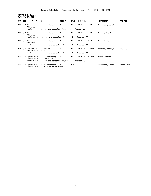**DEPARTMENT: Sports DEPT PREFIX: SPRT**

|     | CAT SEC | TITLE                                                                                                                       | <b>CREDITS</b> | <b>DAYS</b> | H O U R S       | <b>INSTRUCTOR</b> | <b>PRE-REQ</b> |
|-----|---------|-----------------------------------------------------------------------------------------------------------------------------|----------------|-------------|-----------------|-------------------|----------------|
|     |         | 230 FH1 Theory and Ethics of Coaching 2<br>Athletes<br>Meets first half of the semester; August 26 - October 20             |                | TTH         | 09:50am-11:30am | Stevenson, Jacob  |                |
| 230 |         | SH1 Theory and Ethics of Coaching 2<br>Athletes<br>Meets second half of the semester; October 21 - December 11              |                | TTH         | 09:50am-11:30am | Miller, Trent     |                |
| 230 |         | SH2 Theory and Ethics of Coaching 2<br>Athletes<br>Meets second half of the semester; October 21 - December 11              |                | TTH         | 08:00am-09:40am | Nash, David       |                |
|     |         | 254 SH1 Prevention and Care of<br>Athletic Injuries<br>Meets second half of the semester; October 21 - December 11          | 2              | TTH         | 09:50am-11:30am | Burford, Kathryn  | BIOL 207       |
| 325 |         | FH1 Sports Promotion & Marketing 2<br>Prereg or Coreg: BUSN 231<br>Meets first half of the semester; August 26 - October 20 |                | TTH         | 08:00am-09:40am | Maxon, Thomas     |                |
| 450 |         | 001 Sports Management Internship 1 - 4<br>Prereq: Completed 12 hours in minor                                               |                | <b>TBA</b>  |                 | Stevenson, Jacob  | Instr Perm     |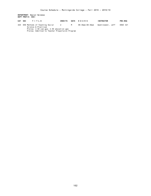# **DEPARTMENT: Social Science DEPT PREFIX: SSCI**

| CAT SEC | TITLE                                                     | <b>CREDITS</b> | DAYS | HOURS           | <b>INSTRUCTOR</b> | <b>PRE-REQ</b>  |
|---------|-----------------------------------------------------------|----------------|------|-----------------|-------------------|-----------------|
|         | 425 050 Methods of Teaching Social<br>Science & Practicum | 2              | M    | 06:30pm-08:30pm | Washinowski. Jeff | <b>EDUC 321</b> |
|         | Prereq: 2.50 cum gpa; 2.50 education gpa                  |                |      |                 |                   |                 |

Prereq: Admitted to Teacher Prepartaion Program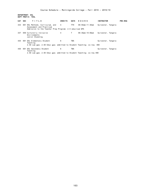**DEPARTMENT: ESL DEPT PREFIX: TESL**

| CAT SEC |  | TITLE                                                                                                                | <b>CREDITS</b> | DAYS | HOURS           | <b>INSTRUCTOR</b>  | <b>PRE-REQ</b> |
|---------|--|----------------------------------------------------------------------------------------------------------------------|----------------|------|-----------------|--------------------|----------------|
|         |  | 333 001 ESL Methods, Curriculum, and<br>Assessment and Practicum                                                     | $\overline{4}$ | TTH  | 09:50am-11:30am | Sylvester, Tangela |                |
|         |  | Admission to the Teacher Prep Program; 2.5 educ/cum GPA                                                              |                |      |                 |                    |                |
| 337     |  | 050 Culturally Inclusive<br>Environments<br>Junior Standing                                                          | 4              | Т    | 06:30pm-10:00pm | Sylvester, Tangela |                |
|         |  | 435 001 ESL Elementary Student<br>Teaching<br>2.50 cum gpa; 2.50 Educ gpa; admitted to Student Teaching; co-req: 490 | 6              | TBA  |                 | Sylvester, Tangela |                |
|         |  |                                                                                                                      |                |      |                 |                    |                |
| 436     |  | 001 ESL Secondary Student<br>Teaching                                                                                | 6              | TBA  |                 | Sylvester, Tangela |                |
|         |  | 2.50 cum gpa; 2.50 Educ gpa; admitted to Student Teaching; co-req 490                                                |                |      |                 |                    |                |